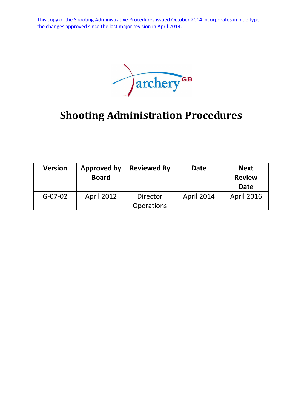This copy of the Shooting Administrative Procedures issued October 2014 incorporates in blue type the changes approved since the last major revision in April 2014.

archery<sup>GB</sup>

# **Shooting Administration Procedures**

| <b>Version</b> | <b>Approved by</b><br><b>Board</b> | <b>Reviewed By</b> | Date       | <b>Next</b><br><b>Review</b> |
|----------------|------------------------------------|--------------------|------------|------------------------------|
|                |                                    |                    |            | Date                         |
| $G-07-02$      | April 2012                         | Director           | April 2014 | April 2016                   |
|                |                                    | <b>Operations</b>  |            |                              |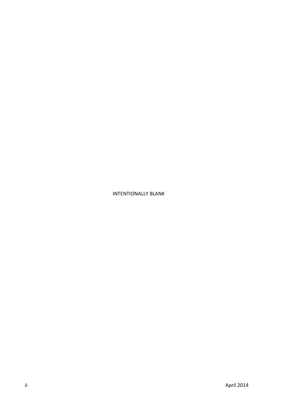ii April 2014

# INTENTIONALLY BLANK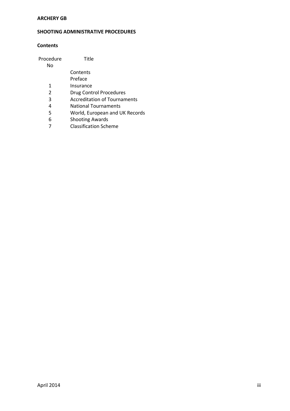# **ARCHERY GB**

#### **SHOOTING ADMINISTRATIVE PROCEDURES**

#### **Contents**

| Procedure<br>N٥ | Title                               |
|-----------------|-------------------------------------|
|                 | Contents                            |
|                 | Preface                             |
| 1               | Insurance                           |
| $\mathcal{P}$   | Drug Control Procedures             |
| 3               | <b>Accreditation of Tournaments</b> |
| 4               | <b>National Tournaments</b>         |
| 5               | World, European and UK Records      |
| 6               | <b>Shooting Awards</b>              |
|                 | <b>Classification Scheme</b>        |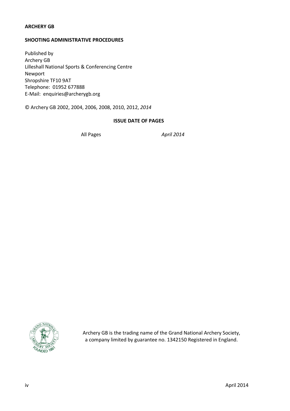## **ARCHERY GB**

#### **SHOOTING ADMINISTRATIVE PROCEDURES**

Published by Archery GB Lilleshall National Sports & Conferencing Centre Newport Shropshire TF10 9AT Telephone: 01952 677888 E-Mail: enquiries@archerygb.org

© Archery GB 2002, 2004, 2006, 2008, 2010, 2012, *2014*

#### **ISSUE DATE OF PAGES**

All Pages *April 2014*



Archery GB is the trading name of the Grand National Archery Society, a company limited by guarantee no. 1342150 Registered in England.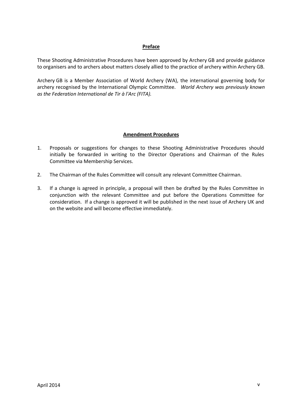## **Preface**

These Shooting Administrative Procedures have been approved by Archery GB and provide guidance to organisers and to archers about matters closely allied to the practice of archery within Archery GB.

Archery GB is a Member Association of World Archery (WA), the international governing body for archery recognised by the International Olympic Committee.*World Archery was previously known as the Federation International de Tir à l'Arc (FITA).* 

## **Amendment Procedures**

- 1. Proposals or suggestions for changes to these Shooting Administrative Procedures should initially be forwarded in writing to the Director Operations and Chairman of the Rules Committee via Membership Services.
- 2. The Chairman of the Rules Committee will consult any relevant Committee Chairman.
- 3. If a change is agreed in principle, a proposal will then be drafted by the Rules Committee in conjunction with the relevant Committee and put before the Operations Committee for consideration. If a change is approved it will be published in the next issue of Archery UK and on the website and will become effective immediately.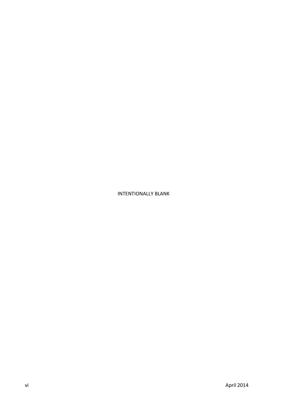INTENTIONALLY BLANK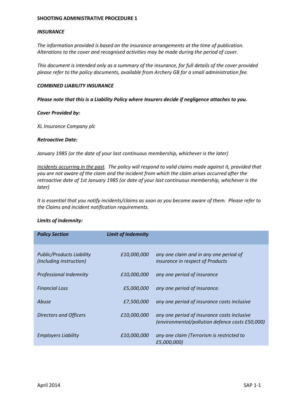#### **SHOOTING ADMINISTRATIVE PROCEDURE 1**

#### *INSURANCE*

*The information provided is based on the insurance arrangements at the time of publication. Alterations to the cover and recognised activities may be made during the period of cover.* 

*This document is intended only as a summary of the insurance, for full details of the cover provided please refer to the policy documents, available from Archery GB for a small administration fee.* 

#### *COMBINED LIABILITY INSURANCE*

*Please note that this is a Liability Policy where Insurers decide if negligence attaches to you.* 

#### *Cover Provided by:*

*XL Insurance Company plc* 

#### *Retroactive Date:*

*January 1985 (or the date of your last continuous membership, whichever is the later)* 

*Incidents occurring in the past. The policy will respond to valid claims made against it, provided that you are not aware of the claim and the incident from which the claim arises occurred after the retroactive date of 1st January 1985 (or date of your last continuous membership, whichever is the later)* 

*It is essential that you notify incidents/claims as soon as you become aware of them. Please refer to the Claims and incident notification requirements.* 

#### *Limits of Indemnity:*

| <b>Policy Section</b>                                       | <b>Limit of Indemnity</b> |                                                                                                |
|-------------------------------------------------------------|---------------------------|------------------------------------------------------------------------------------------------|
| <b>Public/Products Liability</b><br>(Including instruction) | £10,000,000               | any one claim and in any one period of<br>insurance in respect of Products                     |
| Professional Indemnity                                      | £10,000,000               | any one period of insurance                                                                    |
| <b>Financial Loss</b>                                       | £5,000,000                | any one period of insurance.                                                                   |
| Abuse                                                       | £7.500.000                | any one period of insurance costs inclusive                                                    |
| <b>Directors and Officers</b>                               | £10,000,000               | any one period of insurance costs inclusive<br>(environmental/pollution defence costs £50,000) |
| <b>Employers Liability</b>                                  | £10,000,000               | any one claim (Terrorism is restricted to<br>£5,000,000)                                       |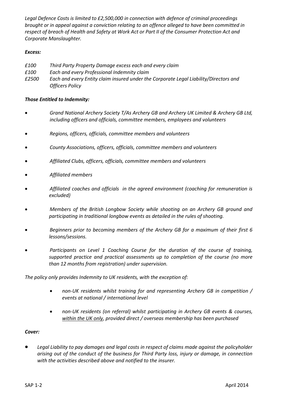*Legal Defence Costs is limited to £2,500,000 in connection with defence of criminal proceedings brought or in appeal against a conviction relating to an offence alleged to have been committed in respect of breach of Health and Safety at Work Act or Part II of the Consumer Protection Act and Corporate Manslaughter.* 

## *Excess:*

*£100 Third Party Property Damage excess each and every claim £100 Each and every Professional Indemnity claim £2500 Each and every Entity claim insured under the Corporate Legal Liability/Directors and Officers Policy* 

# *Those Entitled to Indemnity:*

- *Grand National Archery Society T/As Archery GB and Archery UK Limited & Archery GB Ltd, including officers and officials, committee members, employees and volunteers*
- *Regions, officers, officials, committee members and volunteers*
- *County Associations, officers, officials, committee members and volunteers*
- *Affiliated Clubs, officers, officials, committee members and volunteers*
- *Affiliated members*
- *Affiliated coaches and officials in the agreed environment (coaching for remuneration is excluded)*
- *Members of the British Longbow Society while shooting on an Archery GB ground and participating in traditional longbow events as detailed in the rules of shooting.*
- *Beginners prior to becoming members of the Archery GB for a maximum of their first 6 lessons/sessions.*
- *Participants on Level 1 Coaching Course for the duration of the course of training, supported practice and practical assessments up to completion of the course (no more than 12 months from registration) under supervision.*

*The policy only provides Indemnity to UK residents, with the exception of:* 

- *non-UK residents whilst training for and representing Archery GB in competition / events at national / international level*
- *non-UK residents (on referral) whilst participating in Archery GB events & courses, within the UK only, provided direct / overseas membership has been purchased*

## *Cover:*

• *Legal Liability to pay damages and legal costs in respect of claims made against the policyholder arising out of the conduct of the business for Third Party loss, injury or damage, in connection with the activities described above and notified to the insurer.*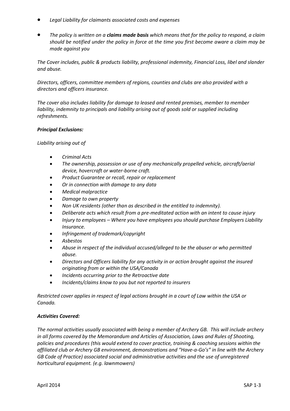- *Legal Liability for claimants associated costs and expenses*
- *The policy is written on a claims made basis which means that for the policy to respond, a claim should be notified under the policy in force at the time you first become aware a claim may be made against you*

*The Cover includes, public & products liability, professional indemnity, Financial Loss, libel and slander and abuse.* 

*Directors, officers, committee members of regions, counties and clubs are also provided with a directors and officers insurance.* 

*The cover also includes liability for damage to leased and rented premises, member to member liability, indemnity to principals and liability arising out of goods sold or supplied including refreshments.* 

## *Principal Exclusions:*

*Liability arising out of* 

- *Criminal Acts*
- *The ownership, possession or use of any mechanically propelled vehicle, aircraft/aerial device, hovercraft or water-borne craft.*
- *Product Guarantee or recall, repair or replacement*
- *Or in connection with damage to any data*
- *Medical malpractice*
- *Damage to own property*
- *Non UK residents (other than as described in the entitled to indemnity).*
- *Deliberate acts which result from a pre-meditated action with an intent to cause injury*
- *Injury to employees Where you have employees you should purchase Employers Liability Insurance.*
- *Infringement of trademark/copyright*
- *Asbestos*
- *Abuse in respect of the individual accused/alleged to be the abuser or who permitted abuse.*
- *Directors and Officers liability for any activity in or action brought against the insured originating from or within the USA/Canada*
- *Incidents occurring prior to the Retroactive date*
- *Incidents/claims know to you but not reported to insurers*

*Restricted cover applies in respect of legal actions brought in a court of Law within the USA or Canada.* 

## *Activities Covered:*

*The normal activities usually associated with being a member of Archery GB. This will include archery in all forms covered by the Memorandum and Articles of Association, Laws and Rules of Shooting, policies and procedures (this would extend to cover practice, training & coaching sessions within the affiliated club or Archery GB environment, demonstrations and "Have-a-Go's" in line with the Archery GB Code of Practice) associated social and administrative activities and the use of unregistered horticultural equipment. (e.g. lawnmowers)*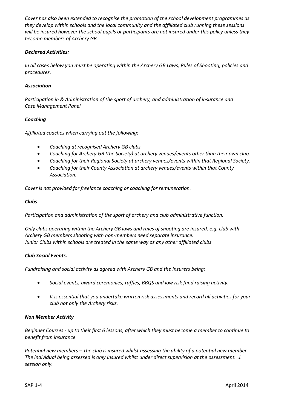*Cover has also been extended to recognise the promotion of the school development programmes as they develop within schools and the local community and the affiliated club running these sessions will be insured however the school pupils or participants are not insured under this policy unless they become members of Archery GB.* 

#### *Declared Activities:*

*In all cases below you must be operating within the Archery GB Laws, Rules of Shooting, policies and procedures.* 

#### *Association*

*Participation in & Administration of the sport of archery, and administration of insurance and Case Management Panel* 

#### *Coaching*

*Affiliated coaches when carrying out the following:*

- *Coaching at recognised Archery GB clubs.*
- *Coaching for Archery GB (the Society) at archery venues/events other than their own club.*
- *Coaching for their Regional Society at archery venues/events within that Regional Society.*
- *Coaching for their County Association at archery venues/events within that County Association.*

*Cover is not provided for freelance coaching or coaching for remuneration.* 

#### *Clubs*

*Participation and administration of the sport of archery and club administrative function.* 

*Only clubs operating within the Archery GB laws and rules of shooting are insured, e.g. club with Archery GB members shooting with non-members need separate insurance. Junior Clubs within schools are treated in the same way as any other affiliated clubs* 

#### *Club Social Events.*

*Fundraising and social activity as agreed with Archery GB and the Insurers being:* 

- *Social events, award ceremonies, raffles, BBQS and low risk fund raising activity.*
- *It is essential that you undertake written risk assessments and record all activities for your club not only the Archery risks.*

#### *Non Member Activity*

*Beginner Courses - up to their first 6 lessons, after which they must become a member to continue to benefit from insurance* 

*Potential new members – The club is insured whilst assessing the ability of a potential new member. The individual being assessed is only insured whilst under direct supervision at the assessment. 1 session only.*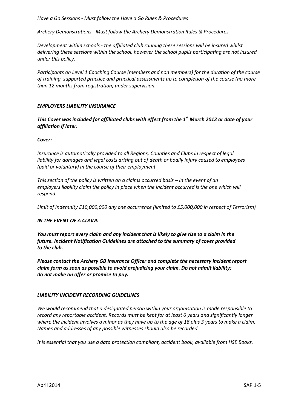*Have a Go Sessions - Must follow the Have a Go Rules & Procedures* 

*Archery Demonstrations - Must follow the Archery Demonstration Rules & Procedures* 

*Development within schools - the affiliated club running these sessions will be insured whilst delivering these sessions within the school, however the school pupils participating are not insured under this policy.* 

*Participants on Level 1 Coaching Course (members and non members) for the duration of the course of training, supported practice and practical assessments up to completion of the course (no more than 12 months from registration) under supervision.* 

#### *EMPLOYERS LIABILITY INSURANCE*

*This Cover was included for affiliated clubs with effect from the 1st March 2012 or date of your affiliation if later.* 

#### *Cover:*

*Insurance is automatically provided to all Regions, Counties and Clubs in respect of legal liability for damages and legal costs arising out of death or bodily injury caused to employees (paid or voluntary) in the course of their employment.* 

*This section of the policy is written on a claims occurred basis – In the event of an employers liability claim the policy in place when the incident occurred is the one which will respond.* 

*Limit of Indemnity £10,000,000 any one occurrence (limited to £5,000,000 in respect of Terrorism)* 

#### *IN THE EVENT OF A CLAIM:*

*You must report every claim and any incident that is likely to give rise to a claim in the future. Incident Notification Guidelines are attached to the summary of cover provided to the club.* 

*Please contact the Archery GB Insurance Officer and complete the necessary incident report claim form as soon as possible to avoid prejudicing your claim. Do not admit liability; do not make an offer or promise to pay.* 

#### *LIABILITY INCIDENT RECORDING GUIDELINES*

*We would recommend that a designated person within your organisation is made responsible to record any reportable accident. Records must be kept for at least 6 years and significantly longer where the incident involves a minor as they have up to the age of 18 plus 3 years to make a claim. Names and addresses of any possible witnesses should also be recorded.* 

*It is essential that you use a data protection compliant, accident book, available from HSE Books.*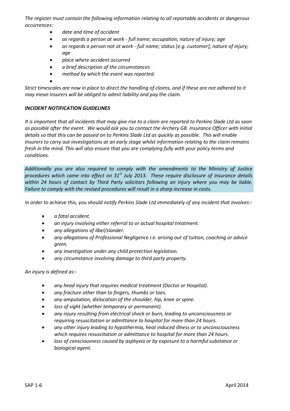*The register must contain the following information relating to all reportable accidents or dangerous occurrences:* 

- *date and time of accident*
- *as regards a person at work full name; occupation; nature of injury; age*
- *as regards a person not at work full name; status [e.g. customer]; nature of injury; age*
- *place where accident occurred*
- *a brief description of the circumstances*
- *method by which the event was reported.*

•

*Strict timescales are now in place to direct the handling of claims, and if these are not adhered to it may mean insurers will be obliged to admit liability and pay the claim.* 

#### *INCIDENT NOTIFICATION GUIDELINES*

*It is important that all incidents that may give rise to a claim are reported to Perkins Slade Ltd as soon as possible after the event. We would ask you to contact the Archery GB Insurance Officer with initial details so that this can be passed on to Perkins Slade Ltd as quickly as possible. This will enable Insurers to carry out investigations at an early stage whilst information relating to the claim remains fresh in the mind. This will also ensure that you are complying fully with your policy terms and conditions.* 

*Additionally you are also required to comply with the amendments to the Ministry of Justice procedures which came into effect on 31st July 2013. These require disclosure of insurance details within 24 hours of contact by Third Party solicitors following an injury where you may be liable. Failure to comply with the revised procedures will result in a sharp increase in costs.* 

*In order to achieve this, you should notify Perkins Slade Ltd immediately of any incident that involves:-* 

- *a fatal accident.*
- *an injury involving either referral to or actual hospital treatment.*
- *any allegations of libel/slander.*
- *any allegations of Professional Negligence i.e. arising out of tuition, coaching or advice given.*
- *any investigation under any child protection legislation.*
- *any circumstance involving damage to third party property.*

*An injury is defined as:-* 

- *any head injury that requires medical treatment (Doctor or Hospital).*
- *any fracture other than to fingers, thumbs or toes.*
- *any amputation, dislocation of the shoulder, hip, knee or spine.*
- *loss of sight (whether temporary or permanent).*
- *any injury resulting from electrical shock or burn, leading to unconsciousness or requiring resuscitation or admittance to hospital for more than 24 hours.*
- *any other injury leading to hypothermia, heat induced illness or to unconsciousness which requires resuscitation or admittance to hospital for more than 24 hours.*
- *loss of consciousness caused by asphyxia or by exposure to a harmful substance or biological agent.*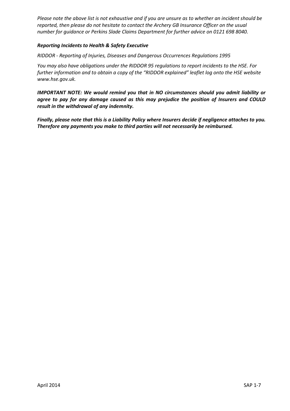*Please note the above list is not exhaustive and if you are unsure as to whether an incident should be reported, then please do not hesitate to contact the Archery GB Insurance Officer on the usual number for guidance or Perkins Slade Claims Department for further advice on 0121 698 8040.* 

#### *Reporting Incidents to Health & Safety Executive*

*RIDDOR - Reporting of Injuries, Diseases and Dangerous Occurrences Regulations 1995* 

*You may also have obligations under the RIDDOR 95 regulations to report incidents to the HSE. For further information and to obtain a copy of the "RIDDOR explained" leaflet log onto the HSE website www.hse.gov.uk.*

*IMPORTANT NOTE: We would remind you that in NO circumstances should you admit liability or agree to pay for any damage caused as this may prejudice the position of Insurers and COULD result in the withdrawal of any indemnity.* 

*Finally, please note that this is a Liability Policy where Insurers decide if negligence attaches to you. Therefore any payments you make to third parties will not necessarily be reimbursed.*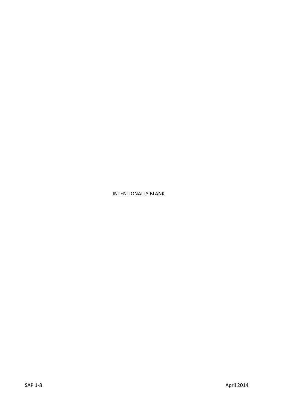INTENTIONALLY BLANK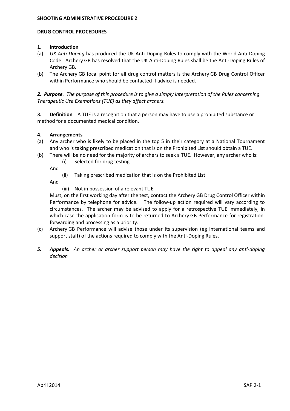#### **SHOOTING ADMINISTRATIVE PROCEDURE 2**

#### **DRUG CONTROL PROCEDURES**

#### **1. Introduction**

- (a) *UK Anti-Doping* has produced the UK Anti-Doping Rules to comply with the World Anti-Doping Code. Archery GB has resolved that the UK Anti-Doping Rules shall be the Anti-Doping Rules of Archery GB.
- (b) The Archery GB focal point for all drug control matters is the Archery GB Drug Control Officer within Performance who should be contacted if advice is needed.

*2. Purpose. The purpose of this procedure is to give a simply interpretation of the Rules concerning Therapeutic Use Exemptions (TUE) as they affect archers.* 

**3. Definition** A TUE is a recognition that a person may have to use a prohibited substance or method for a documented medical condition.

## **4. Arrangements**

- (a) Any archer who is likely to be placed in the top 5 in their category at a National Tournament and who is taking prescribed medication that is on the Prohibited List should obtain a TUE.
- (b) There will be no need for the majority of archers to seek a TUE. However, any archer who is: (i) Selected for drug testing

And

(ii) Taking prescribed medication that is on the Prohibited List

And

(iii) Not in possession of a relevant TUE

Must, on the first working day after the test, contact the Archery GB Drug Control Officer within Performance by telephone for advice. The follow-up action required will vary according to circumstances. The archer may be advised to apply for a retrospective TUE immediately, in which case the application form is to be returned to Archery GB Performance for registration, forwarding and processing as a priority.

- (c) Archery GB Performance will advise those under its supervision (eg international teams and support staff) of the actions required to comply with the Anti-Doping Rules.
- *5. Appeals. An archer or archer support person may have the right to appeal any anti-doping decision*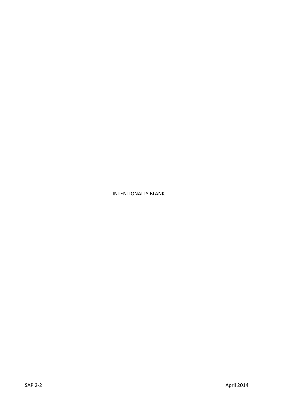INTENTIONALLY BLANK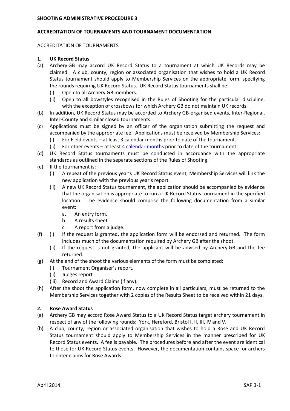#### **ACCREDITATION OF TOURNAMENTS AND TOURNAMENT DOCUMENTATION**

#### ACCREDITATION OF TOURNAMENTS

#### **1. UK Record Status**

- (a) Archery GB may accord UK Record Status to a tournament at which UK Records may be claimed. A club, county, region or associated organisation that wishes to hold a UK Record Status tournament should apply to Membership Services on the appropriate form, specifying the rounds requiring UK Record Status. UK Record Status tournaments shall be:
	- (i) Open to all Archery GB members.
	- (ii) Open to all bowstyles recognised in the Rules of Shooting for the particular discipline, with the exception of crossbows for which Archery GB do not maintain UK records.
- (b) In addition, UK Record Status may be accorded to Archery GB-organised events, Inter-Regional, Inter-County and similar closed tournaments.
- (c) Applications must be signed by an officer of the organisation submitting the request and accompanied by the appropriate fee. Applications must be received by Membership Services:
	- (i) For Field events at least 3 calendar months prior to date of the tournament.
	- (ii) For other events at least 4 calendar months prior to date of the tournament.
- (d) UK Record Status tournaments must be conducted in accordance with the appropriate standards as outlined in the separate sections of the Rules of Shooting.
- (e) If the tournament is:
	- (i) A repeat of the previous year's UK Record Status event, Membership Services will link the new application with the previous year's report.
	- (ii) A new UK Record Status tournament, the application should be accompanied by evidence that the organisation is appropriate to run a UK Record Status tournament in the specified location. The evidence should comprise the following documentation from a similar event:
		- a. An entry form.
		- b. A results sheet.
		- c. A report from a judge.
- (f) (i) If the request is granted, the application form will be endorsed and returned. The form includes much of the documentation required by Archery GB after the shoot.
	- (ii) If the request is not granted, the applicant will be advised by Archery GB and the fee returned.
- (g) At the end of the shoot the various elements of the form must be completed:
	- (i) Tournament Organiser's report.
	- (ii) Judges report
	- (iii) Record and Award Claims (if any).
- (h) After the shoot the application form, now complete in all particulars, must be returned to the Membership Services together with 2 copies of the Results Sheet to be received within 21 days.

## **2. Rose Award Status**

- (a) Archery GB may accord Rose Award Status to a UK Record Status target archery tournament in respect of any of the following rounds: York, Hereford, Bristol I, II, III, IV and V.
- (b) A club, county, region or associated organisation that wishes to hold a Rose and UK Record Status tournament should apply to Membership Services in the manner prescribed for UK Record Status events. A fee is payable. The procedures before and after the event are identical to those for UK Record Status events. However, the documentation contains space for archers to enter claims for Rose Awards.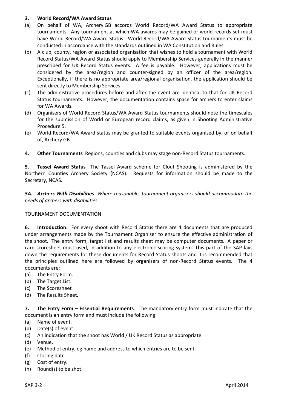## **3. World Record/WA Award Status**

- (a) On behalf of WA, Archery GB accords World Record/WA Award Status to appropriate tournaments. Any tournament at which WA awards may be gained or world records set must have World Record/WA Award Status. World Record/WA Award Status tournaments must be conducted in accordance with the standards outlined in WA Constitution and Rules.
- (b) A club, county, region or associated organisation that wishes to hold a tournament with World Record Status/WA Award Status should apply to Membership Services generally in the manner prescribed for UK Record Status events. A fee is payable. However, applications must be considered by the area/region and counter-signed by an officer of the area/region. Exceptionally, if there is no appropriate area/regional organisation, the application should be sent directly to Membership Services.
- (c) The administrative procedures before and after the event are identical to that for UK Record Status tournaments. However, the documentation contains space for archers to enter claims for WA Awards.
- (d) Organisers of World Record Status/WA Award Status tournaments should note the timescales for the submission of World or European record claims, as given in Shooting Administrative Procedure 5.
- (e) World Record/WA Award status may be granted to suitable events organised by, or on behalf of, Archery GB.
- **4. Other Tournaments** Regions, counties and clubs may stage non-Record Status tournaments.

**5. Tassel Award Status** The Tassel Award scheme for Clout Shooting is administered by the Northern Counties Archery Society (NCAS). Requests for information should be made to the Secretary, NCAS.

*5A. Archers With Disabilities Where reasonable, tournament organisers should accommodate the needs of archers with disabilities.* 

## TOURNAMENT DOCUMENTATION

**6. Introduction**. For every shoot with Record Status there are 4 documents that are produced under arrangements made by the Tournament Organiser to ensure the effective administration of the shoot. The entry form, target list and results sheet may be computer documents. A paper or card scoresheet must used, in addition to any electronic scoring system. This part of the SAP lays down the requirements for these documents for Record Status shoots and it is recommended that the principles outlined here are followed by organisers of non-Record Status events. The 4 documents are:

- (a) The Entry Form.
- (b) The Target List.
- (c) The Scoresheet
- (d) The Results Sheet.

**7. The Entry Form – Essential Requirements**. The mandatory entry form must indicate that the document is an entry form and must include the following:

- (a) Name of event.
- (b) Date(s) of event.
- (c) An indication that the shoot has World / UK Record Status as appropriate.
- (d) Venue.
- (e) Method of entry, eg name and address to which entries are to be sent.
- (f) Closing date.
- (g) Cost of entry.
- (h) Round(s) to be shot.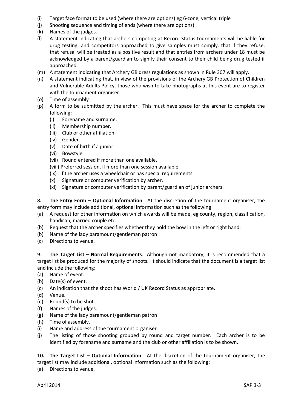- (i) Target face format to be used (where there are options) eg 6-zone, vertical triple
- (j) Shooting sequence and timing of ends (where there are options)
- (k) Names of the judges.
- (l) A statement indicating that archers competing at Record Status tournaments will be liable for drug testing, and competitors approached to give samples must comply, that if they refuse, that refusal will be treated as a positive result and that entries from archers under 18 must be acknowledged by a parent/guardian to signify their consent to their child being drug tested if approached.
- (m) A statement indicating that Archery GB dress regulations as shown in Rule 307 will apply.
- (n) A statement indicating that, in view of the provisions of the Archery GB Protection of Children and Vulnerable Adults Policy, those who wish to take photographs at this event are to register with the tournament organiser.
- (o) Time of assembly
- (p) A form to be submitted by the archer. This must have space for the archer to complete the following:
	- (i) Forename and surname.
	- (ii) Membership number.
	- (iii) Club or other affiliation.
	- (iv) Gender.
	- (v) Date of birth if a junior.
	- (vi) Bowstyle.
	- (vii) Round entered if more than one available.
	- (viii) Preferred session, if more than one session available.
	- (ix) If the archer uses a wheelchair or has special requirements
	- (x) Signature or computer verification by archer.
	- (xi) Signature or computer verification by parent/guardian of junior archers.

**8. The Entry Form – Optional Information**. At the discretion of the tournament organiser, the entry form may include additional, optional information such as the following:

- (a) A request for other information on which awards will be made, eg county, region, classification, handicap, married couple etc.
- (b) Request that the archer specifies whether they hold the bow in the left or right hand.
- (b) Name of the lady paramount/gentleman patron
- (c) Directions to venue.

9. **The Target List – Normal Requirements**. Although not mandatory, it is recommended that a target list be produced for the majority of shoots. It should indicate that the document is a target list and include the following:

- (a) Name of event.
- (b) Date(s) of event.
- (c) An indication that the shoot has World / UK Record Status as appropriate.
- (d) Venue.
- (e) Round(s) to be shot.
- (f) Names of the judges.
- (g) Name of the lady paramount/gentleman patron
- (h) Time of assembly.
- (i) Name and address of the tournament organiser.
- (j) The listing of those shooting grouped by round and target number. Each archer is to be identified by forename and surname and the club or other affiliation is to be shown.

**10. The Target List – Optional Information**. At the discretion of the tournament organiser, the target list may include additional, optional information such as the following:

(a) Directions to venue.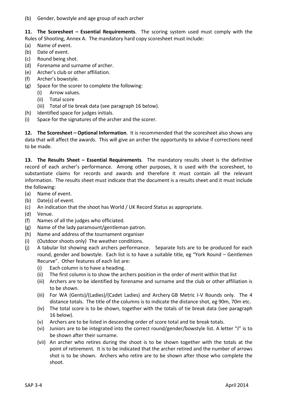(b) Gender, bowstyle and age group of each archer

**11. The Scoresheet – Essential Requirements**. The scoring system used must comply with the Rules of Shooting, Annex A. The mandatory hard copy scoresheet must include:

- (a) Name of event.
- (b) Date of event.
- (c) Round being shot.
- (d) Forename and surname of archer.
- (e) Archer's club or other affiliation.
- (f) Archer's bowstyle.
- (g) Space for the scorer to complete the following:
	- (i) Arrow values.
	- (ii) Total score
	- (iii) Total of tie break data (see paragraph 16 below).
- (h) Identified space for judges initials.
- (i) Space for the signatures of the archer and the scorer.

**12. The Scoresheet – Optional Information**. It is recommended that the scoresheet also shows any data that will affect the awards. This will give an archer the opportunity to advise if corrections need to be made.

**13. The Results Sheet – Essential Requirements**. The mandatory results sheet is the definitive record of each archer's performance. Among other purposes, it is used with the scoresheet, to substantiate claims for records and awards and therefore it must contain all the relevant information. The results sheet must indicate that the document is a results sheet and it must include the following:

- (a) Name of event.
- (b) Date(s) of event.
- (c) An indication that the shoot has World / UK Record Status as appropriate.
- (d) Venue.
- (f) Names of all the judges who officiated.
- (g) Name of the lady paramount/gentleman patron.
- (h) Name and address of the tournament organiser
- (i) (Outdoor shoots only) The weather conditions.
- (j) A tabular list showing each archers performance. Separate lists are to be produced for each round, gender and bowstyle. Each list is to have a suitable title, eg "York Round – Gentlemen Recurve". Other features of each list are:
	- (i) Each column is to have a heading.
	- (ii) The first column is to show the archers position in the order of merit within that list
	- (iii) Archers are to be identified by forename and surname and the club or other affiliation is to be shown.
	- (iii) For WA (Gents)/(Ladies)/(Cadet Ladies) and Archery GB Metric I-V Rounds only. The 4 distance totals. The title of the columns is to indicate the distance shot, eg 90m, 70m etc.
	- (iv) The total score is to be shown, together with the totals of tie break data (see paragraph 16 below).
	- (v) Archers are to be listed in descending order of score total and tie break totals.
	- (vi) Juniors are to be integrated into the correct round/gender/bowstyle list. A letter "J" is to be shown after their surname.
	- (vii) An archer who retires during the shoot is to be shown together with the totals at the point of retirement. It is to be indicated that the archer retired and the number of arrows shot is to be shown. Archers who retire are to be shown after those who complete the shoot.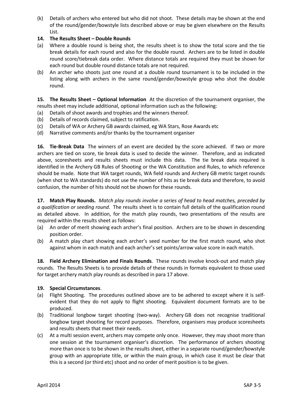(k) Details of archers who entered but who did not shoot. These details may be shown at the end of the round/gender/bowstyle lists described above or may be given elsewhere on the Results List.

## **14. The Results Sheet – Double Rounds**

- (a) Where a double round is being shot, the results sheet is to show the total score and the tie break details for each round and also for the double round. Archers are to be listed in double round score/tiebreak data order. Where distance totals are required they must be shown for each round but double round distance totals are not required.
- (b) An archer who shoots just one round at a double round tournament is to be included in the listing along with archers in the same round/gender/bowstyle group who shot the double round.

**15. The Results Sheet – Optional Information** At the discretion of the tournament organiser, the results sheet may include additional, optional information such as the following:

- (a) Details of shoot awards and trophies and the winners thereof.
- (b) Details of records claimed, subject to ratification.
- (c) Details of WA or Archery GB awards claimed, eg WA Stars, Rose Awards etc
- (d) Narrative comments and/or thanks by the tournament organiser

**16. Tie-Break Data** The winners of an event are decided by the score achieved. If two or more archers are tied on score, tie break data is used to decide the winner. Therefore, and as indicated above, scoresheets and results sheets must include this data. The tie break data required is identified in the Archery GB Rules of Shooting or the WA Constitution and Rules, to which reference should be made. Note that WA target rounds, WA field rounds and Archery GB metric target rounds (when shot to WA standards) do not use the number of hits as tie break data and therefore, to avoid confusion, the number of hits should not be shown for these rounds.

**17. Match Play Rounds.** *Match play rounds involve a series of head to head matches, preceded by a qualification or seeding round*. The results sheet is to contain full details of the qualification round as detailed above. In addition, for the match play rounds, two presentations of the results are required within the results sheet as follows:

- (a) An order of merit showing each archer's final position. Archers are to be shown in descending position order.
- (b) A match play chart showing each archer's seed number for the first match round, who shot against whom in each match and each archer's set points/arrow value score in each match.

**18. Field Archery Elimination and Finals Rounds**. These rounds involve knock-out and match play rounds. The Results Sheets is to provide details of these rounds in formats equivalent to those used for target archery match play rounds as described in para 17 above.

## **19. Special Circumstances**.

- (a) Flight Shooting. The procedures outlined above are to be adhered to except where it is selfevident that they do not apply to flight shooting. Equivalent document formats are to be produced.
- (b) Traditional longbow target shooting (two-way). Archery GB does not recognise traditional longbow target shooting for record purposes. Therefore, organisers may produce scoresheets and results sheets that meet their needs.
- (c) At a multi session event, archers may compete only once. However, they may shoot more than one session at the tournament organiser's discretion. The performance of archers shooting more than once is to be shown in the results sheet, either in a separate round/gender/bowstyle group with an appropriate title, or within the main group, in which case it must be clear that this is a second (or third etc) shoot and no order of merit position is to be given.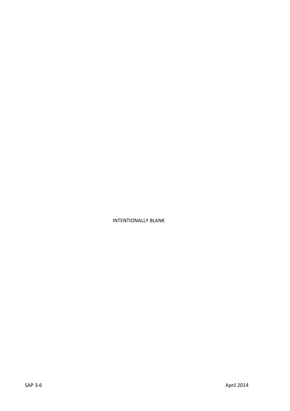INTENTIONALLY BLANK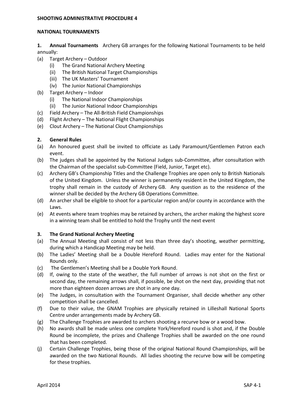#### **NATIONAL TOURNAMENTS**

**1. Annual Tournaments** Archery GB arranges for the following National Tournaments to be held annually:

- (a) Target Archery Outdoor
	- (i) The Grand National Archery Meeting
	- (ii) The British National Target Championships
	- (iii) The UK Masters' Tournament
	- (iv) The Junior National Championships
- (b) Target Archery Indoor
	- (i) The National Indoor Championships
	- (ii) The Junior National Indoor Championships
- (c) Field Archery The All-British Field Championships
- (d) Flight Archery The National Flight Championships
- (e) Clout Archery The National Clout Championships

#### **2. General Rules**

- (a) An honoured guest shall be invited to officiate as Lady Paramount/Gentlemen Patron each event.
- (b) The judges shall be appointed by the National Judges sub-Committee, after consultation with the Chairman of the specialist sub-Committee (Field, Junior, Target etc).
- (c) Archery GB's Championship Titles and the Challenge Trophies are open only to British Nationals of the United Kingdom. Unless the winner is permanently resident in the United Kingdom, the trophy shall remain in the custody of Archery GB. Any question as to the residence of the winner shall be decided by the Archery GB Operations Committee.
- (d) An archer shall be eligible to shoot for a particular region and/or county in accordance with the Laws.
- (e) At events where team trophies may be retained by archers, the archer making the highest score in a winning team shall be entitled to hold the Trophy until the next event

#### **3. The Grand National Archery Meeting**

- (a) The Annual Meeting shall consist of not less than three day's shooting, weather permitting, during which a Handicap Meeting may be held.
- (b) The Ladies' Meeting shall be a Double Hereford Round. Ladies may enter for the National Rounds only.
- (c) The Gentlemen's Meeting shall be a Double York Round.
- (d) If, owing to the state of the weather, the full number of arrows is not shot on the first or second day, the remaining arrows shall, if possible, be shot on the next day, providing that not more than eighteen dozen arrows are shot in any one day.
- (e) The Judges, in consultation with the Tournament Organiser, shall decide whether any other competition shall be cancelled.
- (f) Due to their value, the GNAM Trophies are physically retained in Lilleshall National Sports Centre under arrangements made by Archery GB.
- (g) The Challenge Trophies are awarded to archers shooting a recurve bow or a wood bow.
- (h) No awards shall be made unless one complete York/Hereford round is shot and, if the Double Round be incomplete, the prizes and Challenge Trophies shall be awarded on the one round that has been completed.
- (j) Certain Challenge Trophies, being those of the original National Round Championships, will be awarded on the two National Rounds. All ladies shooting the recurve bow will be competing for these trophies.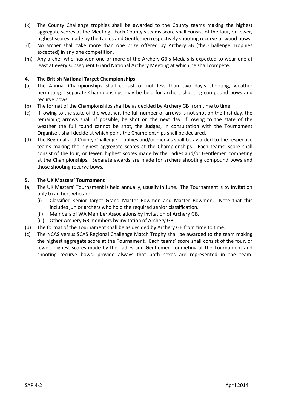- (k) The County Challenge trophies shall be awarded to the County teams making the highest aggregate scores at the Meeting. Each County's teams score shall consist of the four, or fewer, highest scores made by the Ladies and Gentlemen respectively shooting recurve or wood bows.
- (l) No archer shall take more than one prize offered by Archery GB (the Challenge Trophies excepted) in any one competition.
- (m) Any archer who has won one or more of the Archery GB's Medals is expected to wear one at least at every subsequent Grand National Archery Meeting at which he shall compete.

#### **4. The British National Target Championships**

- (a) The Annual Championships shall consist of not less than two day's shooting, weather permitting. Separate Championships may be held for archers shooting compound bows and recurve bows.
- (b) The format of the Championships shall be as decided by Archery GB from time to time.
- (c) If, owing to the state of the weather, the full number of arrows is not shot on the first day, the remaining arrows shall, if possible, be shot on the next day. If, owing to the state of the weather the full round cannot be shot, the Judges, in consultation with the Tournament Organiser, shall decide at which point the Championships shall be declared.
- (d) The Regional and County Challenge Trophies and/or medals shall be awarded to the respective teams making the highest aggregate scores at the Championships. Each teams' score shall consist of the four, or fewer, highest scores made by the Ladies and/or Gentlemen competing at the Championships. Separate awards are made for archers shooting compound bows and those shooting recurve bows.

#### **5. The UK Masters' Tournament**

- (a) The UK Masters' Tournament is held annually, usually in June. The Tournament is by invitation only to archers who are:
	- (i) Classified senior target Grand Master Bowmen and Master Bowmen. Note that this includes junior archers who hold the required senior classification.
	- (ii) Members of WA Member Associations by invitation of Archery GB.
	- (iii) Other Archery GB members by invitation of Archery GB.
- (b) The format of the Tournament shall be as decided by Archery GB from time to time.
- (c) The NCAS versus SCAS Regional Challenge Match Trophy shall be awarded to the team making the highest aggregate score at the Tournament. Each teams' score shall consist of the four, or fewer, highest scores made by the Ladies and Gentlemen competing at the Tournament and shooting recurve bows, provide always that both sexes are represented in the team.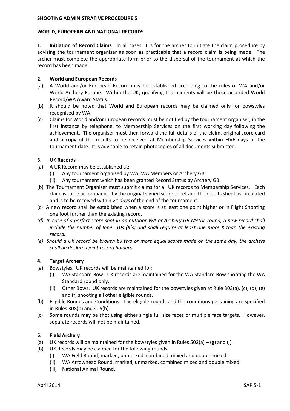#### **SHOOTING ADMINISTRATIVE PROCEDURE 5**

#### **WORLD, EUROPEAN AND NATIONAL RECORDS**

**1. Initiation of Record Claims** In all cases, it is for the archer to initiate the claim procedure by advising the tournament organiser as soon as practicable that a record claim is being made. The archer must complete the appropriate form prior to the dispersal of the tournament at which the record has been made.

#### **2. World and European Records**

- (a) A World and/or European Record may be established according to the rules of WA and/or World Archery Europe. Within the UK, qualifying tournaments will be those accorded World Record/WA Award Status.
- (b) It should be noted that World and European records may be claimed only for bowstyles recognised by WA.
- (c) Claims for World and/or European records must be notified by the tournament organiser, in the first instance by telephone, to Membership Services on the first working day following the achievement. The organiser must then forward the full details of the claim, original score card and a copy of the results to be received at Membership Services within FIVE days of the tournament date. It is advisable to retain photocopies of all documents submitted.

#### **3.** UK **Records**

- (a) A UK Record may be established at:
	- (i) Any tournament organised by WA, WA Members or Archery GB.
	- (ii) Any tournament which has been granted Record Status by Archery GB.
- (b) The Tournament Organiser must submit claims for all UK records to Membership Services. Each claim is to be accompanied by the original signed score sheet and the results sheet as circulated and is to be received within *21 days* of the end of the tournament.
- (c) A new record shall be established when a score is at least one point higher or in Flight Shooting one foot further than the existing record.
- *(d) In case of a perfect score shot in an outdoor WA or Archery GB Metric round, a new record shall include the number of Inner 10s (X's) and shall require at least one more X than the existing record.*
- *(e) Should a UK record be broken by two or more equal scores made on the same day, the archers shall be declared joint record holders*

## **4. Target Archery**

- (a) Bowstyles. UK records will be maintained for:
	- (i) WA Standard Bow. UK records are maintained for the WA Standard Bow shooting the WA Standard round only.
	- (ii) Other Bows. UK records are maintained for the bowstyles given at Rule 303(a), (c), (d), (e) and (f) shooting all other eligible rounds.
- (b) Eligible Rounds and Conditions. The eligible rounds and the conditions pertaining are specified in Rules 308(b) and 405(b).
- (c) Some rounds may be shot using either single full size faces or multiple face targets. However, separate records will not be maintained.

## **5. Field Archery**

- (a) UK records will be maintained for the bowstyles given in Rules  $502(a) (g)$  and (j).
- (b) UK Records may be claimed for the following rounds:
	- (i) WA Field Round, marked, unmarked, combined, mixed and double mixed.
	- (ii) WA Arrowhead Round, marked, unmarked, combined mixed and double mixed.
	- (iii) National Animal Round.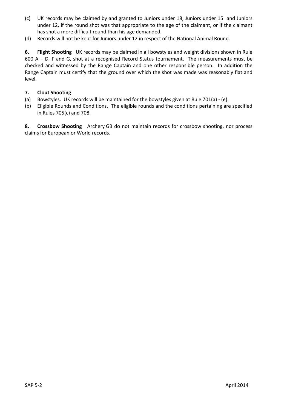- (c) UK records may be claimed by and granted to Juniors under 18, Juniors under 15 and Juniors under 12, if the round shot was that appropriate to the age of the claimant, or if the claimant has shot a more difficult round than his age demanded.
- (d) Records will not be kept for Juniors under 12 in respect of the National Animal Round.

**6. Flight Shooting** UK records may be claimed in all bowstyles and weight divisions shown in Rule 600 A – D, F and G, shot at a recognised Record Status tournament. The measurements must be checked and witnessed by the Range Captain and one other responsible person. In addition the Range Captain must certify that the ground over which the shot was made was reasonably flat and level.

## **7. Clout Shooting**

- (a) Bowstyles. UK records will be maintained for the bowstyles given at Rule 701(a) (e).
- (b) Eligible Rounds and Conditions. The eligible rounds and the conditions pertaining are specified in Rules 705(c) and 708.

**8. Crossbow Shooting** Archery GB do not maintain records for crossbow shooting, nor process claims for European or World records.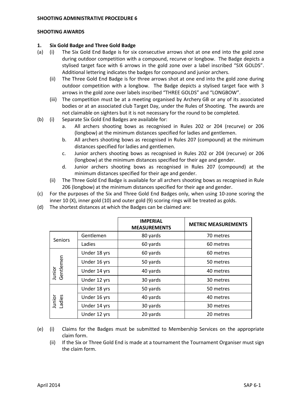#### **SHOOTING ADMINISTRATIVE PROCEDURE 6**

#### **SHOOTING AWARDS**

#### **1. Six Gold Badge and Three Gold Badge**

- (a) (i) The Six Gold End Badge is for six consecutive arrows shot at one end into the gold zone during outdoor competition with a compound, recurve or longbow. The Badge depicts a stylised target face with 6 arrows in the gold zone over a label inscribed "SIX GOLDS". Additional lettering indicates the badges for compound and junior archers.
	- (ii) The Three Gold End Badge is for three arrows shot at one end into the gold zone during outdoor competition with a longbow. The Badge depicts a stylised target face with 3 arrows in the gold zone over labels inscribed "THREE GOLDS" and "LONGBOW".
	- (iii) The competition must be at a meeting organised by Archery GB or any of its associated bodies or at an associated club Target Day, under the Rules of Shooting. The awards are not claimable on sighters but it is not necessary for the round to be completed.
- (b) (i) Separate Six Gold End Badges are available for:
	- a. All archers shooting bows as recognised in Rules 202 or 204 (recurve) or 206 (longbow) at the minimum distances specified for ladies and gentlemen.
	- b. All archers shooting bows as recognised in Rules 207 (compound) at the minimum distances specified for ladies and gentlemen.
	- c. Junior archers shooting bows as recognised in Rules 202 or 204 (recurve) or 206 (longbow) at the minimum distances specified for their age and gender.
	- d. Junior archers shooting bows as recognised in Rules 207 (compound) at the minimum distances specified for their age and gender.
	- (ii) The Three Gold End Badge is available for all archers shooting bows as recognised in Rule 206 (longbow) at the minimum distances specified for their age and gender.
- (c) For the purposes of the Six and Three Gold End Badges only, when using 10-zone scoring the inner 10 (X), inner gold (10) and outer gold (9) scoring rings will be treated as golds.
- (d) The shortest distances at which the Badges can be claimed are:

|                     |              | <b>IMPERIAL</b><br><b>MEASUREMENTS</b> | <b>METRIC MEASUREMENTS</b> |
|---------------------|--------------|----------------------------------------|----------------------------|
| Seniors             | Gentlemen    | 80 yards                               | 70 metres                  |
|                     | Ladies       | 60 yards                               | 60 metres                  |
|                     | Under 18 yrs | 60 yards                               | 60 metres                  |
| Junior<br>Gentlemen | Under 16 yrs | 50 yards                               | 50 metres                  |
|                     | Under 14 yrs | 40 yards                               | 40 metres                  |
|                     | Under 12 yrs | 30 yards                               | 30 metres                  |
|                     | Under 18 yrs | 50 yards                               | 50 metres                  |
| Junior<br>Ladies    | Under 16 yrs | 40 yards                               | 40 metres                  |
|                     | Under 14 yrs | 30 yards                               | 30 metres                  |
|                     | Under 12 yrs | 20 yards                               | 20 metres                  |

- (e) (i) Claims for the Badges must be submitted to Membership Services on the appropriate claim form.
	- (ii) If the Six or Three Gold End is made at a tournament the Tournament Organiser must sign the claim form.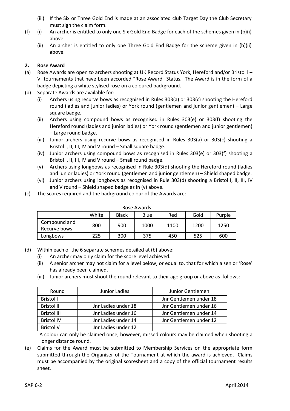- (iii) If the Six or Three Gold End is made at an associated club Target Day the Club Secretary must sign the claim form.
- (f) (i) An archer is entitled to only one Six Gold End Badge for each of the schemes given in (b)(i) above.
	- (ii) An archer is entitled to only one Three Gold End Badge for the scheme given in (b)(ii) above.

# **2. Rose Award**

- (a) Rose Awards are open to archers shooting at UK Record Status York, Hereford and/or Bristol l V tournaments that have been accorded "Rose Award" Status. The Award is in the form of a badge depicting a white stylised rose on a coloured background.
- (b) Separate Awards are available for:
	- (i) Archers using recurve bows as recognised in Rules 303(a) or 303(c) shooting the Hereford round (ladies and junior ladies) or York round (gentlemen and junior gentlemen) – Large square badge.
	- (ii) Archers using compound bows as recognised in Rules 303(e) or 303(f) shooting the Hereford round (ladies and junior ladies) or York round (gentlemen and junior gentlemen) – Large round badge.
	- (iii) Junior archers using recurve bows as recognised in Rules 303(a) or 303(c) shooting a Bristol I, II, III, IV and V round – Small square badge.
	- (iv) Junior archers using compound bows as recognised in Rules 303(e) or 303(f) shooting a Bristol I, II, III, IV and V round – Small round badge.
	- (v) Archers using longbows as recognised in Rule 303(d) shooting the Hereford round (ladies and junior ladies) or York round (gentlemen and junior gentlemen) – Shield shaped badge.
	- (vi) Junior archers using longbows as recognised in Rule 303(d) shooting a Bristol I, II, III, IV and V round – Shield shaped badge as in (v) above.
- (c) The scores required and the background colour of the Awards are:

| RUSE AWAIUS                  |       |              |      |      |      |        |  |  |  |
|------------------------------|-------|--------------|------|------|------|--------|--|--|--|
|                              | White | <b>Black</b> | Blue | Red  | Gold | Purple |  |  |  |
| Compound and<br>Recurve bows | 800   | 900          | 1000 | 1100 | 1200 | 1250   |  |  |  |
| Longbows                     | 225   | 300          | 375  | 450  | 525  | 600    |  |  |  |

- (d) Within each of the 6 separate schemes detailed at (b) above:
	- (i) An archer may only claim for the score level achieved.
	- (ii) A senior archer may not claim for a level below, or equal to, that for which a senior 'Rose' has already been claimed.
	- (iii) Junior archers must shoot the round relevant to their age group or above as follows:

| Round              | Junior Ladies       | Junior Gentlemen       |
|--------------------|---------------------|------------------------|
| Bristol I          |                     | Jnr Gentlemen under 18 |
| <b>Bristol II</b>  | Jnr Ladies under 18 | Jnr Gentlemen under 16 |
| <b>Bristol III</b> | Jnr Ladies under 16 | Jnr Gentlemen under 14 |
| <b>Bristol IV</b>  | Jnr Ladies under 14 | Jnr Gentlemen under 12 |
| <b>Bristol V</b>   | Jnr Ladies under 12 |                        |

A colour can only be claimed once, however, missed colours may be claimed when shooting a longer distance round.

(e) Claims for the Award must be submitted to Membership Services on the appropriate form submitted through the Organiser of the Tournament at which the award is achieved. Claims must be accompanied by the original scoresheet and a copy of the official tournament results sheet.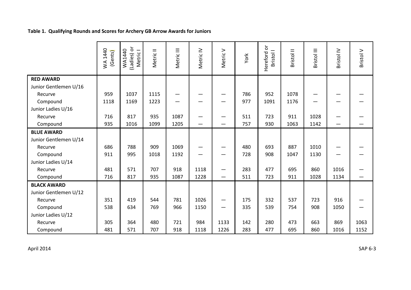# **Table 1. Qualifying Rounds and Scores for Archery GB Arrow Awards for Juniors**

|                       | WA 1440<br>(Gents) | (Ladies) or<br>WA1440<br>Metric I | Metric II | Metric III | Metric IV | Metric V                 | York | $\overleftarrow{\mathrm{o}}$<br>Bristol <sup>1</sup><br>Hereford | Bristol <sup>I</sup> | Bristol III | Bristol <sub>IV</sub> | Bristol V |
|-----------------------|--------------------|-----------------------------------|-----------|------------|-----------|--------------------------|------|------------------------------------------------------------------|----------------------|-------------|-----------------------|-----------|
| <b>RED AWARD</b>      |                    |                                   |           |            |           |                          |      |                                                                  |                      |             |                       |           |
| Junior Gentlemen U/16 |                    |                                   |           |            |           |                          |      |                                                                  |                      |             |                       |           |
| Recurve               | 959                | 1037                              | 1115      |            |           |                          | 786  | 952                                                              | 1078                 |             |                       |           |
| Compound              | 1118               | 1169                              | 1223      |            |           |                          | 977  | 1091                                                             | 1176                 |             |                       |           |
| Junior Ladies U/16    |                    |                                   |           |            |           |                          |      |                                                                  |                      |             |                       |           |
| Recurve               | 716                | 817                               | 935       | 1087       |           |                          | 511  | 723                                                              | 911                  | 1028        |                       |           |
| Compound              | 935                | 1016                              | 1099      | 1205       | —         |                          | 757  | 930                                                              | 1063                 | 1142        |                       |           |
| <b>BLUE AWARD</b>     |                    |                                   |           |            |           |                          |      |                                                                  |                      |             |                       |           |
| Junior Gentlemen U/14 |                    |                                   |           |            |           |                          |      |                                                                  |                      |             |                       |           |
| Recurve               | 686                | 788                               | 909       | 1069       |           |                          | 480  | 693                                                              | 887                  | 1010        |                       |           |
| Compound              | 911                | 995                               | 1018      | 1192       |           |                          | 728  | 908                                                              | 1047                 | 1130        |                       |           |
| Junior Ladies U/14    |                    |                                   |           |            |           |                          |      |                                                                  |                      |             |                       |           |
| Recurve               | 481                | 571                               | 707       | 918        | 1118      |                          | 283  | 477                                                              | 695                  | 860         | 1016                  |           |
| Compound              | 716                | 817                               | 935       | 1087       | 1228      | $\overline{\phantom{0}}$ | 511  | 723                                                              | 911                  | 1028        | 1134                  |           |
| <b>BLACK AWARD</b>    |                    |                                   |           |            |           |                          |      |                                                                  |                      |             |                       |           |
| Junior Gentlemen U/12 |                    |                                   |           |            |           |                          |      |                                                                  |                      |             |                       |           |
| Recurve               | 351                | 419                               | 544       | 781        | 1026      | —                        | 175  | 332                                                              | 537                  | 723         | 916                   |           |
| Compound              | 538                | 634                               | 769       | 966        | 1150      | –                        | 335  | 539                                                              | 754                  | 908         | 1050                  |           |
| Junior Ladies U/12    |                    |                                   |           |            |           |                          |      |                                                                  |                      |             |                       |           |
| Recurve               | 305                | 364                               | 480       | 721        | 984       | 1133                     | 142  | 280                                                              | 473                  | 663         | 869                   | 1063      |
| Compound              | 481                | 571                               | 707       | 918        | 1118      | 1226                     | 283  | 477                                                              | 695                  | 860         | 1016                  | 1152      |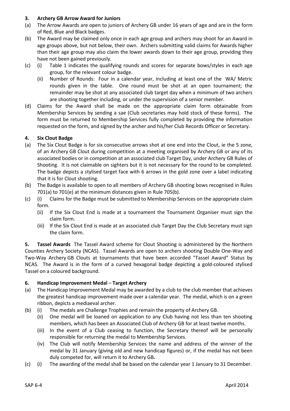## **3. Archery GB Arrow Award for Juniors**

- (a) The Arrow Awards are open to juniors of Archery GB under 16 years of age and are in the form of Red, Blue and Black badges.
- (b) The Award may be claimed only once in each age group and archers may shoot for an Award in age groups above, but not below, their own. Archers submitting valid claims for Awards higher than their age group may also claim the lower awards down to their age group, providing they have not been gained previously.
- (c) (i) Table 1 indicates the qualifying rounds and scores for separate bows/styles in each age group, for the relevant colour badge.
	- (ii) Number of Rounds: Four in a calendar year, including at least one of the WA/ Metric rounds given in the table. One round must be shot at an open tournament; the remainder may be shot at any associated club target day when a minimum of two archers are shooting together including, or under the supervision of a senior member.
- (d) Claims for the Award shall be made on the appropriate claim form obtainable from Membership Services by sending a sae (Club secretaries may hold stock of these forms). The form must be returned to Membership Services fully completed by providing the information requested on the form, and signed by the archer and his/her Club Records Officer or Secretary.

# **4. Six Clout Badge**

- (a) The Six Clout Badge is for six consecutive arrows shot at one end into the Clout, ie the 5 zone, of an Archery GB Clout during competition at a meeting organised by Archery GB or any of its associated bodies or in competition at an associated club Target Day, under Archery GB Rules of Shooting. It is not claimable on sighters but it is not necessary for the round to be completed. The badge depicts a stylised target face with 6 arrows in the gold zone over a label indicating that it is for Clout shooting.
- (b) The Badge is available to open to all members of Archery GB shooting bows recognised in Rules 701(a) to 701(e) at the minimum distances given in Rule 705(b).
- (c) (i) Claims for the Badge must be submitted to Membership Services on the appropriate claim form.
	- (ii) If the Six Clout End is made at a tournament the Tournament Organiser must sign the claim form.
	- (iii) If the Six Clout End is made at an associated club Target Day the Club Secretary must sign the claim form.

**5. Tassel Awards** The Tassel Award scheme for Clout Shooting is administered by the Northern Counties Archery Society (NCAS). Tassel Awards are open to archers shooting Double One-Way and Two-Way Archery GB Clouts at tournaments that have been accorded "Tassel Award" Status by NCAS. The Award is in the form of a curved hexagonal badge depicting a gold-coloured stylised Tassel on a coloured background.

## **6.** Handicap Improvement Medal – Target Archery

- (a) The Handicap Improvement Medal may be awarded by a club to the club member that achieves the greatest handicap improvement made over a calendar year. The medal, which is on a green ribbon, depicts a mediaeval archer.
- (b) (i) The medals are Challenge Trophies and remain the property of Archery GB.
	- (ii) One medal will be loaned on application to any Club having not less than ten shooting members, which has been an Associated Club of Archery GB for at least twelve months.
	- (iii) In the event of a Club ceasing to function, the Secretary thereof will be personally responsible for returning the medal to Membership Services.
	- (iv) The Club will notify Membership Services the name and address of the winner of the medal by 31 January (giving old and new handicap figures) or, if the medal has not been duly competed for, will return it to Archery GB**.**
- (c) (i) The awarding of the medal shall be based on the calendar year 1 January to 31 December.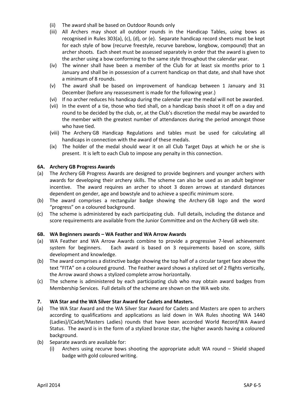- (ii) The award shall be based on Outdoor Rounds only
- (iii) All Archers may shoot all outdoor rounds in the Handicap Tables, using bows as recognised in Rules 303(a), (c), (d), or (e). Separate handicap record sheets must be kept for each style of bow (recurve freestyle, recurve barebow, longbow, compound) that an archer shoots. Each sheet must be assessed separately in order that the award is given to the archer using a bow conforming to the same style throughout the calendar year.
- (iv) The winner shall have been a member of the Club for at least six months prior to 1 January and shall be in possession of a current handicap on that date, and shall have shot a minimum of 8 rounds.
- (v) The award shall be based on improvement of handicap between 1 January and 31 December (before any reassessment is made for the following year.)
- (vi) If no archer reduces his handicap during the calendar year the medal will not be awarded.
- (vii) In the event of a tie, those who tied shall, on a handicap basis shoot it off on a day and round to be decided by the club, or, at the Club's discretion the medal may be awarded to the member with the greatest number of attendances during the period amongst those who have tied.
- (viii) The Archery GB Handicap Regulations and tables must be used for calculating all handicaps in connection with the award of these medals.
- (ix) The holder of the medal should wear it on all Club Target Days at which he or she is present. It is left to each Club to impose any penalty in this connection.

#### **6A. Archery GB Progress Awards**

- (a) The Archery GB Progress Awards are designed to provide beginners and younger archers with awards for developing their archery skills. The scheme can also be used as an adult beginner incentive. The award requires an archer to shoot 3 dozen arrows at standard distances dependent on gender, age and bowstyle and to achieve a specific minimum score.
- (b) The award comprises a rectangular badge showing the Archery GB logo and the word "progress" on a coloured background.
- (c) The scheme is administered by each participating club. Full details, including the distance and score requirements are available from the Junior Committee and on the Archery GB web site.

#### **6B. WA Beginners awards – WA Feather and WA Arrow Awards**

- (a) WA Feather and WA Arrow Awards combine to provide a progressive 7-level achievement system for beginners. Each award is based on 3 requirements based on score, skills development and knowledge.
- (b) The award comprises a distinctive badge showing the top half of a circular target face above the text "FITA" on a coloured ground. The Feather award shows a stylized set of 2 flights vertically, the Arrow award shows a stylized complete arrow horizontally.
- (c) The scheme is administered by each participating club who may obtain award badges from Membership Services. Full details of the scheme are shown on the WA web site.

#### **7. WA Star and the WA Silver Star Award for Cadets and Masters.**

- (a) The WA Star Award and the WA Silver Star Award for Cadets and Masters are open to archers according to qualifications and applications as laid down in WA Rules shooting WA 1440 (Ladies)/(Cadet/Masters Ladies) rounds that have been accorded World Record/WA Award Status. The award is in the form of a stylized bronze star, the higher awards having a coloured background.
- (b) Separate awards are available for:
	- (i) Archers using recurve bows shooting the appropriate adult WA round Shield shaped badge with gold coloured writing.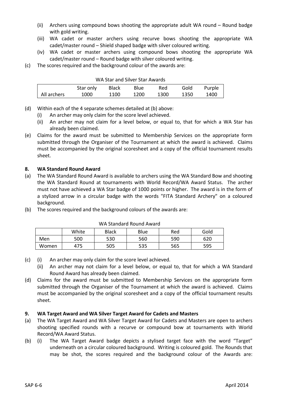- (ii) Archers using compound bows shooting the appropriate adult WA round Round badge with gold writing.
- (iii) WA cadet or master archers using recurve bows shooting the appropriate WA cadet/master round – Shield shaped badge with silver coloured writing.
- (iv) WA cadet or master archers using compound bows shooting the appropriate WA cadet/master round – Round badge with silver coloured writing.
- (c) The scores required and the background colour of the awards are:

| WA Star and Silver Star Awards |           |       |      |      |      |        |  |  |  |
|--------------------------------|-----------|-------|------|------|------|--------|--|--|--|
|                                | Star only | Black | Blue | Red  | Gold | Purple |  |  |  |
| All archers                    | 1000      | 1100  | 1200 | 1300 | 1350 | 1400   |  |  |  |

- (d) Within each of the 4 separate schemes detailed at (b) above:
	- (i) An archer may only claim for the score level achieved.
	- (ii) An archer may not claim for a level below, or equal to, that for which a WA Star has already been claimed.
- (e) Claims for the award must be submitted to Membership Services on the appropriate form submitted through the Organiser of the Tournament at which the award is achieved. Claims must be accompanied by the original scoresheet and a copy of the official tournament results sheet.

## **8. WA Standard Round Award**

- (a) The WA Standard Round Award is available to archers using the WA Standard Bow and shooting the WA Standard Round at tournaments with World Record/WA Award Status. The archer must not have achieved a WA Star badge of 1000 points or higher. The award is in the form of a stylized arrow in a circular badge with the words "FITA Standard Archery" on a coloured background.
- (b) The scores required and the background colours of the awards are:

|       | White | <b>Black</b> | Blue | Red | Gold |  |  |  |  |  |
|-------|-------|--------------|------|-----|------|--|--|--|--|--|
| Men   | 500   | 530          | 560  | 590 | 620  |  |  |  |  |  |
| Women | 475   | 505          | 535  | 565 | 595  |  |  |  |  |  |

WA Standard Round Award

- (c) (i) An archer may only claim for the score level achieved.
	- (ii) An archer may not claim for a level below, or equal to, that for which a WA Standard Round Award has already been claimed.
- (d) Claims for the award must be submitted to Membership Services on the appropriate form submitted through the Organiser of the Tournament at which the award is achieved. Claims must be accompanied by the original scoresheet and a copy of the official tournament results sheet.

## **9. WA Target Award and WA Silver Target Award for Cadets and Masters**

- (a) The WA Target Award and WA Silver Target Award for Cadets and Masters are open to archers shooting specified rounds with a recurve or compound bow at tournaments with World Record/WA Award Status.
- (b) (i) The WA Target Award badge depicts a stylised target face with the word "Target" underneath on a circular coloured background. Writing is coloured gold. The Rounds that may be shot, the scores required and the background colour of the Awards are: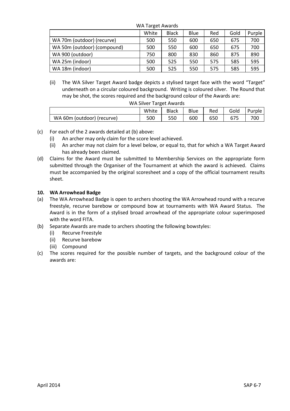| <b>WA Target Awards</b>     |       |              |      |     |      |        |  |  |  |
|-----------------------------|-------|--------------|------|-----|------|--------|--|--|--|
|                             | White | <b>Black</b> | Blue | Red | Gold | Purple |  |  |  |
| WA 70m (outdoor) (recurve)  | 500   | 550          | 600  | 650 | 675  | 700    |  |  |  |
| WA 50m (outdoor) (compound) | 500   | 550          | 600  | 650 | 675  | 700    |  |  |  |
| WA 900 (outdoor)            | 750   | 800          | 830  | 860 | 875  | 890    |  |  |  |
| WA 25m (indoor)             | 500   | 525          | 550  | 575 | 585  | 595    |  |  |  |
| WA 18m (indoor)             | 500   | 525          | 550  | 575 | 585  | 595    |  |  |  |

 (ii) The WA Silver Target Award badge depicts a stylised target face with the word "Target" underneath on a circular coloured background. Writing is coloured silver. The Round that may be shot, the scores required and the background colour of the Awards are: WA Silver Target Awards

|                            | White | <b>Black</b> | Blue | Red | Gold | l Purple |  |  |  |  |
|----------------------------|-------|--------------|------|-----|------|----------|--|--|--|--|
| WA 60m (outdoor) (recurve) | 500   | 550          | 600  | 650 | 675  | 700      |  |  |  |  |

- (c) For each of the 2 awards detailed at (b) above:
	- (i) An archer may only claim for the score level achieved.
	- (ii) An archer may not claim for a level below, or equal to, that for which a WA Target Award has already been claimed.
- (d) Claims for the Award must be submitted to Membership Services on the appropriate form submitted through the Organiser of the Tournament at which the award is achieved. Claims must be accompanied by the original scoresheet and a copy of the official tournament results sheet.

#### **10. WA Arrowhead Badge**

- (a) The WA Arrowhead Badge is open to archers shooting the WA Arrowhead round with a recurve freestyle, recurve barebow or compound bow at tournaments with WA Award Status. The Award is in the form of a stylised broad arrowhead of the appropriate colour superimposed with the word FITA.
- (b) Separate Awards are made to archers shooting the following bowstyles:
	- (i) Recurve Freestyle
	- (ii) Recurve barebow
	- (iii) Compound
- (c) The scores required for the possible number of targets, and the background colour of the awards are: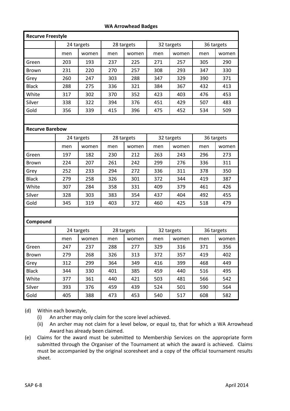#### **WA Arrowhead Badges**

|                        | <b>Recurve Freestyle</b> |       |     |            |     |            |            |       |  |  |  |  |
|------------------------|--------------------------|-------|-----|------------|-----|------------|------------|-------|--|--|--|--|
|                        | 24 targets               |       |     | 28 targets |     | 32 targets | 36 targets |       |  |  |  |  |
|                        | men                      | women | men | women      | men | women      | men        | women |  |  |  |  |
| Green                  | 203                      | 193   | 237 | 225        | 271 | 257        | 305        | 290   |  |  |  |  |
| Brown                  | 231                      | 220   | 270 | 257        | 308 | 293        | 347        | 330   |  |  |  |  |
| Grey                   | 260                      | 247   | 303 | 288        | 347 | 329        | 390        | 371   |  |  |  |  |
| <b>Black</b>           | 288                      | 275   | 336 | 321        | 384 | 367        | 432        | 413   |  |  |  |  |
| White                  | 317                      | 302   | 370 | 352        | 423 | 403        | 476        | 453   |  |  |  |  |
| Silver                 | 338                      | 322   | 394 | 376        | 451 | 429        | 507        | 483   |  |  |  |  |
| Gold                   | 356                      | 339   | 415 | 396        | 475 | 452        | 534        | 509   |  |  |  |  |
|                        |                          |       |     |            |     |            |            |       |  |  |  |  |
| <b>Recurve Barebow</b> |                          |       |     |            |     |            |            |       |  |  |  |  |
|                        | 24 targets               |       |     | 28 targets |     | 32 targets | 36 targets |       |  |  |  |  |
|                        | men                      | women | men | women      | men | women      | men        | women |  |  |  |  |
| Green                  | 197                      | 182   | 230 | 212        | 263 | 243        | 296        | 273   |  |  |  |  |
| Brown                  | 224                      | 207   | 261 | 242        | 299 | 276        | 336        | 311   |  |  |  |  |
| Grey                   | 252                      | 233   | 294 | 272        | 336 | 311        | 378        | 350   |  |  |  |  |
| <b>Black</b>           | 279                      | 258   | 326 | 301        | 372 | 344        | 419        | 387   |  |  |  |  |
| White                  | 307                      | 284   | 358 | 331        | 409 | 379        | 461        | 426   |  |  |  |  |
| Silver                 | 328                      | 303   | 383 | 354        | 437 | 404        | 492        | 455   |  |  |  |  |
| Gold                   | 345                      | 319   | 403 | 372        | 460 | 425        | 518        | 479   |  |  |  |  |
|                        |                          |       |     |            |     |            |            |       |  |  |  |  |
| Compound               |                          |       |     |            |     |            |            |       |  |  |  |  |
|                        | 24 targets               |       |     | 28 targets |     | 32 targets | 36 targets |       |  |  |  |  |
|                        | men                      | women | men | women      | men | women      | men        | women |  |  |  |  |
| Green                  | 247                      | 237   | 288 | 277        | 329 | 316        | 371        | 356   |  |  |  |  |
| Brown                  | 279                      | 268   | 326 | 313        | 372 | 357        | 419        | 402   |  |  |  |  |
| Grey                   | 312                      | 299   | 364 | 349        | 416 | 399        | 468        | 449   |  |  |  |  |
| <b>Black</b>           | 344                      | 330   | 401 | 385        | 459 | 440        | 516        | 495   |  |  |  |  |
| White                  | 377                      | 361   | 440 | 421        | 503 | 481        | 566        | 542   |  |  |  |  |
| Silver                 | 393                      | 376   | 459 | 439        | 524 | 501        | 590        | 564   |  |  |  |  |
| Gold                   | 405                      | 388   | 473 | 453        | 540 | 517        | 608        | 582   |  |  |  |  |

(d) Within each bowstyle,

(i) An archer may only claim for the score level achieved.

- (ii) An archer may not claim for a level below, or equal to, that for which a WA Arrowhead Award has already been claimed.
- (e) Claims for the award must be submitted to Membership Services on the appropriate form submitted through the Organiser of the Tournament at which the award is achieved. Claims must be accompanied by the original scoresheet and a copy of the official tournament results sheet.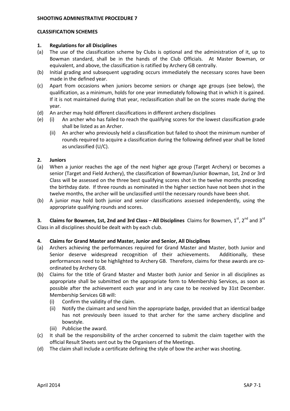#### **SHOOTING ADMINISTRATIVE PROCEDURE 7**

## **CLASSIFICATION SCHEMES**

#### **1. Regulations for all Disciplines**

- (a) The use of the classification scheme by Clubs is optional and the administration of it, up to Bowman standard, shall be in the hands of the Club Officials. At Master Bowman, or equivalent, and above, the classification is ratified by Archery GB centrally.
- (b) Initial grading and subsequent upgrading occurs immediately the necessary scores have been made in the defined year.
- (c) Apart from occasions when juniors become seniors or change age groups (see below), the qualification, as a minimum, holds for one year immediately following that in which it is gained. If it is not maintained during that year, reclassification shall be on the scores made during the year.
- (d) An archer may hold different classifications in different archery disciplines
- (e) (i) An archer who has failed to reach the qualifying scores for the lowest classification grade shall be listed as an Archer.
	- (ii) An archer who previously held a classification but failed to shoot the minimum number of rounds required to acquire a classification during the following defined year shall be listed as unclassified (U/C).

#### **2. Juniors**

- (a) When a junior reaches the age of the next higher age group (Target Archery) or becomes a senior (Target and Field Archery), the classification of Bowman/Junior Bowman, 1st, 2nd or 3rd Class will be assessed on the three best qualifying scores shot in the twelve months preceding the birthday date. If three rounds as nominated in the higher section have not been shot in the twelve months, the archer will be unclassified until the necessary rounds have been shot.
- (b) A junior may hold both junior and senior classifications assessed independently, using the appropriate qualifying rounds and scores.

**3.** Claims for Bowmen, 1st, 2nd and 3rd Class – All Disciplines Claims for Bowmen, 1st, 2<sup>nd</sup> and 3<sup>rd</sup> Class in all disciplines should be dealt with by each club.

#### **4. Claims for Grand Master and Master, Junior and Senior, All Disciplines**

- (a) Archers achieving the performances required for Grand Master and Master, both Junior and Senior deserve widespread recognition of their achievements. Additionally, these performances need to be highlighted to Archery GB. Therefore, claims for these awards are coordinated by Archery GB.
- (b) Claims for the title of Grand Master and Master both Junior and Senior in all disciplines as appropriate shall be submitted on the appropriate form to Membership Services, as soon as possible after the achievement each year and in any case to be received by 31st December. Membership Services GB will:
	- (i) Confirm the validity of the claim.
	- (ii) Notify the claimant and send him the appropriate badge, provided that an identical badge has not previously been issued to that archer for the same archery discipline and bowstyle.
	- (iii) Publicise the award.
- (c) It shall be the responsibility of the archer concerned to submit the claim together with the official Result Sheets sent out by the Organisers of the Meetings.
- (d) The claim shall include a certificate defining the style of bow the archer was shooting.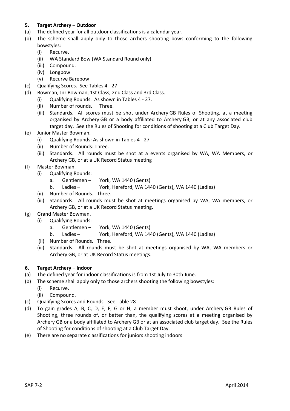# **5. Target Archery – Outdoor**

- (a) The defined year for all outdoor classifications is a calendar year.
- (b) The scheme shall apply only to those archers shooting bows conforming to the following bowstyles:
	- (i) Recurve.
	- (ii) WA Standard Bow (WA Standard Round only)
	- (iii) Compound.
	- (iv) Longbow
	- (v) Recurve Barebow
- (c) Qualifying Scores. See Tables 4 27
- (d) Bowman, Jnr Bowman, 1st Class, 2nd Class and 3rd Class.
	- (i) Qualifying Rounds. As shown in Tables 4 27.
	- (ii) Number of rounds. Three.
	- (iii) Standards. All scores must be shot under Archery GB Rules of Shooting, at a meeting organised by Archery GB or a body affiliated to Archery GB, or at any associated club target day. See the Rules of Shooting for conditions of shooting at a Club Target Day.
- (e) Junior Master Bowman.
	- (i) Qualifying Rounds: As shown in Tables 4 27
	- (ii) Number of Rounds: Three.
	- (iii) Standards. All rounds must be shot at a events organised by WA, WA Members, or Archery GB, or at a UK Record Status meeting
- (f) Master Bowman.
	- (i) Qualifying Rounds:
		- a. Gentlemen York, WA 1440 (Gents)
		- b. Ladies York, Hereford, WA 1440 (Gents), WA 1440 (Ladies)
	- (ii) Number of Rounds. Three.
	- (iii) Standards. All rounds must be shot at meetings organised by WA, WA members, or Archery GB, or at a UK Record Status meeting.
- (g) Grand Master Bowman.
	- (i) Qualifying Rounds:
		- a. Gentlemen York, WA 1440 (Gents)
		- b. Ladies York, Hereford, WA 1440 (Gents), WA 1440 (Ladies)
	- (ii) Number of Rounds. Three.
	- (iii) Standards. All rounds must be shot at meetings organised by WA, WA members or Archery GB, or at UK Record Status meetings.

## **6. Target Archery** – **Indoor**

- (a) The defined year for indoor classifications is from 1st July to 30th June.
- (b) The scheme shall apply only to those archers shooting the following bowstyles:
	- (i) Recurve.
	- (ii) Compound.
- (c) Qualifying Scores and Rounds. See Table 28
- (d) To gain grades A, B, C, D, E, F, G or H, a member must shoot, under Archery GB Rules of Shooting, three rounds of, or better than, the qualifying scores at a meeting organised by Archery GB or a body affiliated to Archery GB or at an associated club target day. See the Rules of Shooting for conditions of shooting at a Club Target Day.
- (e) There are no separate classifications for juniors shooting indoors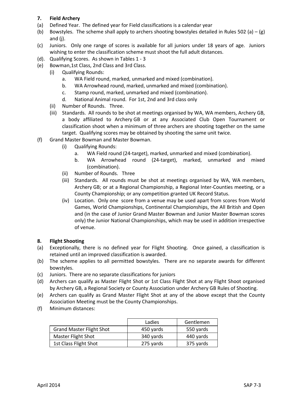# **7. Field Archery**

- (a) Defined Year. The defined year for Field classifications is a calendar year
- (b) Bowstyles. The scheme shall apply to archers shooting bowstyles detailed in Rules 502 (a) (g) and (j).
- (c) Juniors. Only one range of scores is available for all juniors under 18 years of age. Juniors wishing to enter the classification scheme must shoot the full adult distances.
- (d). Qualifying Scores. As shown in Tables 1 3
- (e) Bowman,1st Class, 2nd Class and 3rd Class.
	- (i) Qualifying Rounds:
		- a. WA Field round, marked, unmarked and mixed (combination).
		- b. WA Arrowhead round, marked, unmarked and mixed (combination).
		- c. Stamp round, marked, unmarked and mixed (combination).
		- d. National Animal round. For 1st, 2nd and 3rd class only
	- (ii) Number of Rounds. Three.
	- (iii) Standards. All rounds to be shot at meetings organised by WA, WA members, Archery GB, a body affiliated to Archery GB or at any Associated Club Open Tournament or classification shoot when a minimum of three archers are shooting together on the same target. Qualifying scores may be obtained by shooting the same unit twice.
- (f) Grand Master Bowman and Master Bowman.
	- (i) Qualifying Rounds:
		- a. WA Field round (24-target), marked, unmarked and mixed (combination).
		- b. WA Arrowhead round (24-target), marked, unmarked and mixed (combination).
	- (ii) Number of Rounds. Three
	- (iii) Standards. All rounds must be shot at meetings organised by WA, WA members, Archery GB; or at a Regional Championship, a Regional Inter-Counties meeting, or a County Championship; or any competition granted UK Record Status.
	- (iv) Location. Only one score from a venue may be used apart from scores from World Games, World Championships, Continental Championships, the All British and Open and (in the case of Junior Grand Master Bowman and Junior Master Bowman scores only) the Junior National Championships, which may be used in addition irrespective of venue.

## **8. Flight Shooting**

- (a) Exceptionally, there is no defined year for Flight Shooting. Once gained, a classification is retained until an improved classification is awarded.
- (b) The scheme applies to all permitted bowstyles. There are no separate awards for different bowstyles.
- (c) Juniors. There are no separate classifications for juniors
- (d) Archers can qualify as Master Flight Shot or 1st Class Flight Shot at any Flight Shoot organised by Archery GB, a Regional Society or County Association under Archery GB Rules of Shooting.
- (e) Archers can qualify as Grand Master Flight Shot at any of the above except that the County Association Meeting must be the County Championships.
- (f) Minimum distances:

|                                 | Ladies    | Gentlemen |
|---------------------------------|-----------|-----------|
| <b>Grand Master Flight Shot</b> | 450 yards | 550 yards |
| Master Flight Shot              | 340 yards | 440 yards |
| 1st Class Flight Shot           | 275 yards | 375 yards |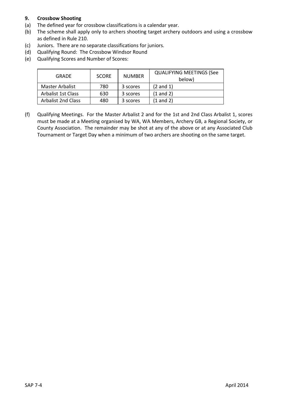# **9. Crossbow Shooting**

- (a) The defined year for crossbow classifications is a calendar year.
- (b) The scheme shall apply only to archers shooting target archery outdoors and using a crossbow as defined in Rule 210.
- (c) Juniors. There are no separate classifications for juniors.
- (d) Qualifying Round: The Crossbow Windsor Round
- (e) Qualifying Scores and Number of Scores:

| GRADE                     | <b>SCORE</b> | <b>NUMBER</b> | <b>QUALIFYING MEETINGS (See</b><br>below) |
|---------------------------|--------------|---------------|-------------------------------------------|
| <b>Master Arbalist</b>    | 780          | 3 scores      | $(2 \text{ and } 1)$                      |
| <b>Arbalist 1st Class</b> | 630          | 3 scores      | $(1$ and $2)$                             |
| <b>Arbalist 2nd Class</b> | 480          | 3 scores      | $(1$ and $2)$                             |

(f) Qualifying Meetings. For the Master Arbalist 2 and for the 1st and 2nd Class Arbalist 1, scores must be made at a Meeting organised by WA, WA Members, Archery GB, a Regional Society, or County Association. The remainder may be shot at any of the above or at any Associated Club Tournament or Target Day when a minimum of two archers are shooting on the same target.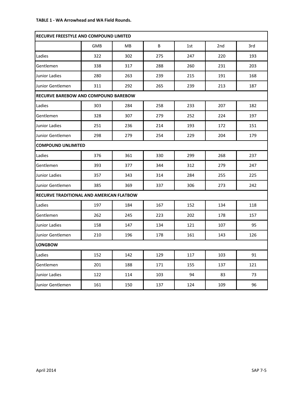#### **TABLE 1 - WA Arrowhead and WA Field Rounds.**

| RECURVE FREESTYLE AND COMPOUND LIMITED   |                           |           |     |     |                 |     |  |  |  |  |  |
|------------------------------------------|---------------------------|-----------|-----|-----|-----------------|-----|--|--|--|--|--|
|                                          | <b>GMB</b>                | <b>MB</b> | B   | 1st | 2 <sub>nd</sub> | 3rd |  |  |  |  |  |
| Ladies                                   | 322                       | 302       | 275 | 247 | 220             | 193 |  |  |  |  |  |
| Gentlemen                                | 338                       | 317       | 288 | 260 | 231             | 203 |  |  |  |  |  |
| Junior Ladies                            | 280                       | 263       | 239 | 215 | 191             | 168 |  |  |  |  |  |
| Junior Gentlemen                         | 311                       | 292       | 265 | 239 | 213             | 187 |  |  |  |  |  |
| RECURVE BAREBOW AND COMPOUND BAREBOW     |                           |           |     |     |                 |     |  |  |  |  |  |
| Ladies                                   | 303                       | 284       | 258 | 233 | 207             | 182 |  |  |  |  |  |
| Gentlemen                                | 328                       | 307       | 279 | 252 | 224             | 197 |  |  |  |  |  |
| Junior Ladies                            | 251                       | 236       | 214 | 193 | 172             | 151 |  |  |  |  |  |
| Junior Gentlemen                         | 298                       | 279       | 254 | 229 | 204             | 179 |  |  |  |  |  |
|                                          | <b>COMPOUND UNLIMITED</b> |           |     |     |                 |     |  |  |  |  |  |
| Ladies                                   | 376                       | 361       | 330 | 299 | 268             | 237 |  |  |  |  |  |
| Gentlemen                                | 393                       | 377       | 344 | 312 | 279             | 247 |  |  |  |  |  |
| Junior Ladies                            | 357                       | 343       | 314 | 284 | 255             | 225 |  |  |  |  |  |
| Junior Gentlemen                         | 385                       | 369       | 337 | 306 | 273             | 242 |  |  |  |  |  |
| RECURVE TRADITIONAL AND AMERICAN FLATBOW |                           |           |     |     |                 |     |  |  |  |  |  |
| Ladies                                   | 197                       | 184       | 167 | 152 | 134             | 118 |  |  |  |  |  |
| Gentlemen                                | 262                       | 245       | 223 | 202 | 178             | 157 |  |  |  |  |  |
| Junior Ladies                            | 158                       | 147       | 134 | 121 | 107             | 95  |  |  |  |  |  |
| Junior Gentlemen                         | 210                       | 196       | 178 | 161 | 143             | 126 |  |  |  |  |  |
| <b>LONGBOW</b>                           |                           |           |     |     |                 |     |  |  |  |  |  |
| Ladies                                   | 152                       | 142       | 129 | 117 | 103             | 91  |  |  |  |  |  |
| Gentlemen                                | 201                       | 188       | 171 | 155 | 137             | 121 |  |  |  |  |  |
| Junior Ladies                            | 122                       | 114       | 103 | 94  | 83              | 73  |  |  |  |  |  |
| Junior Gentlemen                         | 161                       | 150       | 137 | 124 | 109             | 96  |  |  |  |  |  |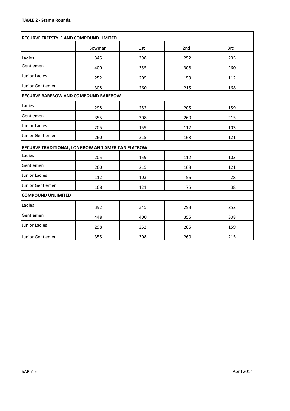#### **TABLE 2 - Stamp Rounds.**

| RECURVE FREESTYLE AND COMPOUND LIMITED            |        |     |     |     |  |  |  |  |  |  |
|---------------------------------------------------|--------|-----|-----|-----|--|--|--|--|--|--|
|                                                   | Bowman | 1st | 2nd | 3rd |  |  |  |  |  |  |
| Ladies                                            | 345    | 298 | 252 | 205 |  |  |  |  |  |  |
| Gentlemen                                         | 400    | 355 | 308 | 260 |  |  |  |  |  |  |
| Junior Ladies                                     | 252    | 205 | 159 | 112 |  |  |  |  |  |  |
| Junior Gentlemen                                  | 308    | 260 | 215 | 168 |  |  |  |  |  |  |
| <b>RECURVE BAREBOW AND COMPOUND BAREBOW</b>       |        |     |     |     |  |  |  |  |  |  |
| Ladies                                            | 298    | 252 | 205 | 159 |  |  |  |  |  |  |
| Gentlemen                                         | 355    | 308 | 260 | 215 |  |  |  |  |  |  |
| Junior Ladies                                     | 205    | 159 | 112 | 103 |  |  |  |  |  |  |
| Junior Gentlemen                                  | 260    | 215 | 168 | 121 |  |  |  |  |  |  |
| RECURVE TRADITIONAL, LONGBOW AND AMERICAN FLATBOW |        |     |     |     |  |  |  |  |  |  |
| Ladies                                            | 205    | 159 | 112 | 103 |  |  |  |  |  |  |
| Gentlemen                                         | 260    | 215 | 168 | 121 |  |  |  |  |  |  |
| Junior Ladies                                     | 112    | 103 | 56  | 28  |  |  |  |  |  |  |
| Junior Gentlemen                                  | 168    | 121 | 75  | 38  |  |  |  |  |  |  |
| <b>COMPOUND UNLIMITED</b>                         |        |     |     |     |  |  |  |  |  |  |
| Ladies                                            | 392    | 345 | 298 | 252 |  |  |  |  |  |  |
| Gentlemen                                         | 448    | 400 | 355 | 308 |  |  |  |  |  |  |
| Junior Ladies                                     | 298    | 252 | 205 | 159 |  |  |  |  |  |  |
| Junior Gentlemen                                  | 355    | 308 | 260 | 215 |  |  |  |  |  |  |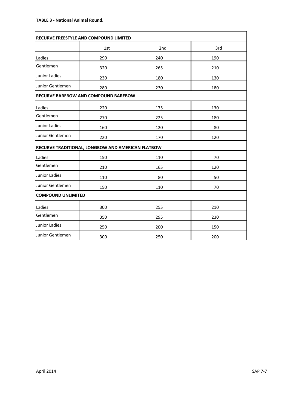|                           | RECURVE FREESTYLE AND COMPOUND LIMITED            |                 |     |  |  |  |  |  |  |  |  |
|---------------------------|---------------------------------------------------|-----------------|-----|--|--|--|--|--|--|--|--|
|                           | 1st                                               | 2 <sub>nd</sub> | 3rd |  |  |  |  |  |  |  |  |
| Ladies                    | 290                                               | 240             | 190 |  |  |  |  |  |  |  |  |
| Gentlemen                 | 320                                               | 265             | 210 |  |  |  |  |  |  |  |  |
| Junior Ladies             | 230                                               | 180             | 130 |  |  |  |  |  |  |  |  |
| Junior Gentlemen          | 280                                               | 230             | 180 |  |  |  |  |  |  |  |  |
|                           | <b>RECURVE BAREBOW AND COMPOUND BAREBOW</b>       |                 |     |  |  |  |  |  |  |  |  |
| Ladies                    | 220                                               | 175             | 130 |  |  |  |  |  |  |  |  |
| Gentlemen                 | 270                                               | 225             | 180 |  |  |  |  |  |  |  |  |
| <b>Junior Ladies</b>      | 160                                               | 120             | 80  |  |  |  |  |  |  |  |  |
| Junior Gentlemen          | 220                                               | 170             | 120 |  |  |  |  |  |  |  |  |
|                           | RECURVE TRADITIONAL, LONGBOW AND AMERICAN FLATBOW |                 |     |  |  |  |  |  |  |  |  |
| Ladies                    | 150                                               | 110             | 70  |  |  |  |  |  |  |  |  |
| Gentlemen                 | 210                                               | 165             | 120 |  |  |  |  |  |  |  |  |
| Junior Ladies             | 110                                               | 80              | 50  |  |  |  |  |  |  |  |  |
| Junior Gentlemen          | 150                                               | 110             | 70  |  |  |  |  |  |  |  |  |
| <b>COMPOUND UNLIMITED</b> |                                                   |                 |     |  |  |  |  |  |  |  |  |
| Ladies                    | 300                                               | 255             | 210 |  |  |  |  |  |  |  |  |
| Gentlemen                 | 350                                               | 295             | 230 |  |  |  |  |  |  |  |  |
| Junior Ladies             | 250                                               | 200             | 150 |  |  |  |  |  |  |  |  |
| Junior Gentlemen          | 300                                               | 250             | 200 |  |  |  |  |  |  |  |  |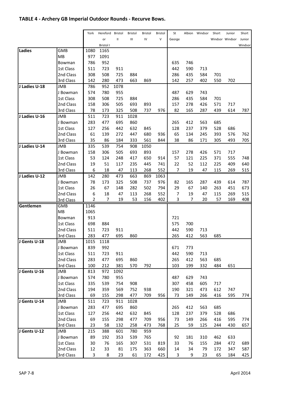# **TABLE 4 - Archery GB Imperial Outdoor Rounds - Recurve Bows.**

|               |            | York           | Hereford  | Bristol | Bristol | Bristol | Bristol | St             | Albion | Windsor | Short | Junior          | Short   |
|---------------|------------|----------------|-----------|---------|---------|---------|---------|----------------|--------|---------|-------|-----------------|---------|
|               |            |                | or        | Ш       | Ш       | IV      | v       | George         |        |         |       | Windsor Windsor | Junior  |
|               |            |                | Bristol I |         |         |         |         |                |        |         |       |                 | Windsor |
| Ladies        | <b>GMB</b> | 1080           | 1165      |         |         |         |         |                |        |         |       |                 |         |
|               | MB         | 977            | 1091      |         |         |         |         |                |        |         |       |                 |         |
|               | Bowman     | 786            | 952       |         |         |         |         | 635            | 746    |         |       |                 |         |
|               | 1st Class  | 511            | 723       | 911     |         |         |         | 442            | 590    | 713     |       |                 |         |
|               | 2nd Class  | 308            | 508       | 725     | 884     |         |         | 286            | 435    | 584     | 701   |                 |         |
|               | 3rd Class  | 142            | 280       | 473     | 663     | 869     |         | 142            | 257    | 402     | 550   | 702             |         |
| J Ladies U-18 | JMB        | 786            | 952       | 1078    |         |         |         |                |        |         |       |                 |         |
|               | J Bowman   | 574            | 780       | 955     |         |         |         | 487            | 629    | 743     |       |                 |         |
|               | 1st Class  | 308            | 508       | 725     | 884     |         |         | 286            | 435    | 584     | 701   |                 |         |
|               | 2nd Class  | 158            | 306       | 505     | 693     | 893     |         | 157            | 278    | 426     | 571   | 717             |         |
|               | 3rd Class  | 78             | 173       | 325     | 508     | 737     | 976     | 82             | 165    | 287     | 439   | 614             | 787     |
| J Ladies U-16 | JMB        | 511            | 723       | 911     | 1028    |         |         |                |        |         |       |                 |         |
|               | J Bowman   | 283            | 477       | 695     | 860     |         |         | 265            | 412    | 563     | 685   |                 |         |
|               | 1st Class  | 127            | 256       | 442     | 632     | 845     |         | 128            | 237    | 379     | 528   | 686             |         |
|               | 2nd Class  | 61             | 139       | 272     | 447     | 680     | 936     | 65             | 134    | 245     | 393   | 576             | 762     |
|               | 3rd Class  | 35             | 86        | 184     | 333     | 561     | 844     | 38             | 86     | 171     | 305   | 493             | 705     |
| J Ladies U-14 | <b>JMB</b> | 335            | 539       | 754     | 908     | 1050    |         |                |        |         |       |                 |         |
|               | J Bowman   | 158            | 306       | 505     | 693     | 893     |         | 157            | 278    | 426     | 571   | 717             |         |
|               | 1st Class  | 53             | 124       | 248     | 417     | 650     | 914     | 57             | 121    | 225     | 371   | 555             | 748     |
|               | 2nd Class  | 19             | 51        | 117     | 235     | 445     | 741     | 22             | 52     | 112     | 225   | 409             | 640     |
|               | 3rd Class  | 6              | 18        | 47      | 113     | 268     | 552     | $\overline{7}$ | 19     | 47      | 115   | 269             | 515     |
| J Ladies U-12 | <b>JMB</b> | 142            | 280       | 473     | 663     | 869     | 1063    |                |        |         |       |                 |         |
|               | J Bowman   | 78             | 173       | 325     | 508     | 737     | 976     | 82             | 165    | 287     | 439   | 614             | 787     |
|               | 1st Class  | 26             | 67        | 148     | 282     | 502     | 794     | 29             | 67     | 140     | 263   | 451             | 673     |
|               | 2nd Class  | 6              | 18        | 47      | 113     | 268     | 552     | 7              | 19     | 47      | 115   | 269             | 515     |
|               | 3rd Class  | $\overline{2}$ | 7         | 19      | 53      | 156     | 402     | 3              | 7      | 20      | 57    | 169             | 408     |
| Gentlemen     | GMB        | 1146           |           |         |         |         |         |                |        |         |       |                 |         |
|               | <b>MB</b>  | 1065           |           |         |         |         |         |                |        |         |       |                 |         |
|               |            | 913            |           |         |         |         |         |                |        |         |       |                 |         |
|               | Bowman     |                |           |         |         |         |         | 721            |        |         |       |                 |         |
|               | 1st Class  | 698            | 884       |         |         |         |         | 575            | 700    |         |       |                 |         |
|               | 2nd Class  | 511            | 723       | 911     |         |         |         | 442            | 590    | 713     |       |                 |         |
|               | 3rd Class  | 283            | 477       | 695     | 860     |         |         | 265            | 412    | 563     | 685   |                 |         |
| J Gents U-18  | <b>JMB</b> | 1015           | 1118      |         |         |         |         |                |        |         |       |                 |         |
|               | J Bowman   | 839            | 992       |         |         |         |         | 671            | 773    |         |       |                 |         |
|               | 1st Class  | 511            | 723       | 911     |         |         |         | 442            | 590    | 713     |       |                 |         |
|               | 2nd Class  | 283            | 477       | 695     | 860     |         |         | 265            | 412    | 563     | 685   |                 |         |
|               | 3rd Class  | 100            | 212       | 381     | 570     | 792     |         | 103            | 199    | 332     | 484   | 651             |         |
| J Gents U-16  | <b>JMB</b> | 813            | 972       | 1092    |         |         |         |                |        |         |       |                 |         |
|               | J Bowman   | 574            | 780       | 955     |         |         |         | 487            | 629    | 743     |       |                 |         |
|               | 1st Class  | 335            | 539       | 754     | 908     |         |         | 307            | 458    | 605     | 717   |                 |         |
|               | 2nd Class  | 194            | 359       | 569     | 752     | 938     |         | 190            | 321    | 473     | 612   | 747             |         |
|               | 3rd Class  | 69             | 155       | 298     | 477     | 709     | 956     | 73             | 149    | 266     | 416   | 595             | 774     |
| J Gents U-14  | <b>JMB</b> | 511            | 723       | 911     | 1028    |         |         |                |        |         |       |                 |         |
|               | J Bowman   | 283            | 477       | 695     | 860     |         |         | 265            | 412    | 563     | 685   |                 |         |
|               | 1st Class  | 127            | 256       | 442     | 632     | 845     |         | 128            | 237    | 379     | 528   | 686             |         |
|               | 2nd Class  | 69             | 155       | 298     | 477     | 709     | 956     | 73             | 149    | 266     | 416   | 595             | 774     |
|               | 3rd Class  | 23             | 58        | 132     | 258     | 473     | 768     | 25             | 59     | 125     | 244   | 430             | 657     |
| J Gents U-12  | <b>JMB</b> | 215            | 388       | 601     | 780     | 959     |         |                |        |         |       |                 |         |
|               | J Bowman   | 89             | 192       | 353     | 539     | 765     |         | 92             | 181    | 310     | 462   | 633             |         |
|               | 1st Class  | 30             | 76        | 165     | 307     | 531     | 819     | 33             | 76     | 155     | 284   | 472             | 689     |
|               | 2nd Class  | 12             | 33        | 81      | 175     | 363     | 660     | 14             | 34     | 79      | 172   | 347             | 587     |
|               | 3rd Class  | 3              | 8         | 23      | 61      | 172     | 425     | 3              | 9      | 23      | 65    | 184             | 425     |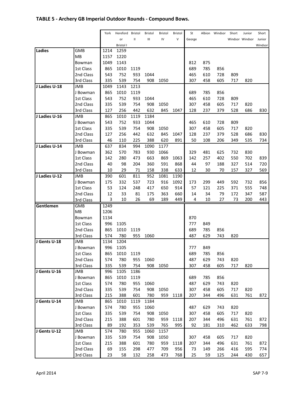# **TABLE 5 - Archery GB Imperial Outdoor Rounds - Compound Bows.**

|               |            | York | Hereford Bristol |               | <b>Bristol</b> | <b>Bristol</b> | Bristol | St     | Albion | Windsor | Short | Junior          | Short   |
|---------------|------------|------|------------------|---------------|----------------|----------------|---------|--------|--------|---------|-------|-----------------|---------|
|               |            |      | or               | $\mathbf{II}$ | Ш              | IV             | $\vee$  | George |        |         |       | Windsor Windsor | Junior  |
|               |            |      | Bristol I        |               |                |                |         |        |        |         |       |                 | Windsor |
| Ladies        | GMB        | 1214 | 1259             |               |                |                |         |        |        |         |       |                 |         |
|               | MB         | 1157 | 1220             |               |                |                |         |        |        |         |       |                 |         |
|               | Bowman     | 1049 | 1143             |               |                |                |         | 812    | 875    |         |       |                 |         |
|               | 1st Class  | 865  | 1010             | 1119          |                |                |         | 689    | 785    | 856     |       |                 |         |
|               | 2nd Class  | 543  | 752              | 933           | 1044           |                |         | 465    | 610    | 728     | 809   |                 |         |
|               | 3rd Class  | 335  | 539              | 754           | 908            | 1050           |         | 307    | 458    | 605     | 717   | 820             |         |
| J Ladies U-18 | JMB        | 1049 | 1143             | 1213          |                |                |         |        |        |         |       |                 |         |
|               | J Bowman   | 865  | 1010             | 1119          |                |                |         | 689    | 785    | 856     |       |                 |         |
|               | 1st Class  | 543  | 752              | 933           | 1044           |                |         | 465    | 610    | 728     | 809   |                 |         |
|               | 2nd Class  | 335  | 539              | 754           | 908            | 1050           |         | 307    | 458    | 605     | 717   | 820             |         |
|               | 3rd Class  | 127  | 256              | 442           | 632            | 845            | 1047    | 128    | 237    | 379     | 528   | 686             | 830     |
| J Ladies U-16 | JMB        | 865  | 1010             | 1119          | 1184           |                |         |        |        |         |       |                 |         |
|               | J Bowman   | 543  | 752              | 933           | 1044           |                |         | 465    | 610    | 728     | 809   |                 |         |
|               | 1st Class  | 335  | 539              | 754           | 908            | 1050           |         | 307    | 458    | 605     | 717   | 820             |         |
|               | 2nd Class  | 127  | 256              | 442           | 632            | 845            | 1047    | 128    | 237    | 379     | 528   | 686             | 830     |
|               | 3rd Class  | 46   | 110              | 225           | 388            | 620            | 891     | 50     | 108    | 206     | 349   | 535             | 734     |
| J Ladies U-14 | <b>JMB</b> | 637  | 834              | 994           | 1090           | 1177           |         |        |        |         |       |                 |         |
|               | J Bowman   | 362  | 570              | 783           | 930            | 1066           |         | 329    | 481    | 625     | 732   | 830             |         |
|               | 1st Class  | 142  | 280              | 473           | 663            | 869            | 1063    | 142    | 257    | 402     | 550   | 702             | 839     |
|               | 2nd Class  | 40   | 98               | 204           | 360            | 591            | 868     | 44     | 97     | 188     | 327   | 514             | 720     |
|               | 3rd Class  | 10   | 29               | 71            | 158            | 338            | 633     | 12     | 30     | 70      | 157   | 327             | 569     |
| J Ladies U-12 | JMB        | 390  | 601              | 811           | 952            | 1081           | 1190    |        |        |         |       |                 |         |
|               | J Bowman   | 175  | 332              | 537           | 723            | 916            | 1092    | 173    | 299    | 449     | 592   | 732             | 856     |
|               | 1st Class  | 53   | 124              | 248           | 417            | 650            | 914     | 57     | 121    | 225     | 371   | 555             | 748     |
|               | 2nd Class  | 12   | 33               | 81            | 175            | 363            | 660     | 14     | 34     | 79      | 172   | 347             | 587     |
|               | 3rd Class  | 3    | 10               | 26            | 69             | 189            | 449     | 4      | 10     | 27      | 73    | 200             | 443     |
| Gentlemen     | <b>GMB</b> | 1249 |                  |               |                |                |         |        |        |         |       |                 |         |
|               | MB         | 1206 |                  |               |                |                |         |        |        |         |       |                 |         |
|               | Bowman     | 1134 |                  |               |                |                |         | 870    |        |         |       |                 |         |
|               | 1st Class  | 996  | 1105             |               |                |                |         | 777    | 849    |         |       |                 |         |
|               | 2nd Class  | 865  | 1010             | 1119          |                |                |         | 689    | 785    | 856     |       |                 |         |
|               | 3rd Class  | 574  | 780              | 955           | 1060           |                |         | 487    | 629    | 743     | 820   |                 |         |
| J Gents U-18  | <b>JMB</b> | 1134 | 1204             |               |                |                |         |        |        |         |       |                 |         |
|               | J Bowman   | 996  | 1105             |               |                |                |         | 777    | 849    |         |       |                 |         |
|               | 1st Class  | 865  | 1010             | 1119          |                |                |         | 689    | 785    | 856     |       |                 |         |
|               | 2nd Class  | 574  | 780              | 955           | 1060           |                |         | 487    | 629    | 743     | 820   |                 |         |
|               | 3rd Class  | 335  | 539              | 754           | 908            | 1050           |         | 307    | 458    | 605     | 717   | 820             |         |
| J Gents U-16  | JMB        | 996  | 1105             | 1186          |                |                |         |        |        |         |       |                 |         |
|               | J Bowman   | 865  | 1010             | 1119          |                |                |         | 689    | 785    | 856     |       |                 |         |
|               | 1st Class  | 574  | 780              | 955           | 1060           |                |         | 487    | 629    | 743     | 820   |                 |         |
|               | 2nd Class  | 335  | 539              | 754           | 908            | 1050           |         | 307    | 458    | 605     | 717   | 820             |         |
|               | 3rd Class  | 215  | 388              | 601           | 780            | 959            | 1118    | 207    | 344    | 496     | 631   | 761             | 872     |
| J Gents U-14  | JMB        | 865  | 1010             | 1119          | 1184           |                |         |        |        |         |       |                 |         |
|               | J Bowman   | 574  | 780              | 955           | 1060           |                |         | 487    | 629    | 743     | 820   |                 |         |
|               | 1st Class  | 335  | 539              | 754           | 908            | 1050           |         | 307    | 458    | 605     | 717   | 820             |         |
|               | 2nd Class  | 215  | 388              | 601           | 780            | 959            | 1118    | 207    | 344    | 496     | 631   | 761             | 872     |
|               | 3rd Class  | 89   | 192              | 353           | 539            | 765            | 995     | 92     | 181    | 310     | 462   | 633             | 798     |
| J Gents U-12  | <b>JMB</b> | 574  | 780              | 955           | 1060           | 1157           |         |        |        |         |       |                 |         |
|               | J Bowman   | 335  | 539              | 754           | 908            | 1050           |         | 307    | 458    | 605     | 717   | 820             |         |
|               | 1st Class  | 215  | 388              | 601           | 780            | 959            | 1118    | 207    | 344    | 496     | 631   | 761             | 872     |
|               | 2nd Class  | 69   | 155              | 298           | 477            | 709            | 956     | 73     | 149    | 266     | 416   | 595             | 774     |
|               | 3rd Class  | 23   | 58               | 132           | 258            | 473            | 768     | 25     | 59     | 125     | 244   | 430             | 657     |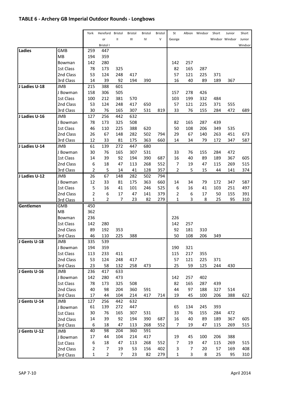# **TABLE 6 - Archery GB Imperial Outdoor Rounds - Longbows**

|               |            | York           | Hereford       | Bristol        | Bristol    | Bristol    | Bristol | St             | Albion         | Windsor | Short      | Junior          | Short   |
|---------------|------------|----------------|----------------|----------------|------------|------------|---------|----------------|----------------|---------|------------|-----------------|---------|
|               |            |                | or             | П              | Ш          | IV         | $\vee$  | George         |                |         |            | Windsor Windsor | Junior  |
|               |            |                | Bristol I      |                |            |            |         |                |                |         |            |                 | Windsor |
| Ladies        | <b>GMB</b> | 259            | 447            |                |            |            |         |                |                |         |            |                 |         |
|               | MB         | 194            | 359            |                |            |            |         |                |                |         |            |                 |         |
|               | Bowman     | 142            | 280            |                |            |            |         | 142            | 257            |         |            |                 |         |
|               | 1st Class  | 78             | 173            | 325            |            |            |         | 82             | 165            | 287     |            |                 |         |
|               | 2nd Class  | 53             | 124            | 248            | 417        |            |         | 57             | 121            | 225     | 371        |                 |         |
|               | 3rd Class  | 14             | 39             | 92             | 194        | 390        |         | 16             | 40             | 89      | 189        | 367             |         |
| J Ladies U-18 | JMB        | 215            | 388            | 601            |            |            |         |                |                |         |            |                 |         |
|               | J Bowman   | 158            | 306            | 505            |            |            |         | 157            | 278            | 426     |            |                 |         |
|               | 1st Class  | 100            | 212            | 381            | 570        |            |         | 103            | 199            | 332     | 484        |                 |         |
|               | 2nd Class  | 53             | 124            | 248            | 417        | 650        |         | 57             | 121            | 225     | 371        | 555             |         |
|               | 3rd Class  | 30             | 76             | 165            | 307        | 531        | 819     | 33             | 76             | 155     | 284        | 472             | 689     |
| J Ladies U-16 | <b>JMB</b> | 127            | 256            | 442            | 632        |            |         |                |                |         |            |                 |         |
|               | J Bowman   | 78             | 173            | 325            | 508        |            |         | 82             | 165            | 287     | 439        |                 |         |
|               | 1st Class  | 46             | 110            | 225            | 388        | 620        |         | 50             | 108            | 206     | 349        | 535             |         |
|               | 2nd Class  | 26             | 67             | 148            | 282        | 502        | 794     | 29             | 67             | 140     | 263        | 451             | 673     |
|               | 3rd Class  | 12             | 33             | 81             | 175        | 363        | 660     | 14             | 34             | 79      | 172        | 347             | 587     |
| J Ladies U-14 | JMB        | 61             | 139            | 272            | 447        | 680        |         |                |                |         |            |                 |         |
|               | J Bowman   | 30             | 76             | 165            | 307        | 531        |         | 33             | 76             | 155     | 284        | 472             |         |
|               | 1st Class  | 14             | 39             | 92             | 194        | 390        | 687     | 16             | 40             | 89      | 189        | 367             | 605     |
|               | 2nd Class  | 6              | 18             | 47             | 113        | 268        | 552     | $\overline{7}$ | 19             | 47      | 115        | 269             | 515     |
|               | 3rd Class  | $\overline{2}$ | 5              | 14             | 41         | 128        | 357     | $\overline{2}$ | 5              | 15      | 44         | 141             | 374     |
| J Ladies U-12 | <b>JMB</b> | 26             | 67             | 148            | 282        | 502        | 794     |                |                |         |            |                 |         |
|               | J Bowman   | 12             | 33             | 81             | 175        | 363        | 660     | 14             | 34             | 79      | 172        | 347             | 587     |
|               | 1st Class  | 5              | 16             | 41             | 101        | 246        | 525     | 6              | 16             | 41      | 103        | 251             | 497     |
|               | 2nd Class  | $\overline{2}$ | 6              | 17             | 47         | 141        | 379     | 2              | 6              | 17      | 50         | 155             | 391     |
|               | 3rd Class  | $\overline{1}$ | $\overline{2}$ | $\overline{7}$ | 23         | 82         | 279     | 1              | 3              | 8       | 25         | 95              | 310     |
| Gentlemen     | <b>GMB</b> | 450            |                |                |            |            |         |                |                |         |            |                 |         |
|               | MB         | 362            |                |                |            |            |         |                |                |         |            |                 |         |
|               | Bowman     | 236            |                |                |            |            |         | 226            |                |         |            |                 |         |
|               | 1st Class  | 142            | 280            |                |            |            |         | 142            | 257            |         |            |                 |         |
|               | 2nd Class  | 89             | 192            | 353            |            |            |         | 92             | 181            | 310     |            |                 |         |
|               | 3rd Class  | 46             | 110            | 225            | 388        |            |         | 50             | 108            | 206     | 349        |                 |         |
| J Gents U-18  | <b>JMB</b> | 335            | 539            |                |            |            |         |                |                |         |            |                 |         |
|               | J Bowman   | 194            | 359            |                |            |            |         | 190            | 321            |         |            |                 |         |
|               | 1st Class  | 113            | 233            | 411            |            |            |         | 115            | 217            | 355     |            |                 |         |
|               | 2nd Class  | 53             | 124            | 248            | 417        |            |         | 57             | 121            | 225     | 371        |                 |         |
|               | 3rd Class  | 23             | 58             | 132            | 258        | 473        |         | 25             | 59             | 125     | 244        | 430             |         |
| J Gents U-16  | <b>JMB</b> | 236            | 417            | 633            |            |            |         |                |                |         |            |                 |         |
|               | J Bowman   | 142            | 280            | 473            |            |            |         | 142            | 257            | 402     |            |                 |         |
|               | 1st Class  | 78             | 173            | 325            | 508        |            |         | 82             | 165            | 287     | 439        |                 |         |
|               | 2nd Class  | 40             | 98             | 204            | 360        | 591        |         | 44             | 97             | 188     | 327        | 514             |         |
|               | 3rd Class  | 17             | 44             | 104            | 214        | 417        | 714     | 19             | 45             | 100     | 206        | 388             | 622     |
| J Gents U-14  | JMB        | 127            | 256            | 442<br>272     | 632<br>447 |            |         | 65             | 134            | 245     | 393        |                 |         |
|               | J Bowman   | 61             | 139            |                |            |            |         | 33             | 76             |         | 284        | 472             |         |
|               | 1st Class  | 30             | 76             | 165<br>92      | 307        | 531        |         | 16             | 40             | 155     |            |                 |         |
|               | 2nd Class  | 14             | 39             |                | 194        | 390        | 687     |                |                | 89      | 189        | 367             | 605     |
|               | 3rd Class  | 6<br>40        | 18<br>98       | 47<br>204      | 113<br>360 | 268<br>591 | 552     | 7              | 19             | 47      | 115        | 269             | 515     |
| J Gents U-12  | <b>JMB</b> | 17             | 44             |                |            |            |         | 19             | 45             | 100     |            |                 |         |
|               | J Bowman   | 6              | 18             | 104<br>47      | 214<br>113 | 417<br>268 | 552     | 7              | 19             | 47      | 206<br>115 | 388<br>269      | 515     |
|               | 1st Class  | $\overline{2}$ | 7              | 19             | 53         | 156        | 402     | 3              | $\overline{7}$ | 20      | 57         | 169             | 408     |
|               | 2nd Class  | $\mathbf{1}$   | $\overline{2}$ | 7              | 23         | 82         | 279     | $\mathbf{1}$   | 3              | 8       | 25         | 95              | 310     |
|               | 3rd Class  |                |                |                |            |            |         |                |                |         |            |                 |         |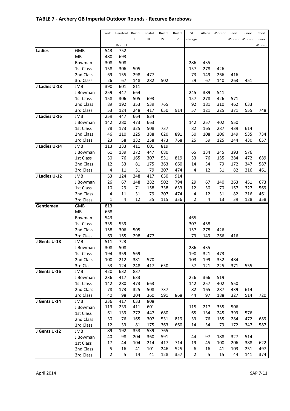# **TABLE 7 - Archery GB Imperial Outdoor Rounds - Recurve Barebows**

|               |                         | York              | Hereford  | Bristol      | Bristol   | Bristol    | Bristol    | St     | Albion  | Windsor  | Short    | Junior          | Short      |
|---------------|-------------------------|-------------------|-----------|--------------|-----------|------------|------------|--------|---------|----------|----------|-----------------|------------|
|               |                         |                   | or        | $\mathbf{I}$ | Ш         | IV         | V          | George |         |          |          | Windsor Windsor | Junior     |
|               |                         |                   | Bristol I |              |           |            |            |        |         |          |          |                 | Windsor    |
| Ladies        | <b>GMB</b>              | 543               | 752       |              |           |            |            |        |         |          |          |                 |            |
|               | <b>MB</b>               | 480               | 693       |              |           |            |            |        |         |          |          |                 |            |
|               | Bowman                  | 308               | 508       |              |           |            |            | 286    | 435     |          |          |                 |            |
|               | 1st Class               | 158               | 306       | 505          |           |            |            | 157    | 278     | 426      |          |                 |            |
|               | 2nd Class               | 69                | 155       | 298          | 477       |            |            | 73     | 149     | 266      | 416      |                 |            |
|               | 3rd Class               | 26                | 67        | 148          | 282       | 502        |            | 29     | 67      | 140      | 263      | 451             |            |
| J Ladies U-18 | JMB                     | 390               | 601       | 811          |           |            |            |        |         |          |          |                 |            |
|               | J Bowman                | 259               | 447       | 664          |           |            |            | 245    | 389     | 541      |          |                 |            |
|               | 1st Class               | 158               | 306       | 505          | 693       |            |            | 157    | 278     | 426      | 571      |                 |            |
|               | 2nd Class               | 89                | 192       | 353          | 539       | 765        |            | 92     | 181     | 310      | 462      | 633             |            |
|               | 3rd Class               | 53                | 124       | 248          | 417       | 650        | 914        | 57     | 121     | 225      | 371      | 555             | 748        |
| J Ladies U-16 | <b>JMB</b>              | 259               | 447       | 664          | 834       |            |            |        |         |          |          |                 |            |
|               | J Bowman                | 142               | 280       | 473          | 663       |            |            | 142    | 257     | 402      | 550      |                 |            |
|               | 1st Class               | 78                | 173       | 325          | 508       | 737        |            | 82     | 165     | 287      | 439      | 614             |            |
|               | 2nd Class               | 46                | 110       | 225          | 388       | 620        | 891        | 50     | 108     | 206      | 349      | 535             | 734        |
|               | 3rd Class               | 23                | 58        | 132          | 258       | 473        | 768        | 25     | 59      | 125      | 244      | 430             | 657        |
| J Ladies U-14 | <b>JMB</b>              | 113               | 233       | 411          | 601       | 819        |            |        |         |          |          |                 |            |
|               | J Bowman                | 61                | 139       | 272          | 447       | 680        |            | 65     | 134     | 245      | 393      | 576             |            |
|               | 1st Class               | 30                | 76        | 165          | 307       | 531        | 819        | 33     | 76      | 155      | 284      | 472             | 689        |
|               | 2nd Class               | 12                | 33        | 81           | 175       | 363        | 660        | 14     | 34      | 79       | 172      | 347             | 587        |
|               | 3rd Class               | 4                 | 11        | 31           | 79        | 207        | 474        | 4      | 12      | 31       | 82       | 216             | 461        |
| J Ladies U-12 | <b>JMB</b>              | 53                | 124       | 248          | 417       | 650        | 914        |        |         |          |          |                 |            |
|               | J Bowman                | 26                | 67        | 148          | 282       | 502        | 794        | 29     | 67      | 140      | 263      | 451             | 673        |
|               | 1st Class               | 10                | 29        | 71           | 158<br>79 | 338        | 633        | 12     | 30      | 70       | 157      | 327             | 569        |
|               | 2nd Class               | 4<br>$\mathbf{1}$ | 11<br>4   | 31<br>12     | 35        | 207<br>115 | 474<br>336 | 4<br>2 | 12<br>4 | 31<br>13 | 82<br>39 | 216<br>128      | 461<br>358 |
| Gentlemen     | 3rd Class<br><b>GMB</b> | 813               |           |              |           |            |            |        |         |          |          |                 |            |
|               | MB                      | 668               |           |              |           |            |            |        |         |          |          |                 |            |
|               | Bowman                  | 543               |           |              |           |            |            | 465    |         |          |          |                 |            |
|               | 1st Class               | 335               | 539       |              |           |            |            | 307    | 458     |          |          |                 |            |
|               | 2nd Class               | 158               | 306       | 505          |           |            |            | 157    | 278     | 426      |          |                 |            |
|               | 3rd Class               | 69                | 155       | 298          | 477       |            |            | 73     | 149     | 266      | 416      |                 |            |
| J Gents U-18  | <b>JMB</b>              | 511               | 723       |              |           |            |            |        |         |          |          |                 |            |
|               | J Bowman                | 308               | 508       |              |           |            |            | 286    | 435     |          |          |                 |            |
|               | 1st Class               | 194               | 359       | 569          |           |            |            | 190    | 321     | 473      |          |                 |            |
|               | 2nd Class               | 100               | 212       | 381          | 570       |            |            | 103    | 199     | 332      | 484      |                 |            |
|               | 3rd Class               | 53                | 124       | 248          | 417       | 650        |            | 57     | 121     | 225      | 371      | 555             |            |
| J Gents U-16  | JMB                     | 420               | 632       | 837          |           |            |            |        |         |          |          |                 |            |
|               | J Bowman                | 236               | 417       | 633          |           |            |            | 226    | 366     | 519      |          |                 |            |
|               | 1st Class               | 142               | 280       | 473          | 663       |            |            | 142    | 257     | 402      | 550      |                 |            |
|               | 2nd Class               | 78                | 173       | 325          | 508       | 737        |            | 82     | 165     | 287      | 439      | 614             |            |
|               | 3rd Class               | 40                | 98        | 204          | 360       | 591        | 868        | 44     | 97      | 188      | 327      | 514             | 720        |
| J Gents U-14  | <b>JMB</b>              | 236               | 417       | 633          | 808       |            |            |        |         |          |          |                 |            |
|               | J Bowman                | 113               | 233       | 411          | 601       |            |            | 115    | 217     | 355      | 506      |                 |            |
|               | 1st Class               | 61                | 139       | 272          | 447       | 680        |            | 65     | 134     | 245      | 393      | 576             |            |
|               | 2nd Class               | 30                | 76        | 165          | 307       | 531        | 819        | 33     | 76      | 155      | 284      | 472             | 689        |
|               | 3rd Class               | 12                | 33        | 81           | 175       | 363        | 660        | 14     | 34      | 79       | 172      | 347             | 587        |
| J Gents U-12  | <b>JMB</b>              | 89                | 192       | 353          | 539       | 765        |            |        |         |          |          |                 |            |
|               | J Bowman                | 40                | 98        | 204          | 360       | 591        |            | 44     | 97      | 188      | 327      | 514             |            |
|               | 1st Class               | 17                | 44        | 104          | 214       | 417        | 714        | 19     | 45      | 100      | 206      | 388             | 622        |
|               | 2nd Class               | 5                 | 16        | 41           | 101       | 246        | 525        | 6      | 16      | 41       | 103      | 251             | 497        |
|               | 3rd Class               | $\overline{2}$    | 5         | 14           | 41        | 128        | 357        | 2      | 5       | 15       | 44       | 141             | 374        |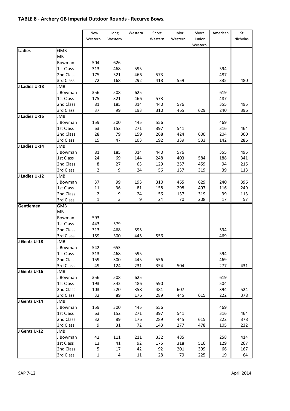## **TABLE 8 - Archery GB Imperial Outdoor Rounds - Recurve Bows.**

|               |                         | New                            | Long    | Western | Short    | Junior  | Short   | American | St        |
|---------------|-------------------------|--------------------------------|---------|---------|----------|---------|---------|----------|-----------|
|               |                         | Western                        | Western |         | Western  | Western | Junior  |          | Nicholas  |
|               |                         |                                |         |         |          |         | Western |          |           |
| Ladies        | GMB                     |                                |         |         |          |         |         |          |           |
|               | MB                      |                                |         |         |          |         |         |          |           |
|               | Bowman                  | 504                            | 626     |         |          |         |         |          |           |
|               | 1st Class               | 313                            | 468     | 595     |          |         |         | 594      |           |
|               | 2nd Class               | 175                            | 321     | 466     | 573      |         |         | 487      |           |
|               | 3rd Class               | 72                             | 168     | 292     | 418      | 559     |         | 335      | 480       |
| J Ladies U-18 | JMB                     |                                |         |         |          |         |         |          |           |
|               | J Bowman                | 356                            | 508     | 625     |          |         |         | 619      |           |
|               | 1st Class               | 175                            | 321     | 466     | 573      |         |         | 487      |           |
|               | 2nd Class               | 81                             | 185     | 314     | 440      | 576     |         | 355      | 495       |
|               | 3rd Class               | 37                             | 99      | 193     | 310      | 465     | 629     | 240      | 396       |
| J Ladies U-16 | JMB                     |                                |         |         |          |         |         |          |           |
|               | J Bowman                | 159                            | 300     | 445     | 556      |         |         | 469      |           |
|               | 1st Class               | 63                             | 152     | 271     | 397      | 541     |         | 316      | 464       |
|               | 2nd Class               | 28                             | 79      | 159     | 268      | 424     | 600     | 204      | 360       |
|               | 3rd Class               | 15                             | 47      | 103     | 192      | 339     | 533     | 142      | 286       |
| J Ladies U-14 | JMB                     |                                |         |         |          |         |         |          |           |
|               | J Bowman                | 81                             | 185     | 314     | 440      | 576     |         | 355      | 495       |
|               | 1st Class               | 24                             | 69      | 144     | 248      | 403     | 584     | 188      | 341       |
|               | 2nd Class               | 8                              | 27      | 63      | 129      | 257     | 459     | 94       | 215       |
|               |                         | 2                              | 9       | 24      | 56       |         |         | 39       |           |
| J Ladies U-12 | 3rd Class<br><b>JMB</b> |                                |         |         |          | 137     | 319     |          | 113       |
|               |                         |                                | 99      |         |          |         |         |          |           |
|               | J Bowman                | 37                             |         | 193     | 310      | 465     | 629     | 240      | 396       |
|               | 1st Class               | 11                             | 36      | 81      | 158      | 298     | 497     | 116      | 249       |
|               | 2nd Class               | $\overline{2}$<br>$\mathbf{1}$ | 9<br>3  | 24<br>9 | 56<br>24 | 137     | 319     | 39<br>17 | 113<br>57 |
|               | 3rd Class               |                                |         |         |          | 70      | 208     |          |           |
| Gentlemen     | <b>GMB</b>              |                                |         |         |          |         |         |          |           |
|               | MB                      |                                |         |         |          |         |         |          |           |
|               | Bowman                  | 593                            |         |         |          |         |         |          |           |
|               | 1st Class               | 443                            | 579     |         |          |         |         |          |           |
|               | 2nd Class               | 313                            | 468     | 595     |          |         |         | 594      |           |
|               | 3rd Class               | 159                            | 300     | 445     | 556      |         |         | 469      |           |
| J Gents U-18  | <b>JMB</b>              |                                |         |         |          |         |         |          |           |
|               | J Bowman                | 542                            | 653     |         |          |         |         |          |           |
|               | 1st Class               | 313                            | 468     | 595     |          |         |         | 594      |           |
|               | 2nd Class               | 159                            | 300     | 445     | 556      |         |         | 469      |           |
|               | 3rd Class               | 49                             | 124     | 231     | 354      | 504     |         | 277      | 431       |
| J Gents U-16  | <b>JMB</b>              |                                |         |         |          |         |         |          |           |
|               | J Bowman                | 356                            | 508     | 625     |          |         |         | 619      |           |
|               | 1st Class               | 193                            | 342     | 486     | 590      |         |         | 504      |           |
|               | 2nd Class               | 103                            | 220     | 358     | 481      | 607     |         | 394      | 524       |
|               | 3rd Class               | 32                             | 89      | 176     | 289      | 445     | 615     | 222      | 378       |
| J Gents U-14  | <b>JMB</b>              |                                |         |         |          |         |         |          |           |
|               | J Bowman                | 159                            | 300     | 445     | 556      |         |         | 469      |           |
|               | 1st Class               | 63                             | 152     | 271     | 397      | 541     |         | 316      | 464       |
|               | 2nd Class               | 32                             | 89      | 176     | 289      | 445     | 615     | 222      | 378       |
|               | 3rd Class               | 9                              | 31      | 72      | 143      | 277     | 478     | 105      | 232       |
| J Gents U-12  | <b>JMB</b>              |                                |         |         |          |         |         |          |           |
|               | J Bowman                | 42                             | 111     | 211     | 332      | 485     |         | 258      | 414       |
|               | 1st Class               | 13                             | 41      | 92      | 175      | 318     | 516     | 129      | 267       |
|               | 2nd Class               | 5                              | 17      | 42      | 92       | 201     | 399     | 66       | 167       |
|               | 3rd Class               | $\mathbf{1}$                   | 4       | 11      | 28       | 79      | 225     | 19       | 64        |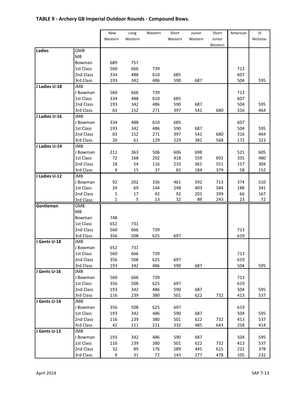# **TABLE 9 - Archery GB Imperial Outdoor Rounds - Compound Bows.**

|               |            | New          | Long    | Western | Short   | Junior  | Short   | American | St       |
|---------------|------------|--------------|---------|---------|---------|---------|---------|----------|----------|
|               |            | Western      | Western |         | Western | Western | Junior  |          | Nicholas |
|               |            |              |         |         |         |         | Western |          |          |
| Ladies        | <b>GMB</b> |              |         |         |         |         |         |          |          |
|               | MB         |              |         |         |         |         |         |          |          |
|               | Bowman     | 689          | 757     |         |         |         |         |          |          |
|               | 1st Class  | 560          | 666     | 739     |         |         |         | 713      |          |
|               | 2nd Class  | 334          | 488     | 610     | 685     |         |         | 607      |          |
|               | 3rd Class  | 193          | 342     | 486     | 590     | 687     |         | 504      | 595      |
| J Ladies U-18 | JMB        |              |         |         |         |         |         |          |          |
|               | J Bowman   | 560          | 666     | 739     |         |         |         | 713      |          |
|               | 1st Class  | 334          | 488     | 610     | 685     |         |         | 607      |          |
|               | 2nd Class  | 193          | 342     | 486     | 590     | 687     |         | 504      | 595      |
|               | 3rd Class  | 63           | 152     | 271     | 397     | 541     | 680     | 316      | 464      |
| J Ladies U-16 | <b>JMB</b> |              |         |         |         |         |         |          |          |
|               | J Bowman   | 334          | 488     | 610     | 685     |         |         | 607      |          |
|               | 1st Class  | 193          | 342     | 486     | 590     | 687     |         | 504      | 595      |
|               | 2nd Class  | 63           | 152     | 271     | 397     | 541     | 680     | 316      | 464      |
|               | 3rd Class  | 20           | 61      | 129     | 229     | 382     | 568     | 172      | 323      |
| J Ladies U-14 | <b>JMB</b> |              |         |         |         |         |         |          |          |
|               | J Bowman   | 211          | 363     | 506     | 606     | 698     |         | 521      | 605      |
|               | 1st Class  | 72           | 168     | 292     | 418     | 559     | 692     | 335      | 480      |
|               | 2nd Class  | 18           | 54      | 116     | 210     | 361     | 551     | 157      | 304      |
|               | 3rd Class  | 4            | 15      | 37      | 82      | 184     | 379     | 58       | 152      |
| J Ladies U-12 | <b>JMB</b> |              |         |         |         |         |         |          |          |
|               | J Bowman   | 92           | 202     | 336     | 461     | 592     | 713     | 374      | 510      |
|               | 1st Class  | 24           | 69      | 144     | 248     | 403     | 584     | 188      | 341      |
|               | 2nd Class  | 5            | 17      | 42      | 92      | 201     | 399     | 66       | 167      |
|               | 3rd Class  | $\mathbf{1}$ | 5       | 13      | 32      | 89      | 243     | 23       | 72       |
| Gentlemen     | GMB        |              |         |         |         |         |         |          |          |
|               | MB         |              |         |         |         |         |         |          |          |
|               | Bowman     | 748          |         |         |         |         |         |          |          |
|               | 1st Class  | 652          | 731     |         |         |         |         |          |          |
|               | 2nd Class  | 560          | 666     | 739     |         |         |         | 713      |          |
|               | 3rd Class  | 356          | 508     | 625     | 697     |         |         | 619      |          |
| J Gents U-18  | JMB        |              |         |         |         |         |         |          |          |
|               | J Bowman   | 652          | 731     |         |         |         |         |          |          |
|               | 1st Class  | 560          | 666     | 739     |         |         |         | 713      |          |
|               | 2nd Class  | 356          | 508     | 625     | 697     |         |         | 619      |          |
|               | 3rd Class  | 193          | 342     | 486     | 590     | 687     |         | 504      | 595      |
| J Gents U-16  | JMB        |              |         |         |         |         |         |          |          |
|               | J Bowman   | 560          | 666     | 739     |         |         |         | 713      |          |
|               | 1st Class  | 356          | 508     | 625     | 697     |         |         | 619      |          |
|               | 2nd Class  | 193          | 342     | 486     | 590     | 687     |         | 504      | 595      |
|               | 3rd Class  | 116          | 239     | 380     | 501     | 622     | 732     | 413      | 537      |
| J Gents U-14  | <b>JMB</b> |              |         |         |         |         |         |          |          |
|               | J Bowman   | 356          | 508     | 625     | 697     |         |         | 619      |          |
|               | 1st Class  | 193          | 342     | 486     | 590     | 687     |         | 504      | 595      |
|               | 2nd Class  | 116          | 239     | 380     | 501     | 622     | 732     | 413      | 537      |
|               | 3rd Class  | 42           | 111     | 211     | 332     | 485     | 643     | 258      | 414      |
| J Gents U-12  | JMB        |              |         |         |         |         |         |          |          |
|               | J Bowman   | 193          | 342     | 486     | 590     | 687     |         | 504      | 595      |
|               | 1st Class  | 116          | 239     | 380     | 501     | 622     | 732     | 413      | 537      |
|               | 2nd Class  | 32           | 89      | 176     | 289     | 445     | 615     | 222      | 378      |
|               | 3rd Class  | 9            | 31      | 72      | 143     | 277     | 478     | 105      | 232      |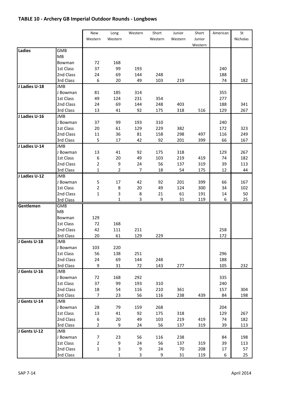# **TABLE 10 - Archery GB Imperial Outdoor Rounds - Longbows**

| Nicholas<br>Western<br>Western<br>Western<br>Western<br>Junior<br>Western<br>Ladies<br><b>GMB</b><br>MB<br>Bowman<br>72<br>168<br>99<br>1st Class<br>37<br>193<br>240<br>24<br>69<br>144<br>2nd Class<br>248<br>188<br>182<br>3rd Class<br>6<br>20<br>49<br>103<br>219<br>74<br>J Ladies U-18<br>JMB<br>J Bowman<br>81<br>185<br>314<br>355<br>1st Class<br>49<br>124<br>354<br>277<br>231<br>2nd Class<br>24<br>69<br>144<br>248<br>403<br>341<br>188<br>3rd Class<br>13<br>41<br>92<br>175<br>318<br>516<br>129<br>267<br><b>JMB</b><br>99<br>193<br>310<br>J Bowman<br>37<br>240<br>1st Class<br>20<br>229<br>323<br>61<br>129<br>382<br>172<br>2nd Class<br>158<br>298<br>497<br>249<br>11<br>36<br>81<br>116<br>3rd Class<br>5<br>17<br>42<br>92<br>201<br>399<br>167<br>66<br>J Ladies U-14<br>JMB<br>13<br>41<br>92<br>175<br>J Bowman<br>318<br>129<br>267<br>1st Class<br>20<br>49<br>103<br>6<br>219<br>419<br>74<br>182<br>2nd Class<br>2<br>9<br>24<br>56<br>137<br>319<br>39<br>113<br>$\overline{\mathbf{c}}$<br>3rd Class<br>1<br>7<br>18<br>54<br>175<br>12<br>44<br>J Ladies U-12<br><b>JMB</b><br>5<br>17<br>42<br>92<br>201<br>399<br>66<br>167<br>J Bowman<br>$\overline{2}$<br>8<br>20<br>1st Class<br>49<br>124<br>300<br>34<br>102<br>2nd Class<br>3<br>8<br>50<br>1<br>21<br>61<br>191<br>14<br>3<br>9<br>119<br>25<br>$\mathbf{1}$<br>31<br>6<br>3rd Class<br>Gentlemen<br><b>GMB</b><br>MB<br>129<br>Bowman<br>1st Class<br>72<br>168<br>258<br>2nd Class<br>42<br>111<br>211<br>3rd Class<br>20<br>61<br>129<br>229<br>172<br>J Gents U-18<br>JMB<br>J Bowman<br>103<br>220<br>56<br>138<br>296<br>1st Class<br>251<br>2nd Class<br>24<br>69<br>144<br>248<br>188<br>9<br>72<br>277<br>105<br>232<br>3rd Class<br>31<br>143<br>J Gents U-16<br>JMB<br>72<br>168<br>292<br>335<br>J Bowman<br>99<br>1st Class<br>37<br>193<br>310<br>240<br>54<br>2nd Class<br>18<br>116<br>210<br>361<br>157<br>304<br>3rd Class<br>$\overline{7}$<br>238<br>439<br>198<br>23<br>56<br>116<br>84<br>J Gents U-14<br>JMB<br>28<br>79<br>159<br>J Bowman<br>268<br>204<br>1st Class<br>13<br>41<br>92<br>175<br>318<br>129<br>267<br>49<br>2nd Class<br>6<br>20<br>103<br>219<br>419<br>74<br>182<br>$\mathbf 2$<br>9<br>39<br>3rd Class<br>24<br>56<br>137<br>319<br>113<br>J Gents U-12<br><b>JMB</b><br>$\overline{7}$<br>23<br>116<br>J Bowman<br>56<br>238<br>84<br>198<br>1st Class<br>2<br>9<br>24<br>56<br>137<br>319<br>39<br>113<br>$\mathbf{1}$<br>3<br>9<br>24<br>70<br>208<br>17<br>57<br>2nd Class<br>3<br>$\mathbf{1}$<br>9<br>31<br>119<br>6<br>25<br>3rd Class |               | New | Long | Western | Short | Junior | Short | American | St |
|------------------------------------------------------------------------------------------------------------------------------------------------------------------------------------------------------------------------------------------------------------------------------------------------------------------------------------------------------------------------------------------------------------------------------------------------------------------------------------------------------------------------------------------------------------------------------------------------------------------------------------------------------------------------------------------------------------------------------------------------------------------------------------------------------------------------------------------------------------------------------------------------------------------------------------------------------------------------------------------------------------------------------------------------------------------------------------------------------------------------------------------------------------------------------------------------------------------------------------------------------------------------------------------------------------------------------------------------------------------------------------------------------------------------------------------------------------------------------------------------------------------------------------------------------------------------------------------------------------------------------------------------------------------------------------------------------------------------------------------------------------------------------------------------------------------------------------------------------------------------------------------------------------------------------------------------------------------------------------------------------------------------------------------------------------------------------------------------------------------------------------------------------------------------------------------------------------------------------------------------------------------------------------------------------------------------------------------------------------------------------------------------------------------------------------------------------------------------------------------------------------------------------------------------------------------------------------------|---------------|-----|------|---------|-------|--------|-------|----------|----|
|                                                                                                                                                                                                                                                                                                                                                                                                                                                                                                                                                                                                                                                                                                                                                                                                                                                                                                                                                                                                                                                                                                                                                                                                                                                                                                                                                                                                                                                                                                                                                                                                                                                                                                                                                                                                                                                                                                                                                                                                                                                                                                                                                                                                                                                                                                                                                                                                                                                                                                                                                                                          |               |     |      |         |       |        |       |          |    |
|                                                                                                                                                                                                                                                                                                                                                                                                                                                                                                                                                                                                                                                                                                                                                                                                                                                                                                                                                                                                                                                                                                                                                                                                                                                                                                                                                                                                                                                                                                                                                                                                                                                                                                                                                                                                                                                                                                                                                                                                                                                                                                                                                                                                                                                                                                                                                                                                                                                                                                                                                                                          |               |     |      |         |       |        |       |          |    |
|                                                                                                                                                                                                                                                                                                                                                                                                                                                                                                                                                                                                                                                                                                                                                                                                                                                                                                                                                                                                                                                                                                                                                                                                                                                                                                                                                                                                                                                                                                                                                                                                                                                                                                                                                                                                                                                                                                                                                                                                                                                                                                                                                                                                                                                                                                                                                                                                                                                                                                                                                                                          |               |     |      |         |       |        |       |          |    |
|                                                                                                                                                                                                                                                                                                                                                                                                                                                                                                                                                                                                                                                                                                                                                                                                                                                                                                                                                                                                                                                                                                                                                                                                                                                                                                                                                                                                                                                                                                                                                                                                                                                                                                                                                                                                                                                                                                                                                                                                                                                                                                                                                                                                                                                                                                                                                                                                                                                                                                                                                                                          |               |     |      |         |       |        |       |          |    |
|                                                                                                                                                                                                                                                                                                                                                                                                                                                                                                                                                                                                                                                                                                                                                                                                                                                                                                                                                                                                                                                                                                                                                                                                                                                                                                                                                                                                                                                                                                                                                                                                                                                                                                                                                                                                                                                                                                                                                                                                                                                                                                                                                                                                                                                                                                                                                                                                                                                                                                                                                                                          |               |     |      |         |       |        |       |          |    |
|                                                                                                                                                                                                                                                                                                                                                                                                                                                                                                                                                                                                                                                                                                                                                                                                                                                                                                                                                                                                                                                                                                                                                                                                                                                                                                                                                                                                                                                                                                                                                                                                                                                                                                                                                                                                                                                                                                                                                                                                                                                                                                                                                                                                                                                                                                                                                                                                                                                                                                                                                                                          |               |     |      |         |       |        |       |          |    |
|                                                                                                                                                                                                                                                                                                                                                                                                                                                                                                                                                                                                                                                                                                                                                                                                                                                                                                                                                                                                                                                                                                                                                                                                                                                                                                                                                                                                                                                                                                                                                                                                                                                                                                                                                                                                                                                                                                                                                                                                                                                                                                                                                                                                                                                                                                                                                                                                                                                                                                                                                                                          |               |     |      |         |       |        |       |          |    |
|                                                                                                                                                                                                                                                                                                                                                                                                                                                                                                                                                                                                                                                                                                                                                                                                                                                                                                                                                                                                                                                                                                                                                                                                                                                                                                                                                                                                                                                                                                                                                                                                                                                                                                                                                                                                                                                                                                                                                                                                                                                                                                                                                                                                                                                                                                                                                                                                                                                                                                                                                                                          |               |     |      |         |       |        |       |          |    |
|                                                                                                                                                                                                                                                                                                                                                                                                                                                                                                                                                                                                                                                                                                                                                                                                                                                                                                                                                                                                                                                                                                                                                                                                                                                                                                                                                                                                                                                                                                                                                                                                                                                                                                                                                                                                                                                                                                                                                                                                                                                                                                                                                                                                                                                                                                                                                                                                                                                                                                                                                                                          |               |     |      |         |       |        |       |          |    |
|                                                                                                                                                                                                                                                                                                                                                                                                                                                                                                                                                                                                                                                                                                                                                                                                                                                                                                                                                                                                                                                                                                                                                                                                                                                                                                                                                                                                                                                                                                                                                                                                                                                                                                                                                                                                                                                                                                                                                                                                                                                                                                                                                                                                                                                                                                                                                                                                                                                                                                                                                                                          |               |     |      |         |       |        |       |          |    |
|                                                                                                                                                                                                                                                                                                                                                                                                                                                                                                                                                                                                                                                                                                                                                                                                                                                                                                                                                                                                                                                                                                                                                                                                                                                                                                                                                                                                                                                                                                                                                                                                                                                                                                                                                                                                                                                                                                                                                                                                                                                                                                                                                                                                                                                                                                                                                                                                                                                                                                                                                                                          |               |     |      |         |       |        |       |          |    |
|                                                                                                                                                                                                                                                                                                                                                                                                                                                                                                                                                                                                                                                                                                                                                                                                                                                                                                                                                                                                                                                                                                                                                                                                                                                                                                                                                                                                                                                                                                                                                                                                                                                                                                                                                                                                                                                                                                                                                                                                                                                                                                                                                                                                                                                                                                                                                                                                                                                                                                                                                                                          |               |     |      |         |       |        |       |          |    |
|                                                                                                                                                                                                                                                                                                                                                                                                                                                                                                                                                                                                                                                                                                                                                                                                                                                                                                                                                                                                                                                                                                                                                                                                                                                                                                                                                                                                                                                                                                                                                                                                                                                                                                                                                                                                                                                                                                                                                                                                                                                                                                                                                                                                                                                                                                                                                                                                                                                                                                                                                                                          |               |     |      |         |       |        |       |          |    |
|                                                                                                                                                                                                                                                                                                                                                                                                                                                                                                                                                                                                                                                                                                                                                                                                                                                                                                                                                                                                                                                                                                                                                                                                                                                                                                                                                                                                                                                                                                                                                                                                                                                                                                                                                                                                                                                                                                                                                                                                                                                                                                                                                                                                                                                                                                                                                                                                                                                                                                                                                                                          | J Ladies U-16 |     |      |         |       |        |       |          |    |
|                                                                                                                                                                                                                                                                                                                                                                                                                                                                                                                                                                                                                                                                                                                                                                                                                                                                                                                                                                                                                                                                                                                                                                                                                                                                                                                                                                                                                                                                                                                                                                                                                                                                                                                                                                                                                                                                                                                                                                                                                                                                                                                                                                                                                                                                                                                                                                                                                                                                                                                                                                                          |               |     |      |         |       |        |       |          |    |
|                                                                                                                                                                                                                                                                                                                                                                                                                                                                                                                                                                                                                                                                                                                                                                                                                                                                                                                                                                                                                                                                                                                                                                                                                                                                                                                                                                                                                                                                                                                                                                                                                                                                                                                                                                                                                                                                                                                                                                                                                                                                                                                                                                                                                                                                                                                                                                                                                                                                                                                                                                                          |               |     |      |         |       |        |       |          |    |
|                                                                                                                                                                                                                                                                                                                                                                                                                                                                                                                                                                                                                                                                                                                                                                                                                                                                                                                                                                                                                                                                                                                                                                                                                                                                                                                                                                                                                                                                                                                                                                                                                                                                                                                                                                                                                                                                                                                                                                                                                                                                                                                                                                                                                                                                                                                                                                                                                                                                                                                                                                                          |               |     |      |         |       |        |       |          |    |
|                                                                                                                                                                                                                                                                                                                                                                                                                                                                                                                                                                                                                                                                                                                                                                                                                                                                                                                                                                                                                                                                                                                                                                                                                                                                                                                                                                                                                                                                                                                                                                                                                                                                                                                                                                                                                                                                                                                                                                                                                                                                                                                                                                                                                                                                                                                                                                                                                                                                                                                                                                                          |               |     |      |         |       |        |       |          |    |
|                                                                                                                                                                                                                                                                                                                                                                                                                                                                                                                                                                                                                                                                                                                                                                                                                                                                                                                                                                                                                                                                                                                                                                                                                                                                                                                                                                                                                                                                                                                                                                                                                                                                                                                                                                                                                                                                                                                                                                                                                                                                                                                                                                                                                                                                                                                                                                                                                                                                                                                                                                                          |               |     |      |         |       |        |       |          |    |
|                                                                                                                                                                                                                                                                                                                                                                                                                                                                                                                                                                                                                                                                                                                                                                                                                                                                                                                                                                                                                                                                                                                                                                                                                                                                                                                                                                                                                                                                                                                                                                                                                                                                                                                                                                                                                                                                                                                                                                                                                                                                                                                                                                                                                                                                                                                                                                                                                                                                                                                                                                                          |               |     |      |         |       |        |       |          |    |
|                                                                                                                                                                                                                                                                                                                                                                                                                                                                                                                                                                                                                                                                                                                                                                                                                                                                                                                                                                                                                                                                                                                                                                                                                                                                                                                                                                                                                                                                                                                                                                                                                                                                                                                                                                                                                                                                                                                                                                                                                                                                                                                                                                                                                                                                                                                                                                                                                                                                                                                                                                                          |               |     |      |         |       |        |       |          |    |
|                                                                                                                                                                                                                                                                                                                                                                                                                                                                                                                                                                                                                                                                                                                                                                                                                                                                                                                                                                                                                                                                                                                                                                                                                                                                                                                                                                                                                                                                                                                                                                                                                                                                                                                                                                                                                                                                                                                                                                                                                                                                                                                                                                                                                                                                                                                                                                                                                                                                                                                                                                                          |               |     |      |         |       |        |       |          |    |
|                                                                                                                                                                                                                                                                                                                                                                                                                                                                                                                                                                                                                                                                                                                                                                                                                                                                                                                                                                                                                                                                                                                                                                                                                                                                                                                                                                                                                                                                                                                                                                                                                                                                                                                                                                                                                                                                                                                                                                                                                                                                                                                                                                                                                                                                                                                                                                                                                                                                                                                                                                                          |               |     |      |         |       |        |       |          |    |
|                                                                                                                                                                                                                                                                                                                                                                                                                                                                                                                                                                                                                                                                                                                                                                                                                                                                                                                                                                                                                                                                                                                                                                                                                                                                                                                                                                                                                                                                                                                                                                                                                                                                                                                                                                                                                                                                                                                                                                                                                                                                                                                                                                                                                                                                                                                                                                                                                                                                                                                                                                                          |               |     |      |         |       |        |       |          |    |
|                                                                                                                                                                                                                                                                                                                                                                                                                                                                                                                                                                                                                                                                                                                                                                                                                                                                                                                                                                                                                                                                                                                                                                                                                                                                                                                                                                                                                                                                                                                                                                                                                                                                                                                                                                                                                                                                                                                                                                                                                                                                                                                                                                                                                                                                                                                                                                                                                                                                                                                                                                                          |               |     |      |         |       |        |       |          |    |
|                                                                                                                                                                                                                                                                                                                                                                                                                                                                                                                                                                                                                                                                                                                                                                                                                                                                                                                                                                                                                                                                                                                                                                                                                                                                                                                                                                                                                                                                                                                                                                                                                                                                                                                                                                                                                                                                                                                                                                                                                                                                                                                                                                                                                                                                                                                                                                                                                                                                                                                                                                                          |               |     |      |         |       |        |       |          |    |
|                                                                                                                                                                                                                                                                                                                                                                                                                                                                                                                                                                                                                                                                                                                                                                                                                                                                                                                                                                                                                                                                                                                                                                                                                                                                                                                                                                                                                                                                                                                                                                                                                                                                                                                                                                                                                                                                                                                                                                                                                                                                                                                                                                                                                                                                                                                                                                                                                                                                                                                                                                                          |               |     |      |         |       |        |       |          |    |
|                                                                                                                                                                                                                                                                                                                                                                                                                                                                                                                                                                                                                                                                                                                                                                                                                                                                                                                                                                                                                                                                                                                                                                                                                                                                                                                                                                                                                                                                                                                                                                                                                                                                                                                                                                                                                                                                                                                                                                                                                                                                                                                                                                                                                                                                                                                                                                                                                                                                                                                                                                                          |               |     |      |         |       |        |       |          |    |
|                                                                                                                                                                                                                                                                                                                                                                                                                                                                                                                                                                                                                                                                                                                                                                                                                                                                                                                                                                                                                                                                                                                                                                                                                                                                                                                                                                                                                                                                                                                                                                                                                                                                                                                                                                                                                                                                                                                                                                                                                                                                                                                                                                                                                                                                                                                                                                                                                                                                                                                                                                                          |               |     |      |         |       |        |       |          |    |
|                                                                                                                                                                                                                                                                                                                                                                                                                                                                                                                                                                                                                                                                                                                                                                                                                                                                                                                                                                                                                                                                                                                                                                                                                                                                                                                                                                                                                                                                                                                                                                                                                                                                                                                                                                                                                                                                                                                                                                                                                                                                                                                                                                                                                                                                                                                                                                                                                                                                                                                                                                                          |               |     |      |         |       |        |       |          |    |
|                                                                                                                                                                                                                                                                                                                                                                                                                                                                                                                                                                                                                                                                                                                                                                                                                                                                                                                                                                                                                                                                                                                                                                                                                                                                                                                                                                                                                                                                                                                                                                                                                                                                                                                                                                                                                                                                                                                                                                                                                                                                                                                                                                                                                                                                                                                                                                                                                                                                                                                                                                                          |               |     |      |         |       |        |       |          |    |
|                                                                                                                                                                                                                                                                                                                                                                                                                                                                                                                                                                                                                                                                                                                                                                                                                                                                                                                                                                                                                                                                                                                                                                                                                                                                                                                                                                                                                                                                                                                                                                                                                                                                                                                                                                                                                                                                                                                                                                                                                                                                                                                                                                                                                                                                                                                                                                                                                                                                                                                                                                                          |               |     |      |         |       |        |       |          |    |
|                                                                                                                                                                                                                                                                                                                                                                                                                                                                                                                                                                                                                                                                                                                                                                                                                                                                                                                                                                                                                                                                                                                                                                                                                                                                                                                                                                                                                                                                                                                                                                                                                                                                                                                                                                                                                                                                                                                                                                                                                                                                                                                                                                                                                                                                                                                                                                                                                                                                                                                                                                                          |               |     |      |         |       |        |       |          |    |
|                                                                                                                                                                                                                                                                                                                                                                                                                                                                                                                                                                                                                                                                                                                                                                                                                                                                                                                                                                                                                                                                                                                                                                                                                                                                                                                                                                                                                                                                                                                                                                                                                                                                                                                                                                                                                                                                                                                                                                                                                                                                                                                                                                                                                                                                                                                                                                                                                                                                                                                                                                                          |               |     |      |         |       |        |       |          |    |
|                                                                                                                                                                                                                                                                                                                                                                                                                                                                                                                                                                                                                                                                                                                                                                                                                                                                                                                                                                                                                                                                                                                                                                                                                                                                                                                                                                                                                                                                                                                                                                                                                                                                                                                                                                                                                                                                                                                                                                                                                                                                                                                                                                                                                                                                                                                                                                                                                                                                                                                                                                                          |               |     |      |         |       |        |       |          |    |
|                                                                                                                                                                                                                                                                                                                                                                                                                                                                                                                                                                                                                                                                                                                                                                                                                                                                                                                                                                                                                                                                                                                                                                                                                                                                                                                                                                                                                                                                                                                                                                                                                                                                                                                                                                                                                                                                                                                                                                                                                                                                                                                                                                                                                                                                                                                                                                                                                                                                                                                                                                                          |               |     |      |         |       |        |       |          |    |
|                                                                                                                                                                                                                                                                                                                                                                                                                                                                                                                                                                                                                                                                                                                                                                                                                                                                                                                                                                                                                                                                                                                                                                                                                                                                                                                                                                                                                                                                                                                                                                                                                                                                                                                                                                                                                                                                                                                                                                                                                                                                                                                                                                                                                                                                                                                                                                                                                                                                                                                                                                                          |               |     |      |         |       |        |       |          |    |
|                                                                                                                                                                                                                                                                                                                                                                                                                                                                                                                                                                                                                                                                                                                                                                                                                                                                                                                                                                                                                                                                                                                                                                                                                                                                                                                                                                                                                                                                                                                                                                                                                                                                                                                                                                                                                                                                                                                                                                                                                                                                                                                                                                                                                                                                                                                                                                                                                                                                                                                                                                                          |               |     |      |         |       |        |       |          |    |
|                                                                                                                                                                                                                                                                                                                                                                                                                                                                                                                                                                                                                                                                                                                                                                                                                                                                                                                                                                                                                                                                                                                                                                                                                                                                                                                                                                                                                                                                                                                                                                                                                                                                                                                                                                                                                                                                                                                                                                                                                                                                                                                                                                                                                                                                                                                                                                                                                                                                                                                                                                                          |               |     |      |         |       |        |       |          |    |
|                                                                                                                                                                                                                                                                                                                                                                                                                                                                                                                                                                                                                                                                                                                                                                                                                                                                                                                                                                                                                                                                                                                                                                                                                                                                                                                                                                                                                                                                                                                                                                                                                                                                                                                                                                                                                                                                                                                                                                                                                                                                                                                                                                                                                                                                                                                                                                                                                                                                                                                                                                                          |               |     |      |         |       |        |       |          |    |
|                                                                                                                                                                                                                                                                                                                                                                                                                                                                                                                                                                                                                                                                                                                                                                                                                                                                                                                                                                                                                                                                                                                                                                                                                                                                                                                                                                                                                                                                                                                                                                                                                                                                                                                                                                                                                                                                                                                                                                                                                                                                                                                                                                                                                                                                                                                                                                                                                                                                                                                                                                                          |               |     |      |         |       |        |       |          |    |
|                                                                                                                                                                                                                                                                                                                                                                                                                                                                                                                                                                                                                                                                                                                                                                                                                                                                                                                                                                                                                                                                                                                                                                                                                                                                                                                                                                                                                                                                                                                                                                                                                                                                                                                                                                                                                                                                                                                                                                                                                                                                                                                                                                                                                                                                                                                                                                                                                                                                                                                                                                                          |               |     |      |         |       |        |       |          |    |
|                                                                                                                                                                                                                                                                                                                                                                                                                                                                                                                                                                                                                                                                                                                                                                                                                                                                                                                                                                                                                                                                                                                                                                                                                                                                                                                                                                                                                                                                                                                                                                                                                                                                                                                                                                                                                                                                                                                                                                                                                                                                                                                                                                                                                                                                                                                                                                                                                                                                                                                                                                                          |               |     |      |         |       |        |       |          |    |
|                                                                                                                                                                                                                                                                                                                                                                                                                                                                                                                                                                                                                                                                                                                                                                                                                                                                                                                                                                                                                                                                                                                                                                                                                                                                                                                                                                                                                                                                                                                                                                                                                                                                                                                                                                                                                                                                                                                                                                                                                                                                                                                                                                                                                                                                                                                                                                                                                                                                                                                                                                                          |               |     |      |         |       |        |       |          |    |
|                                                                                                                                                                                                                                                                                                                                                                                                                                                                                                                                                                                                                                                                                                                                                                                                                                                                                                                                                                                                                                                                                                                                                                                                                                                                                                                                                                                                                                                                                                                                                                                                                                                                                                                                                                                                                                                                                                                                                                                                                                                                                                                                                                                                                                                                                                                                                                                                                                                                                                                                                                                          |               |     |      |         |       |        |       |          |    |
|                                                                                                                                                                                                                                                                                                                                                                                                                                                                                                                                                                                                                                                                                                                                                                                                                                                                                                                                                                                                                                                                                                                                                                                                                                                                                                                                                                                                                                                                                                                                                                                                                                                                                                                                                                                                                                                                                                                                                                                                                                                                                                                                                                                                                                                                                                                                                                                                                                                                                                                                                                                          |               |     |      |         |       |        |       |          |    |
|                                                                                                                                                                                                                                                                                                                                                                                                                                                                                                                                                                                                                                                                                                                                                                                                                                                                                                                                                                                                                                                                                                                                                                                                                                                                                                                                                                                                                                                                                                                                                                                                                                                                                                                                                                                                                                                                                                                                                                                                                                                                                                                                                                                                                                                                                                                                                                                                                                                                                                                                                                                          |               |     |      |         |       |        |       |          |    |
|                                                                                                                                                                                                                                                                                                                                                                                                                                                                                                                                                                                                                                                                                                                                                                                                                                                                                                                                                                                                                                                                                                                                                                                                                                                                                                                                                                                                                                                                                                                                                                                                                                                                                                                                                                                                                                                                                                                                                                                                                                                                                                                                                                                                                                                                                                                                                                                                                                                                                                                                                                                          |               |     |      |         |       |        |       |          |    |
|                                                                                                                                                                                                                                                                                                                                                                                                                                                                                                                                                                                                                                                                                                                                                                                                                                                                                                                                                                                                                                                                                                                                                                                                                                                                                                                                                                                                                                                                                                                                                                                                                                                                                                                                                                                                                                                                                                                                                                                                                                                                                                                                                                                                                                                                                                                                                                                                                                                                                                                                                                                          |               |     |      |         |       |        |       |          |    |
|                                                                                                                                                                                                                                                                                                                                                                                                                                                                                                                                                                                                                                                                                                                                                                                                                                                                                                                                                                                                                                                                                                                                                                                                                                                                                                                                                                                                                                                                                                                                                                                                                                                                                                                                                                                                                                                                                                                                                                                                                                                                                                                                                                                                                                                                                                                                                                                                                                                                                                                                                                                          |               |     |      |         |       |        |       |          |    |
|                                                                                                                                                                                                                                                                                                                                                                                                                                                                                                                                                                                                                                                                                                                                                                                                                                                                                                                                                                                                                                                                                                                                                                                                                                                                                                                                                                                                                                                                                                                                                                                                                                                                                                                                                                                                                                                                                                                                                                                                                                                                                                                                                                                                                                                                                                                                                                                                                                                                                                                                                                                          |               |     |      |         |       |        |       |          |    |
|                                                                                                                                                                                                                                                                                                                                                                                                                                                                                                                                                                                                                                                                                                                                                                                                                                                                                                                                                                                                                                                                                                                                                                                                                                                                                                                                                                                                                                                                                                                                                                                                                                                                                                                                                                                                                                                                                                                                                                                                                                                                                                                                                                                                                                                                                                                                                                                                                                                                                                                                                                                          |               |     |      |         |       |        |       |          |    |
|                                                                                                                                                                                                                                                                                                                                                                                                                                                                                                                                                                                                                                                                                                                                                                                                                                                                                                                                                                                                                                                                                                                                                                                                                                                                                                                                                                                                                                                                                                                                                                                                                                                                                                                                                                                                                                                                                                                                                                                                                                                                                                                                                                                                                                                                                                                                                                                                                                                                                                                                                                                          |               |     |      |         |       |        |       |          |    |
|                                                                                                                                                                                                                                                                                                                                                                                                                                                                                                                                                                                                                                                                                                                                                                                                                                                                                                                                                                                                                                                                                                                                                                                                                                                                                                                                                                                                                                                                                                                                                                                                                                                                                                                                                                                                                                                                                                                                                                                                                                                                                                                                                                                                                                                                                                                                                                                                                                                                                                                                                                                          |               |     |      |         |       |        |       |          |    |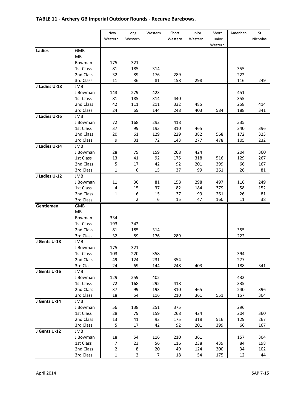# **TABLE 11 - Archery GB Imperial Outdoor Rounds - Recurve Barebows.**

|               |                         | New          | Long           | Western | Short    | Junior   | Short      | American | St       |
|---------------|-------------------------|--------------|----------------|---------|----------|----------|------------|----------|----------|
|               |                         | Western      | Western        |         | Western  | Western  | Junior     |          | Nicholas |
|               |                         |              |                |         |          |          | Western    |          |          |
| Ladies        | <b>GMB</b>              |              |                |         |          |          |            |          |          |
|               | MB                      |              |                |         |          |          |            |          |          |
|               | Bowman                  | 175          | 321            |         |          |          |            |          |          |
|               | 1st Class               | 81           | 185            | 314     |          |          |            | 355      |          |
|               | 2nd Class               | 32           | 89             | 176     | 289      |          |            | 222      |          |
|               | 3rd Class               | 11           | 36             | 81      | 158      | 298      |            | 116      | 249      |
| J Ladies U-18 | JMB                     |              |                |         |          |          |            |          |          |
|               | J Bowman                | 143          | 279            | 423     |          |          |            | 451      |          |
|               | 1st Class               | 81           | 185            | 314     | 440      |          |            | 355      |          |
|               | 2nd Class               | 42           | 111            | 211     | 332      | 485      |            | 258      | 414      |
|               | 3rd Class               | 24           | 69             | 144     | 248      | 403      | 584        | 188      | 341      |
| J Ladies U-16 | <b>JMB</b>              |              |                |         |          |          |            |          |          |
|               | J Bowman                | 72           | 168            | 292     | 418      |          |            | 335      |          |
|               | 1st Class               | 37           | 99             | 193     | 310      | 465      |            | 240      | 396      |
|               | 2nd Class               | 20           | 61             | 129     | 229      | 382      | 568        | 172      | 323      |
|               | 3rd Class               | 9            | 31             | 72      | 143      | 277      | 478        | 105      | 232      |
| J Ladies U-14 | JMB                     |              |                |         |          |          |            |          |          |
|               | J Bowman                | 28           | 79             | 159     | 268      | 424      |            | 204      | 360      |
|               | 1st Class               | 13           | 41             | 92      | 175      | 318      | 516        | 129      | 267      |
|               | 2nd Class               | 5            | 17             | 42      | 92       | 201      | 399        | 66       | 167      |
|               | 3rd Class               | $\mathbf{1}$ | 6              | 15      | 37       | 99       | 261        | 26       | 81       |
| J Ladies U-12 | JMB                     |              |                |         |          |          |            |          |          |
|               | J Bowman                | 11           | 36             | 81      | 158      | 298      | 497        | 116      | 249      |
|               | 1st Class               | 4            | 15             | 37      | 82       | 184      | 379        | 58       | 152      |
|               | 2nd Class               | 1            | 6<br>2         | 15<br>6 | 37<br>15 | 99<br>47 | 261<br>160 | 26<br>11 | 81<br>38 |
| Gentlemen     | 3rd Class<br><b>GMB</b> |              |                |         |          |          |            |          |          |
|               | MB                      |              |                |         |          |          |            |          |          |
|               | Bowman                  | 334          |                |         |          |          |            |          |          |
|               | 1st Class               | 193          | 342            |         |          |          |            |          |          |
|               | 2nd Class               | 81           | 185            | 314     |          |          |            | 355      |          |
|               | 3rd Class               | 32           | 89             | 176     | 289      |          |            | 222      |          |
| J Gents U-18  | JMB                     |              |                |         |          |          |            |          |          |
|               | J Bowman                | 175          | 321            |         |          |          |            |          |          |
|               | 1st Class               | 103          | 220            | 358     |          |          |            | 394      |          |
|               | 2nd Class               | 49           | 124            | 231     | 354      |          |            | 277      |          |
|               | 3rd Class               | 24           | 69             | 144     | 248      | 403      |            | 188      | 341      |
| J Gents U-16  | JMB                     |              |                |         |          |          |            |          |          |
|               | J Bowman                | 129          | 259            | 402     |          |          |            | 432      |          |
|               | 1st Class               | 72           | 168            | 292     | 418      |          |            | 335      |          |
|               | 2nd Class               | 37           | 99             | 193     | 310      | 465      |            | 240      | 396      |
|               | 3rd Class               | 18           | 54             | 116     | 210      | 361      | 551        | 157      | 304      |
| J Gents U-14  | <b>JMB</b>              |              |                |         |          |          |            |          |          |
|               | J Bowman                | 56           | 138            | 251     | 375      |          |            | 296      |          |
|               | 1st Class               | 28           | 79             | 159     | 268      | 424      |            | 204      | 360      |
|               | 2nd Class               | 13           | 41             | 92      | 175      | 318      | 516        | 129      | 267      |
|               | 3rd Class               | 5            | 17             | 42      | 92       | 201      | 399        | 66       | 167      |
| J Gents U-12  | JMB                     |              |                |         |          |          |            |          |          |
|               | J Bowman                | 18           | 54             | 116     | 210      | 361      |            | 157      | 304      |
|               | 1st Class               | 7            | 23             | 56      | 116      | 238      | 439        | 84       | 198      |
|               | 2nd Class               | 2            | 8              | 20      | 49       | 124      | 300        | 34       | 102      |
|               | 3rd Class               | $\mathbf 1$  | $\overline{2}$ | 7       | 18       | 54       | 175        | 12       | 44       |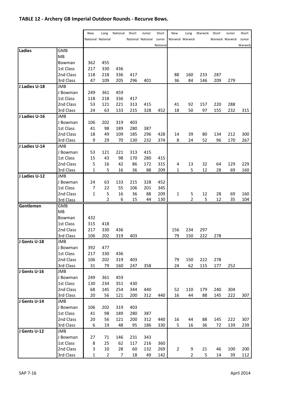# **TABLE 12 - Archery GB Imperial Outdoor Rounds - Recurve Bows.**

|               |            | New          | Long              | National | Short | Junior            | Short    | New            | Long            | Warwick | Short | Junior                 | Short   |
|---------------|------------|--------------|-------------------|----------|-------|-------------------|----------|----------------|-----------------|---------|-------|------------------------|---------|
|               |            |              | National National |          |       | National National | Junior   |                | Warwick Warwick |         |       | Warwick Warwick Junior |         |
|               |            |              |                   |          |       |                   | National |                |                 |         |       |                        | Warwick |
| Ladies        | GMB        |              |                   |          |       |                   |          |                |                 |         |       |                        |         |
|               | MB         |              |                   |          |       |                   |          |                |                 |         |       |                        |         |
|               | Bowman     | 362          | 455               |          |       |                   |          |                |                 |         |       |                        |         |
|               | 1st Class  | 217          | 330               | 436      |       |                   |          |                |                 |         |       |                        |         |
|               | 2nd Class  | 118          | 218               | 336      | 417   |                   |          | 88             | 160             | 233     | 287   |                        |         |
|               | 3rd Class  | 47           | 109               | 205      | 296   | 401               |          | 36             | 84              | 146     | 209   | 279                    |         |
| J Ladies U-18 | JMB        |              |                   |          |       |                   |          |                |                 |         |       |                        |         |
|               | J Bowman   | 249          | 361               | 459      |       |                   |          |                |                 |         |       |                        |         |
|               | 1st Class  | 118          | 218               | 336      | 417   |                   |          |                |                 |         |       |                        |         |
|               | 2nd Class  | 53           | 121               | 221      | 313   | 415               |          | 41             | 92              | 157     | 220   | 288                    |         |
|               | 3rd Class  | 24           | 63                | 133      | 215   | 328               | 452      | 18             | 50              | 97      | 155   | 232                    | 315     |
| J Ladies U-16 | JMB        |              |                   |          |       |                   |          |                |                 |         |       |                        |         |
|               | J Bowman   | 106          | 202               | 319      | 403   |                   |          |                |                 |         |       |                        |         |
|               | 1st Class  | 41           | 98                | 189      | 280   | 387               |          |                |                 |         |       |                        |         |
|               | 2nd Class  | 18           | 49                | 109      | 185   | 296               | 428      | 14             | 39              | 80      | 134   | 212                    | 300     |
|               |            | 9            |                   |          |       |                   |          |                |                 |         |       |                        |         |
|               | 3rd Class  |              | 29                | 70       | 130   | 232               | 374      | 8              | 24              | 52      | 96    | 170                    | 267     |
| J Ladies U-14 | JMB        |              |                   |          |       |                   |          |                |                 |         |       |                        |         |
|               | J Bowman   | 53           | 121               | 221      | 313   | 415               |          |                |                 |         |       |                        |         |
|               | 1st Class  | 15           | 43                | 98       | 170   | 280               | 415      |                |                 |         |       |                        |         |
|               | 2nd Class  | 5            | 16                | 42       | 86    | 172               | 315      | 4              | 13              | 32      | 64    | 129                    | 229     |
|               | 3rd Class  | $\mathbf{1}$ | 5                 | 16       | 36    | 88                | 209      | $\mathbf{1}$   | 5               | 12      | 28    | 69                     | 160     |
| J Ladies U-12 | <b>JMB</b> |              |                   |          |       |                   |          |                |                 |         |       |                        |         |
|               | J Bowman   | 24           | 63                | 133      | 215   | 328               | 452      |                |                 |         |       |                        |         |
|               | 1st Class  | 7            | 22                | 55       | 106   | 201               | 345      |                |                 |         |       |                        |         |
|               | 2nd Class  | $\mathbf{1}$ | 5                 | 16       | 36    | 88                | 209      | 1              | 5               | 12      | 28    | 69                     | 160     |
|               | 3rd Class  |              | $\overline{2}$    | 6        | 15    | 44                | 130      |                | 2               | 5       | 12    | 35                     | 104     |
| Gentlemen     | <b>GMB</b> |              |                   |          |       |                   |          |                |                 |         |       |                        |         |
|               | MB         |              |                   |          |       |                   |          |                |                 |         |       |                        |         |
|               | Bowman     | 432          |                   |          |       |                   |          |                |                 |         |       |                        |         |
|               | 1st Class  | 315          | 418               |          |       |                   |          |                |                 |         |       |                        |         |
|               | 2nd Class  | 217          | 330               | 436      |       |                   |          | 156            | 234             | 297     |       |                        |         |
|               | 3rd Class  | 106          | 202               | 319      | 403   |                   |          | 79             | 150             | 222     | 278   |                        |         |
| J Gents U-18  | JMB        |              |                   |          |       |                   |          |                |                 |         |       |                        |         |
|               | J Bowman   | 392          | 477               |          |       |                   |          |                |                 |         |       |                        |         |
|               | 1st Class  | 217          | 330               | 436      |       |                   |          |                |                 |         |       |                        |         |
|               | 2nd Class  | 106          | 202               | 319      | 403   |                   |          | 79             | 150             | 222     | 278   |                        |         |
|               | 3rd Class  | 31           | 79                | 160      | 247   | 358               |          | 24             | 62              | 115     | 177   | 252                    |         |
| J Gents U-16  | <b>JMB</b> |              |                   |          |       |                   |          |                |                 |         |       |                        |         |
|               | J Bowman   | 249          | 361               | 459      |       |                   |          |                |                 |         |       |                        |         |
|               | 1st Class  | 130          | 234               | 351      | 430   |                   |          |                |                 |         |       |                        |         |
|               | 2nd Class  | 68           | 145               | 254      | 344   | 440               |          | 52             | 110             | 179     | 240   | 304                    |         |
|               | 3rd Class  | 20           | 56                | 121      | 200   | 312               | 440      | 16             | 44              | 88      | 145   | 222                    | 307     |
| J Gents U-14  | JMB        |              |                   |          |       |                   |          |                |                 |         |       |                        |         |
|               | J Bowman   | 106          | 202               | 319      | 403   |                   |          |                |                 |         |       |                        |         |
|               | 1st Class  | 41           | 98                | 189      | 280   | 387               |          |                |                 |         |       |                        |         |
|               | 2nd Class  | 20           | 56                | 121      | 200   | 312               | 440      | 16             | 44              | 88      | 145   | 222                    | 307     |
|               | 3rd Class  | 6            | 19                | 48       | 95    | 186               | 330      | 5              | 16              | 36      | 72    | 139                    | 239     |
| J Gents U-12  | <b>JMB</b> |              |                   |          |       |                   |          |                |                 |         |       |                        |         |
|               | J Bowman   | 27           | 71                | 146      | 231   | 343               |          |                |                 |         |       |                        |         |
|               | 1st Class  | 8            | 25                | 62       | 117   | 216               | 360      |                |                 |         |       |                        |         |
|               |            | 3            | 10                | 28       | 60    | 132               | 269      | $\overline{2}$ | 9               | 21      | 46    | 100                    | 200     |
|               | 2nd Class  |              |                   |          |       |                   |          |                |                 |         |       |                        |         |
|               | 3rd Class  | $\mathbf 1$  | 2                 | 7        | 18    | 49                | 142      |                | 2               | 5       | 14    | 39                     | 112     |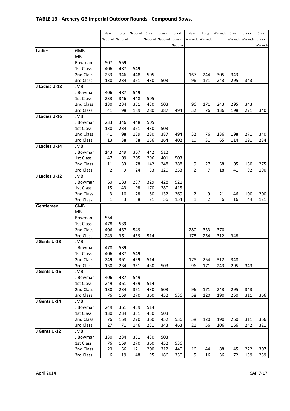# **TABLE 13 - Archery GB Imperial Outdoor Rounds - Compound Bows.**

| National National<br>National National<br>Junior<br>Warwick Warwick<br>Warwick Warwick                                                  |         |
|-----------------------------------------------------------------------------------------------------------------------------------------|---------|
|                                                                                                                                         | Junior  |
| National                                                                                                                                | Warwick |
| Ladies<br>GMB                                                                                                                           |         |
| MB                                                                                                                                      |         |
| 507<br>559<br>Bowman                                                                                                                    |         |
| 487<br>1st Class<br>406<br>549                                                                                                          |         |
| 2nd Class<br>233<br>346<br>448<br>505<br>167<br>244<br>305<br>343                                                                       |         |
| 3rd Class<br>130<br>234<br>430<br>503<br>96<br>171<br>351<br>243<br>295<br>343                                                          |         |
| J Ladies U-18<br>JMB                                                                                                                    |         |
| 487<br>J Bowman<br>406<br>549                                                                                                           |         |
| 1st Class<br>233<br>346<br>448<br>505                                                                                                   |         |
| 2nd Class<br>130<br>234<br>430<br>96<br>171<br>295<br>351<br>503<br>243<br>343                                                          |         |
| 3rd Class<br>98<br>494<br>41<br>189<br>280<br>387<br>32<br>76<br>136<br>198<br>271                                                      | 340     |
| J Ladies U-16<br>JMB                                                                                                                    |         |
| J Bowman<br>233<br>346<br>448<br>505                                                                                                    |         |
| 234<br>1st Class<br>130<br>351<br>430<br>503                                                                                            |         |
| 2nd Class<br>41<br>98<br>189<br>280<br>387<br>494<br>76<br>136<br>198<br>32<br>271                                                      | 340     |
| 3rd Class<br>13<br>38<br>156<br>264<br>10<br>31<br>191<br>88<br>402<br>65<br>114                                                        | 284     |
| J Ladies U-14<br>JMB                                                                                                                    |         |
| J Bowman<br>143<br>249<br>442<br>367<br>512                                                                                             |         |
| 1st Class<br>47<br>109<br>205<br>296<br>401<br>503                                                                                      |         |
| 33<br>388<br>9<br>27<br>2nd Class<br>11<br>78<br>142<br>248<br>58<br>105<br>180                                                         | 275     |
| 3rd Class<br>2<br>9<br>24<br>53<br>120<br>253<br>2<br>18<br>41<br>92                                                                    | 190     |
| 7<br>JMB                                                                                                                                |         |
| J Ladies U-12<br>329                                                                                                                    |         |
| 60<br>133<br>237<br>428<br>521<br>J Bowman                                                                                              |         |
| 170<br>1st Class<br>15<br>43<br>98<br>280<br>415                                                                                        |         |
| 2nd Class<br>3<br>10<br>28<br>60<br>132<br>269<br>2<br>9<br>21<br>46<br>100                                                             | 200     |
| $\mathbf{1}$<br>3<br>8<br>21<br>56<br>154<br>$\mathbf{1}$<br>2<br>6<br>16<br>44<br>3rd Class                                            | 121     |
| Gentlemen<br><b>GMB</b>                                                                                                                 |         |
| <b>MB</b>                                                                                                                               |         |
| 554<br>Bowman                                                                                                                           |         |
| 1st Class<br>478<br>539                                                                                                                 |         |
| 487<br>280<br>2nd Class<br>406<br>549<br>333<br>370                                                                                     |         |
| 3rd Class<br>249<br>361<br>459<br>514<br>178<br>254<br>312<br>348                                                                       |         |
| J Gents U-18<br>JMB                                                                                                                     |         |
| J Bowman<br>478<br>539                                                                                                                  |         |
| 487<br>1st Class<br>406<br>549                                                                                                          |         |
| 2nd Class<br>249<br>361<br>514<br>178<br>254<br>348<br>459<br>312                                                                       |         |
| 3rd Class<br>130<br>234<br>430<br>96<br>295<br>343<br>351<br>503<br>171<br>243                                                          |         |
| J Gents U-16<br><b>JMB</b>                                                                                                              |         |
| 406<br>487<br>549<br>J Bowman                                                                                                           |         |
| 249<br>361<br>1st Class<br>459<br>514                                                                                                   |         |
| 2nd Class<br>130<br>234<br>430<br>503<br>96<br>171<br>243<br>295<br>343<br>351                                                          |         |
| 159<br>3rd Class<br>76<br>270<br>360<br>452<br>536<br>58<br>120<br>190<br>250<br>311                                                    | 366     |
| J Gents U-14<br>JMB                                                                                                                     |         |
| 249<br>361<br>459<br>514<br>J Bowman                                                                                                    |         |
| 1st Class<br>130<br>234<br>351<br>430<br>503                                                                                            |         |
|                                                                                                                                         | 366     |
| 2nd Class<br>76<br>159<br>270<br>360<br>452<br>120<br>190<br>250<br>536<br>58<br>311                                                    |         |
|                                                                                                                                         |         |
| 3rd Class<br>27<br>71<br>231<br>343<br>463<br>21<br>242<br>146<br>56<br>106<br>166                                                      | 321     |
| J Gents U-12<br>JMB                                                                                                                     |         |
| J Bowman<br>130<br>234<br>351<br>430<br>503                                                                                             |         |
| 1st Class<br>76<br>159<br>270<br>360<br>452<br>536<br>20<br>200<br>440<br>44<br>145<br>2nd Class<br>56<br>121<br>312<br>16<br>88<br>222 | 307     |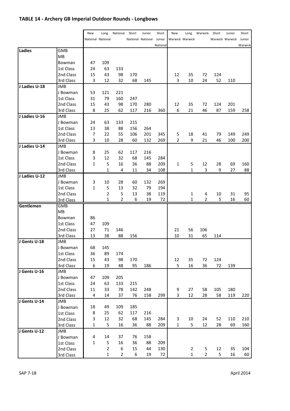# **TABLE 14 - Archery GB Imperial Outdoor Rounds - Longbows**

|               |            | New          | Long              | National       | Short | Junior            | Short    | New          | Long            | Warwick        | Short | Junior                 | Short   |
|---------------|------------|--------------|-------------------|----------------|-------|-------------------|----------|--------------|-----------------|----------------|-------|------------------------|---------|
|               |            |              | National National |                |       | National National | Junior   |              | Warwick Warwick |                |       | Warwick Warwick Junior |         |
|               |            |              |                   |                |       |                   | National |              |                 |                |       |                        | Warwick |
| Ladies        | GMB        |              |                   |                |       |                   |          |              |                 |                |       |                        |         |
|               | MB         |              |                   |                |       |                   |          |              |                 |                |       |                        |         |
|               | Bowman     | 47           | 109               |                |       |                   |          |              |                 |                |       |                        |         |
|               | 1st Class  | 24           | 63                | 133            |       |                   |          |              |                 |                |       |                        |         |
|               | 2nd Class  | 15           | 43                | 98             | 170   |                   |          | 12           | 35              | 72             | 124   |                        |         |
|               | 3rd Class  | 3            | 12                | 32             | 68    | 145               |          | 3            | 10              | 24             | 52    | 110                    |         |
| J Ladies U-18 | <b>JMB</b> |              |                   |                |       |                   |          |              |                 |                |       |                        |         |
|               | J Bowman   | 53           | 121               | 221            |       |                   |          |              |                 |                |       |                        |         |
|               | 1st Class  | 31           | 79                | 160            | 247   |                   |          |              |                 |                |       |                        |         |
|               | 2nd Class  | 15           | 43                | 98             | 170   | 280               |          | 12           | 35              | 72             | 124   | 201                    |         |
|               | 3rd Class  | 8            | 25                | 62             | 117   | 216               | 360      | 6            | 21              | 46             | 87    | 159                    | 258     |
| J Ladies U-16 | JMB        |              |                   |                |       |                   |          |              |                 |                |       |                        |         |
|               | J Bowman   | 24           | 63                | 133            | 215   |                   |          |              |                 |                |       |                        |         |
|               | 1st Class  | 13           | 38                | 88             | 156   | 264               |          |              |                 |                |       |                        |         |
|               | 2nd Class  | 7            | 22                | 55             | 106   | 201               | 345      | 5            | 18              | 41             | 79    | 149                    | 249     |
|               | 3rd Class  | 3            | 10                | 28             | 60    | 132               | 269      | 2            | 9               | 21             | 46    | 100                    | 200     |
| J Ladies U-14 | JMB        |              |                   |                |       |                   |          |              |                 |                |       |                        |         |
|               | J Bowman   | 8            | 25                | 62             | 117   | 216               |          |              |                 |                |       |                        |         |
|               | 1st Class  | 3            | 12                | 32             | 68    | 145               | 284      |              |                 |                |       |                        |         |
|               | 2nd Class  | $\mathbf{1}$ | 5                 | 16             | 36    | 88                | 209      | $\mathbf{1}$ | 5               | 12             | 28    | 69                     | 160     |
|               | 3rd Class  |              | 1                 | 4              | 11    | 34                | 108      |              | 1               | 3              | 9     | 27                     | 88      |
| J Ladies U-12 | <b>JMB</b> |              |                   |                |       |                   |          |              |                 |                |       |                        |         |
|               | J Bowman   | 3            | 10                | 28             | 60    | 132               | 269      |              |                 |                |       |                        |         |
|               | 1st Class  | $\mathbf{1}$ | 5                 | 13             | 32    | 79                | 194      |              |                 |                |       |                        |         |
|               | 2nd Class  |              | $\overline{2}$    | 5              | 13    | 38                | 119      |              | 1               | 4              | 10    | 31                     | 95      |
|               | 3rd Class  |              | $\mathbf{1}$      | $\overline{2}$ | 6     | 19                | 72       |              | 1               | $\overline{2}$ | 5     | 16                     | 60      |
| Gentlemen     | <b>GMB</b> |              |                   |                |       |                   |          |              |                 |                |       |                        |         |
|               | MB         |              |                   |                |       |                   |          |              |                 |                |       |                        |         |
|               | Bowman     | 86           |                   |                |       |                   |          |              |                 |                |       |                        |         |
|               | 1st Class  | 47           | 109               |                |       |                   |          |              |                 |                |       |                        |         |
|               | 2nd Class  | 27           | 71                | 146            |       |                   |          | 21           | 56              | 106            |       |                        |         |
|               | 3rd Class  | 13           | 38                | 88             | 156   |                   |          | 10           | 31              | 65             | 114   |                        |         |
| J Gents U-18  | <b>JMB</b> |              |                   |                |       |                   |          |              |                 |                |       |                        |         |
|               | J Bowman   | 68           | 145               |                |       |                   |          |              |                 |                |       |                        |         |
|               | 1st Class  | 36           | 89                | 174            |       |                   |          |              |                 |                |       |                        |         |
|               | 2nd Class  | 15           | 43                | 98             | 170   |                   |          | 12           | 35              | 72             | 124   |                        |         |
|               | 3rd Class  | 6            | 19                | 48             | 95    | 186               |          | 5            | 16              | 36             | 72    | 139                    |         |
| J Gents U-16  | <b>JMB</b> |              |                   |                |       |                   |          |              |                 |                |       |                        |         |
|               | J Bowman   | 47           | 109               | 205            |       |                   |          |              |                 |                |       |                        |         |
|               | 1st Class  | 24           | 63                | 133            | 215   |                   |          |              |                 |                |       |                        |         |
|               | 2nd Class  | 11           | 33                | 78             | 142   | 248               |          | 9            | 27              | 58             | 105   | 180                    |         |
|               | 3rd Class  | 4            | 14                | 37             | 76    | 158               | 299      | 3            | 12              | 28             | 58    | 119                    | 220     |
| J Gents U-14  | JMB        |              |                   |                |       |                   |          |              |                 |                |       |                        |         |
|               | J Bowman   | 18           | 49                | 109            | 185   |                   |          |              |                 |                |       |                        |         |
|               | 1st Class  | 8            | 25                | 62             | 117   | 216               |          |              |                 |                |       |                        |         |
|               | 2nd Class  | 3            | 12                | 32             | 68    | 145               | 284      | 3            | 10              | 24             | 52    | 110                    | 210     |
|               | 3rd Class  | $\mathbf{1}$ | 5                 | 16             | 36    | 88                | 209      | 1            | 5               | 12             | 28    | 69                     | 160     |
| J Gents U-12  | <b>JMB</b> |              |                   |                |       |                   |          |              |                 |                |       |                        |         |
|               | J Bowman   | 4            | 14                | 37             | 76    | 158               |          |              |                 |                |       |                        |         |
|               | 1st Class  | $\mathbf{1}$ | 5                 | 16             | 36    | 88                | 209      |              |                 |                |       |                        |         |
|               | 2nd Class  |              | $\overline{2}$    | 6              | 15    | 44                | 130      |              | 2               | 5              | 12    | 35                     | 104     |
|               | 3rd Class  |              | $\mathbf{1}$      | $\overline{2}$ | 6     | 19                | 72       |              | 1               | $\overline{2}$ | 5     | 16                     | 60      |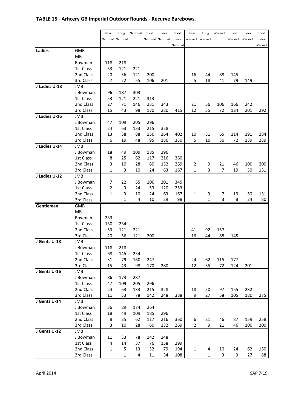# **TABLE 15 - Arhcery GB Imperial Outdoor Rounds - Recurve Barebows.**

|               |            | New            | Long              | National | Short | Junior            | Short    | New            | Long            | Warwick | Short | Junior          | Short   |
|---------------|------------|----------------|-------------------|----------|-------|-------------------|----------|----------------|-----------------|---------|-------|-----------------|---------|
|               |            |                | National National |          |       | National National | Junior   |                | Warwick Warwick |         |       | Warwick Warwick | Junior  |
|               |            |                |                   |          |       |                   | National |                |                 |         |       |                 | Warwick |
| Ladies        | GMB        |                |                   |          |       |                   |          |                |                 |         |       |                 |         |
|               | <b>MB</b>  |                |                   |          |       |                   |          |                |                 |         |       |                 |         |
|               | Bowman     | 118            | 218               |          |       |                   |          |                |                 |         |       |                 |         |
|               | 1st Class  | 53             | 121               | 221      |       |                   |          |                |                 |         |       |                 |         |
|               | 2nd Class  | 20             | 56                | 121      | 200   |                   |          | 16             | 44              | 88      | 145   |                 |         |
|               | 3rd Class  | 7              | 22                | 55       | 106   | 201               |          | 5              | 18              | 41      | 79    | 149             |         |
| J Ladies U-18 | JMB        |                |                   |          |       |                   |          |                |                 |         |       |                 |         |
|               | J Bowman   | 96             | 187               | 303      |       |                   |          |                |                 |         |       |                 |         |
|               | 1st Class  | 53             | 121               | 221      | 313   |                   |          |                |                 |         |       |                 |         |
|               | 2nd Class  | 27             | 71                | 146      | 231   | 343               |          | 21             | 56              | 106     | 166   | 242             |         |
|               | 3rd Class  | 15             | 43                | 98       | 170   | 280               | 415      | 12             | 35              | 72      | 124   | 201             | 292     |
| J Ladies U-16 | JMB        |                |                   |          |       |                   |          |                |                 |         |       |                 |         |
|               | J Bowman   | 47             | 109               | 205      | 296   |                   |          |                |                 |         |       |                 |         |
|               | 1st Class  | 24             | 63                | 133      | 215   | 328               |          |                |                 |         |       |                 |         |
|               | 2nd Class  | 13             | 38                | 88       | 156   | 264               | 402      | 10             | 31              | 65      | 114   | 191             | 284     |
|               | 3rd Class  | 6              | 19                | 48       | 95    | 186               | 330      | 5              | 16              | 36      | 72    | 139             | 239     |
| J Ladies U-14 | JMB        |                |                   |          |       |                   |          |                |                 |         |       |                 |         |
|               | J Bowman   | 18             | 49                | 109      | 185   | 296               |          |                |                 |         |       |                 |         |
|               | 1st Class  | 8              | 25                | 62       | 117   | 216               | 360      |                |                 |         |       |                 |         |
|               | 2nd Class  | 3              | 10                | 28       | 60    | 132               | 269      | 2              | 9               | 21      | 46    | 100             | 200     |
|               | 3rd Class  | 1              | 3                 | 10       | 24    | 63                | 167      | 1              | 3               | 7       | 19    | 50              | 131     |
| J Ladies U-12 | <b>JMB</b> |                |                   |          |       |                   |          |                |                 |         |       |                 |         |
|               | J Bowman   | 7              | 22                | 55       | 106   | 201               | 345      |                |                 |         |       |                 |         |
|               | 1st Class  | $\overline{2}$ | 9                 | 24       | 53    | 120               | 253      |                |                 |         |       |                 |         |
|               | 2nd Class  | $\mathbf{1}$   | 3                 | 10       | 24    | 63                | 167      | $\mathbf 1$    | 3               | 7       | 19    | 50              | 131     |
|               | 3rd Class  |                | $\mathbf{1}$      | 4        | 10    | 29                | 98       |                | 1               | 3       | 8     | 24              | 80      |
| Gentlemen     | <b>GMB</b> |                |                   |          |       |                   |          |                |                 |         |       |                 |         |
|               | MB         |                |                   |          |       |                   |          |                |                 |         |       |                 |         |
|               | Bowman     | 233            |                   |          |       |                   |          |                |                 |         |       |                 |         |
|               | 1st Class  | 130            | 234               |          |       |                   |          |                |                 |         |       |                 |         |
|               | 2nd Class  | 53             | 121               | 221      |       |                   |          | 41             | 92              | 157     |       |                 |         |
|               | 3rd Class  | 20             | 56                | 121      | 200   |                   |          | 16             | 44              | 88      | 145   |                 |         |
| J Gents U-18  | JMB        |                |                   |          |       |                   |          |                |                 |         |       |                 |         |
|               | J Bowman   | 118            | 218               |          |       |                   |          |                |                 |         |       |                 |         |
|               | 1st Class  | 68             | 145               | 254      |       |                   |          |                |                 |         |       |                 |         |
|               | 2nd Class  | 31             | 79                | 160      | 247   |                   |          | 24             | 62              | 115     | 177   |                 |         |
|               | 3rd Class  | 15             | 43                | 98       | 170   | 280               |          | 12             | 35              | 72      | 124   | 201             |         |
| J Gents U-16  | JMB        |                |                   |          |       |                   |          |                |                 |         |       |                 |         |
|               | J Bowman   | 86             | 173               | 287      |       |                   |          |                |                 |         |       |                 |         |
|               | 1st Class  | 47             | 109               | 205      | 296   |                   |          |                |                 |         |       |                 |         |
|               | 2nd Class  | 24             | 63                | 133      | 215   | 328               |          | 18             | 50              | 97      | 155   | 232             |         |
|               | 3rd Class  | 11             | 33                | 78       | 142   | 248               | 388      | 9              | 27              | 58      | 105   | 180             | 275     |
| J Gents U-14  | JMB        |                |                   |          |       |                   |          |                |                 |         |       |                 |         |
|               | J Bowman   | 36             | 89                | 174      | 264   |                   |          |                |                 |         |       |                 |         |
|               | 1st Class  | 18             | 49                | 109      | 185   | 296               |          |                |                 |         |       |                 |         |
|               | 2nd Class  | 8              | 25                | 62       | 117   | 216               | 360      | 6              | 21              | 46      | 87    | 159             | 258     |
|               | 3rd Class  | 3              | 10                | 28       | 60    | 132               | 269      | $\overline{2}$ | 9               | 21      | 46    | 100             | 200     |
| J Gents U-12  | JMB        |                |                   |          |       |                   |          |                |                 |         |       |                 |         |
|               | J Bowman   | 11             | 33                | 78       | 142   | 248               |          |                |                 |         |       |                 |         |
|               | 1st Class  | 4              | 14                | 37       | 76    | 158               | 299      |                |                 |         |       |                 |         |
|               | 2nd Class  | 1              | 5                 | 13       | 32    | 79                | 194      | 1              | 4               | 10      | 24    | 62              | 150     |
|               | 3rd Class  |                | $\mathbf{1}$      | 4        | 11    | 34                | 108      |                | 1               | 3       | 9     | 27              | 88      |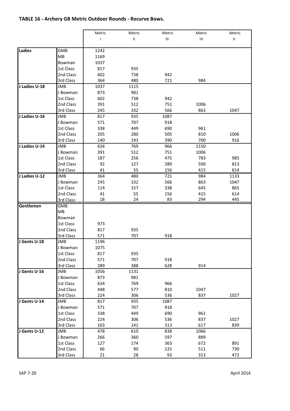## **TABLE 16 - Archery GB Metric Outdoor Rounds - Recurve Bows.**

|               |            | Metric | Metric | Metric | Metric | Metric |
|---------------|------------|--------|--------|--------|--------|--------|
|               |            | L      | Ш      | Ш      | IV     | V      |
|               |            |        |        |        |        |        |
| Ladies        | GMB        | 1242   |        |        |        |        |
|               | <b>MB</b>  | 1169   |        |        |        |        |
|               | Bowman     | 1037   |        |        |        |        |
|               | 1st Class  | 817    | 935    |        |        |        |
|               | 2nd Class  | 602    | 738    | 942    |        |        |
|               | 3rd Class  | 364    | 480    | 721    | 984    |        |
| J Ladies U-18 | <b>JMB</b> | 1037   | 1115   |        |        |        |
|               | J Bowman   | 873    | 981    |        |        |        |
|               | 1st Class  | 602    | 738    | 942    |        |        |
|               | 2nd Class  | 391    | 512    | 751    | 1006   |        |
|               | 3rd Class  | 245    | 332    | 566    | 863    | 1047   |
| J Ladies U-16 | JMB        | 817    | 935    | 1087   |        |        |
|               | J Bowman   | 571    | 707    | 918    |        |        |
|               | 1st Class  | 338    | 449    | 690    | 961    |        |
|               | 2nd Class  | 205    | 280    | 505    | 810    | 1006   |
|               | 3rd Class  | 140    | 193    | 390    | 700    | 916    |
| J Ladies U-14 | <b>JMB</b> | 634    | 769    | 966    | 1150   |        |
|               | J Bowman   | 391    | 512    | 751    | 1006   |        |
|               | 1st Class  | 187    | 256    | 475    | 783    | 985    |
|               | 2nd Class  | 92     | 127    | 289    | 590    | 813    |
|               | 3rd Class  | 41     | 55     | 156    | 415    | 614    |
| J Ladies U-12 | JMB        | 364    | 480    | 721    | 984    | 1133   |
|               | J Bowman   | 245    | 332    | 566    | 863    | 1047   |
|               | 1st Class  | 114    | 157    | 338    | 645    | 865    |
|               | 2nd Class  | 41     | 55     | 156    | 415    | 614    |
|               | 3rd Class  | 18     | 24     | 83     | 294    | 445    |
| Gentlemen     | GMB        |        |        |        |        |        |
|               | MB         |        |        |        |        |        |
|               | Bowman     |        |        |        |        |        |
|               | 1st Class  | 973    |        |        |        |        |
|               | 2nd Class  | 817    | 935    |        |        |        |
|               | 3rd Class  | 571    | 707    | 918    |        |        |
| J Gents U-18  | <b>JMB</b> | 1196   |        |        |        |        |
|               | J Bowman   | 1075   |        |        |        |        |
|               | 1st Class  | 817    | 935    |        |        |        |
|               | 2nd Class  | 571    | 707    | 918    |        |        |
|               | 3rd Class  | 289    | 388    | 628    | 914    |        |
| J Gents U-16  | <b>JMB</b> | 1056   | 1131   |        |        |        |
|               | J Bowman   | 873    | 981    |        |        |        |
|               | 1st Class  | 634    | 769    | 966    |        |        |
|               | 2nd Class  | 448    | 577    | 810    | 1047   |        |
|               | 3rd Class  | 224    | 306    | 536    | 837    | 1027   |
| J Gents U-14  | JMB        | 817    | 935    | 1087   |        |        |
|               | J Bowman   | 571    | 707    | 918    |        |        |
|               | 1st Class  | 338    | 449    | 690    | 961    |        |
|               | 2nd Class  | 224    | 306    | 536    | 837    | 1027   |
|               | 3rd Class  | 103    | 141    | 313    | 617    | 839    |
| J Gents U-12  | JMB        | 478    | 610    | 838    | 1066   |        |
|               | J Bowman   | 266    | 360    | 597    | 889    |        |
|               | 1st Class  | 127    | 174    | 363    | 672    | 891    |
|               | 2nd Class  | 66     | 90     | 225    | 511    | 730    |
|               | 3rd Class  | 21     | 28     | 93     | 313    | 472    |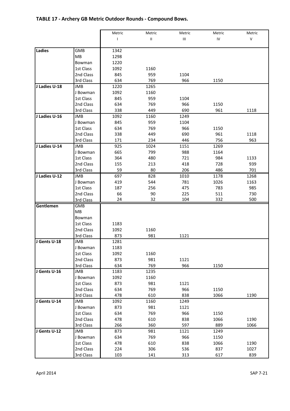# **TABLE 17 - Archery GB Metric Outdoor Rounds - Compound Bows.**

|               |            | Metric      | Metric | Metric | Metric | Metric |
|---------------|------------|-------------|--------|--------|--------|--------|
|               |            | $\mathsf I$ | Ш      | Ш      | IV     | V      |
|               |            |             |        |        |        |        |
| Ladies        | GMB        | 1342        |        |        |        |        |
|               | MВ         | 1298        |        |        |        |        |
|               | Bowman     | 1220        |        |        |        |        |
|               | 1st Class  | 1092        | 1160   |        |        |        |
|               | 2nd Class  | 845         | 959    | 1104   |        |        |
|               | 3rd Class  | 634         | 769    | 966    | 1150   |        |
| J Ladies U-18 | <b>JMB</b> | 1220        | 1265   |        |        |        |
|               | J Bowman   | 1092        | 1160   |        |        |        |
|               | 1st Class  | 845         | 959    | 1104   |        |        |
|               | 2nd Class  | 634         | 769    | 966    | 1150   |        |
|               | 3rd Class  | 338         | 449    | 690    | 961    | 1118   |
| J Ladies U-16 | JMB        | 1092        | 1160   | 1249   |        |        |
|               | J Bowman   | 845         | 959    | 1104   |        |        |
|               | 1st Class  | 634         | 769    | 966    | 1150   |        |
|               | 2nd Class  | 338         | 449    | 690    | 961    | 1118   |
|               | 3rd Class  | 171         | 234    | 446    | 756    | 963    |
| J Ladies U-14 | JMB        | 925         | 1024   | 1151   | 1269   |        |
|               | J Bowman   | 665         | 799    | 988    | 1164   |        |
|               | 1st Class  | 364         | 480    | 721    | 984    | 1133   |
|               | 2nd Class  | 155         | 213    | 418    | 728    | 939    |
|               | 3rd Class  | 59          | 80     | 206    | 486    | 701    |
| J Ladies U-12 | <b>JMB</b> | 697         | 828    | 1010   | 1178   | 1268   |
|               | J Bowman   | 419         | 544    | 781    | 1026   | 1163   |
|               | 1st Class  | 187         | 256    | 475    | 783    | 985    |
|               | 2nd Class  | 66          | 90     | 225    | 511    | 730    |
|               | 3rd Class  | 24          | 32     | 104    | 332    | 500    |
| Gentlemen     | GMB        |             |        |        |        |        |
|               | MB         |             |        |        |        |        |
|               | Bowman     |             |        |        |        |        |
|               | 1st Class  | 1183        |        |        |        |        |
|               | 2nd Class  | 1092        | 1160   |        |        |        |
|               | 3rd Class  | 873         | 981    | 1121   |        |        |
| J Gents U-18  | <b>JMB</b> | 1281        |        |        |        |        |
|               | J Bowman   | 1183        |        |        |        |        |
|               | 1st Class  | 1092        | 1160   |        |        |        |
|               | 2nd Class  | 873         | 981    | 1121   |        |        |
|               | 3rd Class  | 634         | 769    | 966    | 1150   |        |
| J Gents U-16  | <b>JMB</b> | 1183        | 1235   |        |        |        |
|               | J Bowman   | 1092        | 1160   |        |        |        |
|               | 1st Class  | 873         | 981    | 1121   |        |        |
|               | 2nd Class  | 634         | 769    | 966    | 1150   |        |
|               | 3rd Class  | 478         | 610    | 838    | 1066   | 1190   |
| J Gents U-14  | JMB        | 1092        | 1160   | 1249   |        |        |
|               | J Bowman   | 873         | 981    | 1121   |        |        |
|               | 1st Class  | 634         | 769    | 966    | 1150   |        |
|               | 2nd Class  | 478         | 610    | 838    | 1066   | 1190   |
|               | 3rd Class  | 266         | 360    | 597    | 889    | 1066   |
| J Gents U-12  | JMB        | 873         | 981    | 1121   | 1249   |        |
|               | J Bowman   | 634         | 769    | 966    | 1150   |        |
|               | 1st Class  | 478         | 610    | 838    | 1066   | 1190   |
|               | 2nd Class  | 224         | 306    | 536    | 837    | 1027   |
|               | 3rd Class  | 103         | 141    | 313    | 617    | 839    |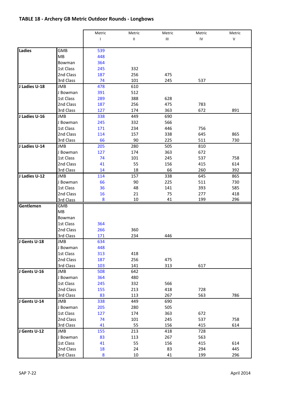# **TABLE 18 - Archery GB Metric Outdoor Rounds - Longbows**

|               |            | Metric | Metric | Metric | Metric | Metric |
|---------------|------------|--------|--------|--------|--------|--------|
|               |            | L      | Ш      | Ш      | IV     | V      |
|               |            |        |        |        |        |        |
| Ladies        | GMB        | 539    |        |        |        |        |
|               | <b>MB</b>  | 448    |        |        |        |        |
|               | Bowman     | 364    |        |        |        |        |
|               | 1st Class  | 245    | 332    |        |        |        |
|               | 2nd Class  | 187    | 256    | 475    |        |        |
|               | 3rd Class  | 74     | 101    | 245    | 537    |        |
| J Ladies U-18 | <b>JMB</b> | 478    | 610    |        |        |        |
|               | J Bowman   | 391    | 512    |        |        |        |
|               | 1st Class  | 289    | 388    | 628    |        |        |
|               | 2nd Class  | 187    | 256    | 475    | 783    |        |
|               | 3rd Class  | 127    | 174    | 363    | 672    | 891    |
| J Ladies U-16 | JMB        | 338    | 449    | 690    |        |        |
|               | J Bowman   | 245    | 332    | 566    |        |        |
|               | 1st Class  | 171    | 234    | 446    | 756    |        |
|               | 2nd Class  | 114    | 157    | 338    | 645    | 865    |
|               | 3rd Class  | 66     | 90     | 225    | 511    | 730    |
| J Ladies U-14 | <b>JMB</b> | 205    | 280    | 505    | 810    |        |
|               | J Bowman   | 127    | 174    | 363    | 672    |        |
|               | 1st Class  | 74     | 101    | 245    | 537    | 758    |
|               | 2nd Class  | 41     | 55     | 156    | 415    | 614    |
|               | 3rd Class  | 14     | 18     | 66     | 260    | 392    |
| J Ladies U-12 | JMB        | 114    | 157    | 338    | 645    | 865    |
|               | J Bowman   | 66     | 90     | 225    | 511    | 730    |
|               | 1st Class  | 36     | 48     | 141    | 393    | 585    |
|               | 2nd Class  | 16     | 21     | 75     | 277    | 418    |
|               | 3rd Class  | 8      | 10     | 41     | 199    | 296    |
| Gentlemen     | GMB        |        |        |        |        |        |
|               | MВ         |        |        |        |        |        |
|               | Bowman     |        |        |        |        |        |
|               | 1st Class  | 364    |        |        |        |        |
|               | 2nd Class  | 266    | 360    |        |        |        |
|               | 3rd Class  | 171    | 234    | 446    |        |        |
| J Gents U-18  | <b>JMB</b> | 634    |        |        |        |        |
|               | J Bowman   | 448    |        |        |        |        |
|               | 1st Class  | 313    | 418    |        |        |        |
|               | 2nd Class  | 187    | 256    | 475    |        |        |
|               | 3rd Class  | 103    | 141    | 313    | 617    |        |
| J Gents U-16  | JMB        | 508    | 642    |        |        |        |
|               | J Bowman   | 364    | 480    |        |        |        |
|               | 1st Class  | 245    | 332    | 566    |        |        |
|               | 2nd Class  | 155    | 213    | 418    | 728    |        |
|               | 3rd Class  | 83     | 113    | 267    | 563    | 786    |
| J Gents U-14  | JMB        | 338    | 449    | 690    |        |        |
|               | J Bowman   | 205    | 280    | 505    |        |        |
|               | 1st Class  | 127    | 174    | 363    | 672    |        |
|               | 2nd Class  | 74     | 101    | 245    | 537    | 758    |
|               | 3rd Class  | 41     | 55     | 156    | 415    | 614    |
| J Gents U-12  | JMB        | 155    | 213    | 418    | 728    |        |
|               | J Bowman   | 83     | 113    | 267    | 563    |        |
|               | 1st Class  | 41     | 55     | 156    | 415    | 614    |
|               | 2nd Class  | 18     | 24     | 83     | 294    | 445    |
|               | 3rd Class  | 8      | 10     | 41     | 199    | 296    |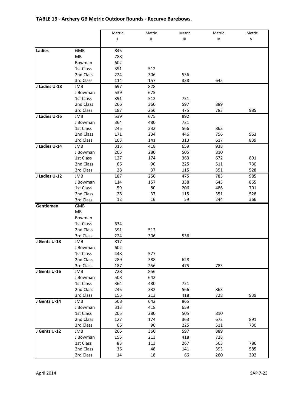# **TABLE 19 - Archery GB Metric Outdoor Rounds - Recurve Barebows.**

|               |            | Metric | Metric | Metric | Metric | Metric |
|---------------|------------|--------|--------|--------|--------|--------|
|               |            | L      | Ш      | Ш      | IV     | V      |
|               |            |        |        |        |        |        |
| Ladies        | GMB        | 845    |        |        |        |        |
|               | MВ         | 788    |        |        |        |        |
|               | Bowman     | 602    |        |        |        |        |
|               | 1st Class  | 391    | 512    |        |        |        |
|               | 2nd Class  | 224    | 306    | 536    |        |        |
|               | 3rd Class  | 114    | 157    | 338    | 645    |        |
| J Ladies U-18 | JMB        | 697    | 828    |        |        |        |
|               | J Bowman   | 539    | 675    |        |        |        |
|               | 1st Class  | 391    | 512    | 751    |        |        |
|               | 2nd Class  | 266    | 360    | 597    | 889    |        |
|               | 3rd Class  | 187    | 256    | 475    | 783    | 985    |
| J Ladies U-16 | <b>JMB</b> | 539    | 675    | 892    |        |        |
|               | J Bowman   | 364    | 480    | 721    |        |        |
|               | 1st Class  | 245    | 332    | 566    | 863    |        |
|               | 2nd Class  | 171    | 234    | 446    | 756    | 963    |
|               | 3rd Class  | 103    | 141    | 313    | 617    | 839    |
| J Ladies U-14 | <b>JMB</b> | 313    | 418    | 659    | 938    |        |
|               | J Bowman   | 205    | 280    | 505    | 810    |        |
|               | 1st Class  | 127    | 174    | 363    | 672    | 891    |
|               | 2nd Class  | 66     | 90     | 225    | 511    | 730    |
|               | 3rd Class  | 28     | 37     | 115    | 351    | 528    |
| J Ladies U-12 | <b>JMB</b> | 187    | 256    | 475    | 783    | 985    |
|               | J Bowman   | 114    | 157    | 338    | 645    | 865    |
|               | 1st Class  | 59     | 80     | 206    | 486    | 701    |
|               | 2nd Class  | 28     | 37     | 115    | 351    | 528    |
|               | 3rd Class  | 12     | 16     | 59     | 244    | 366    |
| Gentlemen     | <b>GMB</b> |        |        |        |        |        |
|               | MB         |        |        |        |        |        |
|               | Bowman     |        |        |        |        |        |
|               | 1st Class  | 634    |        |        |        |        |
|               | 2nd Class  | 391    | 512    |        |        |        |
|               | 3rd Class  | 224    | 306    | 536    |        |        |
| J Gents U-18  | <b>JMB</b> | 817    |        |        |        |        |
|               | J Bowman   | 602    |        |        |        |        |
|               | 1st Class  | 448    | 577    |        |        |        |
|               | 2nd Class  | 289    | 388    | 628    |        |        |
|               | 3rd Class  | 187    | 256    | 475    | 783    |        |
| J Gents U-16  | <b>JMB</b> | 728    | 856    |        |        |        |
|               | J Bowman   | 508    | 642    |        |        |        |
|               | 1st Class  | 364    | 480    | 721    |        |        |
|               | 2nd Class  | 245    | 332    | 566    | 863    |        |
|               | 3rd Class  | 155    | 213    | 418    | 728    | 939    |
| J Gents U-14  | JMB        | 508    | 642    | 865    |        |        |
|               | J Bowman   | 313    | 418    | 659    |        |        |
|               | 1st Class  | 205    | 280    | 505    | 810    |        |
|               | 2nd Class  | 127    | 174    | 363    | 672    | 891    |
|               | 3rd Class  | 66     | 90     | 225    | 511    | 730    |
| J Gents U-12  | JMB        | 266    | 360    | 597    | 889    |        |
|               | J Bowman   | 155    | 213    | 418    | 728    |        |
|               | 1st Class  | 83     | 113    | 267    | 563    | 786    |
|               | 2nd Class  | 36     | 48     | 141    | 393    | 585    |
|               | 3rd Class  | 14     | 18     | 66     | 260    | 392    |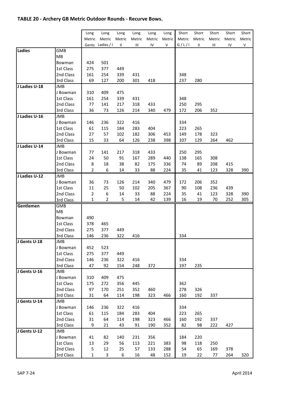#### **TABLE 20 - Archery GB Metric Outdoor Rounds - Recurve Bows.**

|               |           | Long         | Long       | Long   | Long   | Long   | Long   | Short  | Short  | Short  | Short  | Short  |
|---------------|-----------|--------------|------------|--------|--------|--------|--------|--------|--------|--------|--------|--------|
|               |           | Metric       | Metric     | Metric | Metric | Metric | Metric | Metric | Metric | Metric | Metric | Metric |
|               |           | Gents        | Ladies / I | Ш      | Ш      | IV     | ٧      | G/L/I  | Ш      | Ш      | IV     | ٧      |
| Ladies        | GMB       |              |            |        |        |        |        |        |        |        |        |        |
|               | MB        |              |            |        |        |        |        |        |        |        |        |        |
|               | Bowman    | 424          | 501        |        |        |        |        |        |        |        |        |        |
|               | 1st Class | 275          | 377        | 449    |        |        |        |        |        |        |        |        |
|               | 2nd Class | 161          | 254        | 339    | 431    |        |        | 348    |        |        |        |        |
|               | 3rd Class | 69           | 127        | 200    | 301    | 418    |        | 237    | 280    |        |        |        |
| J Ladies U-18 | JMB       |              |            |        |        |        |        |        |        |        |        |        |
|               | J Bowman  | 310          | 409        | 475    |        |        |        |        |        |        |        |        |
|               | 1st Class | 161          | 254        | 339    | 431    |        |        | 348    |        |        |        |        |
|               | 2nd Class | 77           | 141        | 217    | 318    | 433    |        | 250    | 295    |        |        |        |
|               | 3rd Class | 36           | 73         | 126    | 214    | 340    | 479    | 172    | 206    | 352    |        |        |
| J Ladies U-16 | JMB       |              |            |        |        |        |        |        |        |        |        |        |
|               | J Bowman  | 146          | 236        | 322    | 416    |        |        | 334    |        |        |        |        |
|               |           |              |            |        |        |        |        |        |        |        |        |        |
|               | 1st Class | 61           | 115        | 184    | 283    | 404    |        | 223    | 265    |        |        |        |
|               | 2nd Class | 27           | 57         | 102    | 182    | 306    | 453    | 149    | 178    | 323    |        |        |
|               | 3rd Class | 15           | 33         | 64     | 126    | 238    | 398    | 107    | 129    | 264    | 462    |        |
| J Ladies U-14 | JMB       |              |            |        |        |        |        |        |        |        |        |        |
|               | J Bowman  | 77           | 141        | 217    | 318    | 433    |        | 250    | 295    |        |        |        |
|               | 1st Class | 24           | 50         | 91     | 167    | 289    | 440    | 138    | 165    | 308    |        |        |
|               | 2nd Class | 8            | 18         | 38     | 82     | 175    | 336    | 74     | 89     | 208    | 415    |        |
|               | 3rd Class | 2            | 6          | 14     | 33     | 88     | 224    | 35     | 41     | 123    | 328    | 390    |
| J Ladies U-12 | JMB       |              |            |        |        |        |        |        |        |        |        |        |
|               | J Bowman  | 36           | 73         | 126    | 214    | 340    | 479    | 172    | 206    | 352    |        |        |
|               | 1st Class | 11           | 25         | 50     | 102    | 205    | 367    | 90     | 108    | 236    | 439    |        |
|               | 2nd Class | 2            | 6          | 14     | 33     | 88     | 224    | 35     | 41     | 123    | 328    | 390    |
|               | 3rd Class | 1            | 2          | 5      | 14     | 42     | 139    | 16     | 19     | 70     | 252    | 305    |
| Gentlemen     | GMB       |              |            |        |        |        |        |        |        |        |        |        |
|               | MВ        |              |            |        |        |        |        |        |        |        |        |        |
|               | Bowman    | 490          |            |        |        |        |        |        |        |        |        |        |
|               | 1st Class | 378          | 465        |        |        |        |        |        |        |        |        |        |
|               | 2nd Class | 275          | 377        | 449    |        |        |        |        |        |        |        |        |
|               | 3rd Class | 146          | 236        | 322    | 416    |        |        | 334    |        |        |        |        |
| J Gents U-18  | JMB       |              |            |        |        |        |        |        |        |        |        |        |
|               | J Bowman  | 452          | 523        |        |        |        |        |        |        |        |        |        |
|               | 1st Class | 275          | 377        | 449    |        |        |        |        |        |        |        |        |
|               | 2nd Class | 146          | 236        | 322    | 416    |        |        | 334    |        |        |        |        |
|               | 3rd Class | 47           | 92         | 154    | 248    | 372    |        | 197    | 235    |        |        |        |
| J Gents U-16  | JMB       |              |            |        |        |        |        |        |        |        |        |        |
|               | J Bowman  | 310          | 409        | 475    |        |        |        |        |        |        |        |        |
|               | 1st Class | 175          | 272        | 356    | 445    |        |        | 362    |        |        |        |        |
|               | 2nd Class | 97           | 170        | 251    | 352    | 460    |        | 278    | 326    |        |        |        |
|               | 3rd Class | 31           | 64         | 114    | 198    | 323    | 466    | 160    | 192    | 337    |        |        |
| J Gents U-14  | JMB       |              |            |        |        |        |        |        |        |        |        |        |
|               | J Bowman  | 146          | 236        | 322    | 416    |        |        | 334    |        |        |        |        |
|               | 1st Class | 61           | 115        | 184    | 283    | 404    |        | 223    | 265    |        |        |        |
|               | 2nd Class | 31           | 64         | 114    | 198    | 323    | 466    | 160    | 192    | 337    |        |        |
|               | 3rd Class | 9            | 21         | 43     | 91     | 190    | 352    | 82     | 98     | 222    | 427    |        |
| J Gents U-12  | JMB       |              |            |        |        |        |        |        |        |        |        |        |
|               | J Bowman  | 41           | 82         | 140    | 231    | 356    |        | 184    | 220    |        |        |        |
|               | 1st Class | 13           | 29         | 56     | 113    | 221    | 383    | 98     | 118    | 250    |        |        |
|               | 2nd Class | 5            | 12         | 25     | 57     | 133    | 288    | 54     | 65     | 169    | 378    |        |
|               | 3rd Class | $\mathbf{1}$ | 3          | 6      | 16     | 48     | 152    | 19     | 22     | 77     | 264    | 320    |
|               |           |              |            |        |        |        |        |        |        |        |        |        |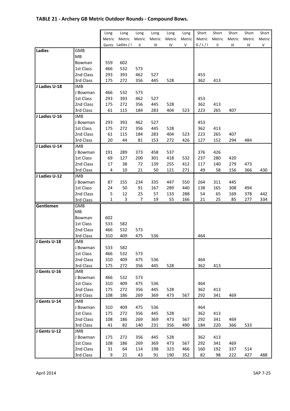# **TABLE 21 - Archery GB Metric Outdoor Rounds - Compound Bows.**

|               |                       | Long       | Long             | Long       | Long       | Long   | Long   | Short  | Short  | Short  | Short  | Short  |
|---------------|-----------------------|------------|------------------|------------|------------|--------|--------|--------|--------|--------|--------|--------|
|               |                       | Metric     | Metric           | Metric     | Metric     | Metric | Metric | Metric | Metric | Metric | Metric | Metric |
|               |                       |            | Gents Ladies / I | Ш          | Ш          | IV     | V      | G/L/I  | Ш      | Ш      | IV     | V      |
| Ladies        | GMB                   |            |                  |            |            |        |        |        |        |        |        |        |
|               | MB                    |            |                  |            |            |        |        |        |        |        |        |        |
|               | Bowman                | 559        | 602              |            |            |        |        |        |        |        |        |        |
|               | 1st Class             | 466        | 532              | 573        |            |        |        |        |        |        |        |        |
|               | 2nd Class             | 293        | 393              | 462        | 527        |        |        | 453    |        |        |        |        |
|               | 3rd Class             | 175        | 272              | 356        | 445        | 528    |        | 362    | 413    |        |        |        |
| J Ladies U-18 | JMB                   |            |                  |            |            |        |        |        |        |        |        |        |
|               | J Bowman              | 466        | 532              | 573        |            |        |        |        |        |        |        |        |
|               | 1st Class             | 293        | 393              | 462        | 527        |        |        | 453    |        |        |        |        |
|               | 2nd Class             | 175        | 272              | 356        | 445        | 528    |        | 362    | 413    |        |        |        |
|               | 3rd Class             | 61         | 115              | 184        | 283        | 404    | 523    | 223    | 265    | 407    |        |        |
| J Ladies U-16 | JMB                   |            |                  |            |            |        |        |        |        |        |        |        |
|               | J Bowman              | 293        | 393              | 462        | 527        |        |        | 453    |        |        |        |        |
|               | 1st Class             | 175        | 272              | 356        | 445        | 528    |        | 362    | 413    |        |        |        |
|               | 2nd Class             | 61         | 115              | 184        | 283        | 404    | 523    | 223    | 265    | 407    |        |        |
|               | 3rd Class             | 20         | 44               | 81         | 153        | 272    | 426    | 127    | 152    | 294    | 484    |        |
| J Ladies U-14 | JMB                   |            |                  |            |            |        |        |        |        |        |        |        |
|               | J Bowman              | 191        | 289              | 373        | 458        | 537    |        | 376    | 426    |        |        |        |
|               | 1st Class             | 69         | 127              | 200        | 301        | 418    | 532    | 237    | 280    | 420    |        |        |
|               | 2nd Class             | 17         | 38               | 72         | 139        | 255    | 412    | 117    | 140    | 279    | 473    |        |
|               | 3rd Class             | 4          | 10               | 21         | 50         | 121    | 271    | 49     | 58     | 156    | 366    | 430    |
| J Ladies U-12 | JMB                   |            |                  |            |            |        |        |        |        |        |        |        |
|               | J Bowman              | 87         | 155              | 234        | 335        | 447    | 550    | 264    | 311    | 445    |        |        |
|               | 1st Class             | 24         | 50               | 91         | 167        | 289    | 440    | 138    | 165    | 308    | 494    |        |
|               | 2nd Class             | 5          | 12               | 25         | 57         | 133    | 288    | 54     | 65     | 169    | 378    | 442    |
|               | 3rd Class             | 1          | 3                | 7          | 19         | 55     | 166    | 21     | 25     | 85     | 277    | 334    |
| Gentlemen     | <b>GMB</b>            |            |                  |            |            |        |        |        |        |        |        |        |
|               | MB                    |            |                  |            |            |        |        |        |        |        |        |        |
|               | Bowman                | 602        |                  |            |            |        |        |        |        |        |        |        |
|               | 1st Class             | 533        | 582              |            |            |        |        |        |        |        |        |        |
|               | 2nd Class             | 466        | 532              | 573        |            |        |        |        |        |        |        |        |
|               | 3rd Class             | 310        | 409              | 475        | 536        |        |        | 464    |        |        |        |        |
| J Gents U-18  | JMB                   |            |                  |            |            |        |        |        |        |        |        |        |
|               | J Bowman              | 533        | 582              |            |            |        |        |        |        |        |        |        |
|               | 1st Class             | 466        | 532              | 573        |            |        |        |        |        |        |        |        |
|               | 2nd Class             | 310        | 409              | 475        | 536        |        |        | 464    |        |        |        |        |
|               | 3rd Class             | 175        | 272              | 356        | 445        | 528    |        | 362    | 413    |        |        |        |
| J Gents U-16  | JMB                   |            |                  |            |            |        |        |        |        |        |        |        |
|               | J Bowman              | 466        | 532              | 573        |            |        |        |        |        |        |        |        |
|               | 1st Class             | 310        | 409              | 475        | 536        |        |        | 464    |        |        |        |        |
|               | 2nd Class             | 175        | 272              | 356        | 445        | 528    |        | 362    | 413    |        |        |        |
| J Gents U-14  | 3rd Class<br>JMB      | 108        | 186              | 269        | 369        | 473    | 567    | 292    | 341    | 469    |        |        |
|               |                       |            |                  |            |            |        |        | 464    |        |        |        |        |
|               | J Bowman<br>1st Class | 310<br>175 | 409<br>272       | 475<br>356 | 536<br>445 | 528    |        | 362    | 413    |        |        |        |
|               | 2nd Class             | 108        | 186              | 269        | 369        | 473    | 567    | 292    | 341    | 469    |        |        |
|               | 3rd Class             | 41         | 82               | 140        | 231        | 356    | 490    | 184    | 220    | 366    | 533    |        |
| J Gents U-12  | JMB                   |            |                  |            |            |        |        |        |        |        |        |        |
|               | J Bowman              | 175        | 272              | 356        | 445        | 528    |        | 362    | 413    |        |        |        |
|               | 1st Class             | 108        | 186              | 269        | 369        | 473    | 567    | 292    | 341    | 469    |        |        |
|               | 2nd Class             | 31         | 64               | 114        | 198        | 323    | 466    | 160    | 192    | 337    | 514    |        |
|               | 3rd Class             | 9          | 21               | 43         | 91         | 190    | 352    | 82     | 98     | 222    | 427    | 488    |
|               |                       |            |                  |            |            |        |        |        |        |        |        |        |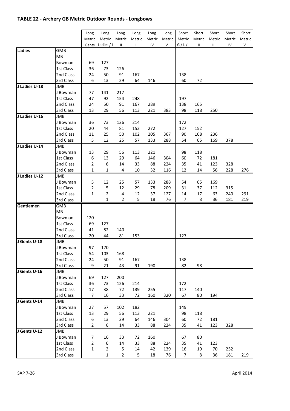# **TABLE 22 - Archery GB Metric Outdoor Rounds - Longbows**

| Long<br>Long<br>Long<br>Long<br>Long                                                     | Long       | Short          | Short    | Short     | Short  | Short  |
|------------------------------------------------------------------------------------------|------------|----------------|----------|-----------|--------|--------|
| Metric<br>Metric<br>Metric<br>Metric                                                     | Metric     | Metric         | Metric   | Metric    | Metric | Metric |
| Metric<br>Gents Ladies / I                                                               |            | G/L/I          |          |           |        |        |
| Ш<br>Ш<br>IV<br>Ladies<br>GMB                                                            | ٧          |                | Ш        | Ш         | IV     | ٧      |
| MВ                                                                                       |            |                |          |           |        |        |
| 69<br>127                                                                                |            |                |          |           |        |        |
| Bowman<br>73                                                                             |            |                |          |           |        |        |
| 1st Class<br>36<br>126                                                                   |            |                |          |           |        |        |
| 91<br>2nd Class<br>24<br>50<br>167                                                       |            | 138            |          |           |        |        |
| 29<br>3rd Class<br>6<br>13<br>64<br>146                                                  |            | 60             | 72       |           |        |        |
| J Ladies U-18<br>JMB                                                                     |            |                |          |           |        |        |
| 141<br>77<br>217<br>J Bowman                                                             |            |                |          |           |        |        |
| 47<br>92<br>154<br>1st Class<br>248                                                      |            | 197            |          |           |        |        |
| 2nd Class<br>24<br>50<br>91<br>167<br>289                                                |            | 138            | 165      |           |        |        |
| 3rd Class<br>13<br>29<br>56<br>113<br>221                                                | 383        | 98             | 118      | 250       |        |        |
| J Ladies U-16<br>JMB                                                                     |            |                |          |           |        |        |
| 73<br>126<br>36<br>214<br>J Bowman                                                       |            | 172            |          |           |        |        |
| 1st Class<br>20<br>44<br>81<br>272<br>153                                                |            | 127            | 152      |           |        |        |
| 25<br>2nd Class<br>11<br>50<br>102<br>205                                                | 367        | 90             | 108      | 236       |        |        |
| 3rd Class<br>5<br>12<br>25<br>57<br>133                                                  | 288        | 54             | 65       | 169       | 378    |        |
| J Ladies U-14<br>JMB                                                                     |            |                |          |           |        |        |
| 29<br>13<br>56<br>113<br>221<br>J Bowman                                                 |            | 98             | 118      |           |        |        |
| 1st Class<br>13<br>29<br>64<br>146<br>6                                                  | 304        | 60             | 72       | 181       |        |        |
| 2<br>33<br>2nd Class<br>6<br>14<br>88                                                    | 224        | 35             | 41       | 123       | 328    |        |
| 3rd Class<br>$\mathbf{1}$<br>$\mathbf{1}$<br>$\overline{4}$<br>10<br>32                  | 116        | 12             | 14       | 56        | 228    | 276    |
| J Ladies U-12<br>JMB                                                                     |            |                |          |           |        |        |
| 5<br>25<br>12<br>57<br>133<br>J Bowman                                                   | 288        | 54             | 65       | 169       |        |        |
| 5<br>12<br>29<br>1st Class<br>2<br>78                                                    | 209        | 31             | 37       | 112       | 315    |        |
| $\overline{\mathbf{c}}$<br>2nd Class<br>1<br>4<br>12<br>37                               | 127        | 14             | 17       | 63        | 240    | 291    |
| 5<br>1<br>2<br>18<br>3rd Class                                                           | 76         | $\overline{7}$ | 8        | 36        | 181    | 219    |
| Gentlemen<br>GMB                                                                         |            |                |          |           |        |        |
| MВ                                                                                       |            |                |          |           |        |        |
| 120<br>Bowman                                                                            |            |                |          |           |        |        |
| 69<br>1st Class<br>127                                                                   |            |                |          |           |        |        |
| 2nd Class<br>41<br>82<br>140                                                             |            |                |          |           |        |        |
| 44<br>153<br>3rd Class<br>20<br>81                                                       |            | 127            |          |           |        |        |
| J Gents U-18<br>JMB                                                                      |            |                |          |           |        |        |
| 97<br>170<br>J Bowman                                                                    |            |                |          |           |        |        |
| 54<br>103<br>1st Class<br>168                                                            |            |                |          |           |        |        |
| 50<br>91<br>2nd Class<br>24<br>167                                                       |            | 138            |          |           |        |        |
| 3rd Class<br>9<br>43<br>91<br>190<br>21                                                  |            | 82             | 98       |           |        |        |
| J Gents U-16<br>JMB                                                                      |            |                |          |           |        |        |
| 127<br>200<br>69<br>J Bowman                                                             |            |                |          |           |        |        |
| 36<br>73<br>126<br>1st Class<br>214                                                      |            | 172            |          |           |        |        |
| 2nd Class<br>17<br>38<br>72<br>139<br>255                                                |            | 117            | 140      |           |        |        |
| 3rd Class<br>7<br>16<br>33<br>72<br>160                                                  | 320        | 67             | 80       | 194       |        |        |
| J Gents U-14<br>JMB                                                                      |            |                |          |           |        |        |
| 27<br>57<br>102<br>182<br>J Bowman                                                       |            | 149            |          |           |        |        |
| 1st Class<br>13<br>29<br>56<br>113<br>221                                                |            | 98             | 118      |           |        |        |
| 29<br>2nd Class<br>6<br>13<br>64<br>146                                                  | 304        | 60             | 72       | 181       |        |        |
| 2<br>33<br>3rd Class<br>6<br>14<br>88                                                    | 224        | 35             | 41       | 123       | 328    |        |
| J Gents U-12<br>JMB                                                                      |            |                |          |           |        |        |
| 7<br>16<br>33<br>72<br>160<br>J Bowman                                                   |            | 67             | 80       |           |        |        |
|                                                                                          |            |                |          |           |        |        |
| 6<br>14                                                                                  |            |                |          |           |        |        |
| 1st Class<br>2<br>33<br>88<br>$\overline{\mathbf{c}}$<br>5<br>2nd Class<br>1<br>14<br>42 | 224<br>139 | 35<br>16       | 41<br>19 | 123<br>70 | 252    |        |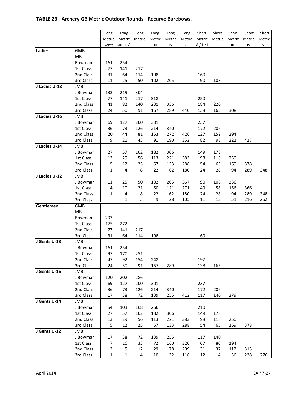# **TABLE 23 - Archery GB Metric Outdoor Rounds - Recurve Barebows.**

|               |           | Long         | Long         | Long   | Long   | Long   | Long   | Short  | Short  | Short  | Short  | Short  |
|---------------|-----------|--------------|--------------|--------|--------|--------|--------|--------|--------|--------|--------|--------|
|               |           | Metric       | Metric       | Metric | Metric | Metric | Metric | Metric | Metric | Metric | Metric | Metric |
|               |           | Gents        | Ladies / I   | Ш      | Ш      | IV     | V      | G/L/I  | Ш      | Ш      | IV     | ٧      |
| Ladies        | GMB       |              |              |        |        |        |        |        |        |        |        |        |
|               | MB        |              |              |        |        |        |        |        |        |        |        |        |
|               | Bowman    | 161          | 254          |        |        |        |        |        |        |        |        |        |
|               | 1st Class | 77           | 141          | 217    |        |        |        |        |        |        |        |        |
|               | 2nd Class | 31           | 64           | 114    | 198    |        |        | 160    |        |        |        |        |
|               | 3rd Class | 11           | 25           | 50     | 102    | 205    |        | 90     | 108    |        |        |        |
| J Ladies U-18 | JMB       |              |              |        |        |        |        |        |        |        |        |        |
|               | J Bowman  | 133          | 219          | 304    |        |        |        |        |        |        |        |        |
|               | 1st Class | 77           | 141          | 217    | 318    |        |        | 250    |        |        |        |        |
|               | 2nd Class | 41           | 82           | 140    | 231    | 356    |        | 184    | 220    |        |        |        |
|               | 3rd Class | 24           | 50           | 91     | 167    | 289    | 440    | 138    | 165    | 308    |        |        |
| J Ladies U-16 | JMB       |              |              |        |        |        |        |        |        |        |        |        |
|               | J Bowman  | 69           | 127          | 200    | 301    |        |        | 237    |        |        |        |        |
|               | 1st Class | 36           | 73           | 126    | 214    | 340    |        | 172    | 206    |        |        |        |
|               | 2nd Class | 20           | 44           | 81     | 153    | 272    | 426    | 127    | 152    | 294    |        |        |
|               | 3rd Class | 9            | 21           | 43     | 91     | 190    | 352    | 82     | 98     | 222    | 427    |        |
| J Ladies U-14 | JMB       |              |              |        |        |        |        |        |        |        |        |        |
|               | J Bowman  | 27           | 57           | 102    | 182    | 306    |        | 149    | 178    |        |        |        |
|               | 1st Class | 13           | 29           | 56     | 113    | 221    | 383    | 98     | 118    | 250    |        |        |
|               | 2nd Class | 5            | 12           | 25     | 57     | 133    | 288    | 54     | 65     | 169    | 378    |        |
|               | 3rd Class | $\mathbf{1}$ | 4            | 8      | 22     | 62     | 180    | 24     | 28     | 94     | 289    | 348    |
| J Ladies U-12 | JMB       |              |              |        |        |        |        |        |        |        |        |        |
|               | J Bowman  | 11           | 25           | 50     | 102    | 205    | 367    | 90     | 108    | 236    |        |        |
|               | 1st Class | 4            | 10           | 21     | 50     | 121    | 271    | 49     | 58     | 156    | 366    |        |
|               | 2nd Class | $\mathbf{1}$ | 4            | 8      | 22     | 62     | 180    | 24     | 28     | 94     | 289    | 348    |
|               | 3rd Class |              | $\mathbf{1}$ | 3      | 9      | 28     | 105    | 11     | 13     | 51     | 216    | 262    |
| Gentlemen     | GMB       |              |              |        |        |        |        |        |        |        |        |        |
|               | MB        |              |              |        |        |        |        |        |        |        |        |        |
|               | Bowman    | 293          |              |        |        |        |        |        |        |        |        |        |
|               | 1st Class | 175          | 272          |        |        |        |        |        |        |        |        |        |
|               | 2nd Class | 77           | 141          | 217    |        |        |        |        |        |        |        |        |
|               | 3rd Class | 31           | 64           | 114    | 198    |        |        | 160    |        |        |        |        |
| J Gents U-18  | JMB       |              |              |        |        |        |        |        |        |        |        |        |
|               | J Bowman  | 161          | 254          |        |        |        |        |        |        |        |        |        |
|               | 1st Class | 97           | 170          | 251    |        |        |        |        |        |        |        |        |
|               | 2nd Class | 47           | 92           | 154    | 248    |        |        | 197    |        |        |        |        |
|               | 3rd Class | 24           | 50           | 91     | 167    | 289    |        | 138    | 165    |        |        |        |
| J Gents U-16  | JMB       |              |              |        |        |        |        |        |        |        |        |        |
|               | J Bowman  | 120          | 202          | 286    |        |        |        |        |        |        |        |        |
|               | 1st Class | 69           | 127          | 200    | 301    |        |        | 237    |        |        |        |        |
|               | 2nd Class | 36           | 73           | 126    | 214    | 340    |        | 172    | 206    |        |        |        |
|               | 3rd Class | 17           | 38           | 72     | 139    | 255    | 412    | 117    | 140    | 279    |        |        |
| J Gents U-14  | JMB       |              |              |        |        |        |        |        |        |        |        |        |
|               | J Bowman  | 54           | 103          | 168    | 266    |        |        | 210    |        |        |        |        |
|               | 1st Class | 27           | 57           | 102    | 182    | 306    |        | 149    | 178    |        |        |        |
|               | 2nd Class | 13           | 29           | 56     | 113    | 221    | 383    | 98     | 118    | 250    |        |        |
|               | 3rd Class | 5            | 12           | 25     | 57     | 133    | 288    | 54     | 65     | 169    | 378    |        |
| J Gents U-12  | JMB       |              |              |        |        |        |        |        |        |        |        |        |
|               | J Bowman  | 17           | 38           | 72     | 139    | 255    |        | 117    | 140    |        |        |        |
|               | 1st Class | 7            | 16           | 33     | 72     | 160    | 320    | 67     | 80     | 194    |        |        |
|               | 2nd Class | 2            | 5            | 12     | 29     | 78     | 209    | 31     | 37     | 112    | 315    |        |
|               | 3rd Class | $\mathbf 1$  | $\mathbf{1}$ | 4      | 10     | 32     | 116    | 12     | 14     | 56     | 228    | 276    |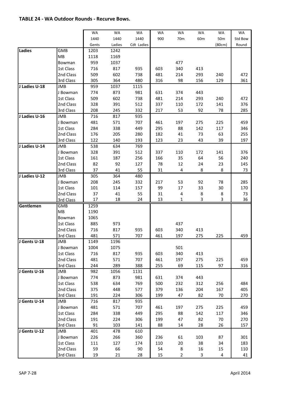# **TABLE 24 - WA Outdoor Rounds - Recurve Bows.**

|               |            | WA    | WA     | WA         | WA  | WA              | WA  | WA              | WA      |
|---------------|------------|-------|--------|------------|-----|-----------------|-----|-----------------|---------|
|               |            | 1440  | 1440   | 1440       | 900 | 70 <sub>m</sub> | 60m | 50 <sub>m</sub> | Std Bow |
|               |            | Gents | Ladies | Cdt Ladies |     |                 |     | (80cm)          | Round   |
| Ladies        | GMB        | 1203  | 1242   |            |     |                 |     |                 |         |
|               | <b>MB</b>  | 1118  | 1169   |            |     |                 |     |                 |         |
|               | Bowman     | 959   | 1037   |            |     | 477             |     |                 |         |
|               | 1st Class  | 716   | 817    | 935        | 603 | 340             | 413 |                 |         |
|               | 2nd Class  | 509   | 602    | 738        | 481 | 214             | 293 | 240             | 472     |
|               | 3rd Class  | 305   | 364    | 480        | 316 | 98              | 156 | 129             | 361     |
| J Ladies U-18 | <b>JMB</b> | 959   | 1037   | 1115       |     |                 |     |                 |         |
|               | J Bowman   | 774   | 873    | 981        | 631 | 374             | 443 |                 |         |
|               | 1st Class  | 509   | 602    | 738        | 481 | 214             | 293 | 240             | 472     |
|               | 2nd Class  | 328   | 391    | 512        | 337 | 110             | 172 | 141             | 376     |
|               | 3rd Class  | 208   | 245    | 332        | 217 | 53              | 92  | 78              | 285     |
| J Ladies U-16 | JMB        | 716   | 817    | 935        |     |                 |     |                 |         |
|               | J Bowman   | 481   | 571    | 707        | 461 | 197             | 275 | 225             | 459     |
|               | 1st Class  | 284   | 338    | 449        | 295 | 88              | 142 | 117             | 346     |
|               | 2nd Class  | 176   | 205    | 280        | 182 | 41              | 73  | 63              | 255     |
|               | 3rd Class  | 122   | 140    | 193        | 123 | 23              | 43  | 39              | 197     |
| J Ladies U-14 | <b>JMB</b> | 538   | 634    | 769        |     |                 |     |                 |         |
|               | J Bowman   | 328   | 391    | 512        | 337 | 110             | 172 | 141             | 376     |
|               | 1st Class  | 161   | 187    | 256        | 166 | 35              | 64  | 56              | 240     |
|               | 2nd Class  | 82    | 92     | 127        | 78  | 12              | 24  | 23              | 145     |
|               | 3rd Class  | 37    | 41     | 55         | 31  | $\overline{4}$  | 8   | 8               | 73      |
| J Ladies U-12 | <b>JMB</b> | 305   | 364    | 480        |     |                 |     |                 |         |
|               | J Bowman   | 208   | 245    | 332        | 217 | 53              | 92  | 78              | 285     |
|               | 1st Class  | 101   | 114    | 157        | 99  | 17              | 33  | 30              | 170     |
|               | 2nd Class  | 37    | 41     | 55         | 31  | 4               | 8   | 8               | 73      |
|               | 3rd Class  | 17    | 18     | 24         | 13  | 1               | 3   | 3               | 36      |
| Gentlemen     | GMB        | 1259  |        |            |     |                 |     |                 |         |
|               | MB         | 1190  |        |            |     |                 |     |                 |         |
|               | Bowman     | 1065  |        |            |     |                 |     |                 |         |
|               | 1st Class  | 885   | 973    |            |     | 437             |     |                 |         |
|               | 2nd Class  | 716   | 817    | 935        | 603 | 340             | 413 |                 |         |
|               | 3rd Class  | 481   | 571    | 707        | 461 | 197             | 275 | 225             | 459     |
| J Gents U-18  | <b>JMB</b> | 1149  | 1196   |            |     |                 |     |                 |         |
|               | J Bowman   | 1004  | 1075   |            |     | 501             |     |                 |         |
|               | 1st Class  | 716   | 817    | 935        | 603 | 340             | 413 |                 |         |
|               | 2nd Class  | 481   | 571    | 707        | 461 | 197             | 275 | 225             | 459     |
|               | 3rd Class  | 244   | 289    | 388        | 255 | 69              | 115 | 97              | 316     |
| J Gents U-16  | <b>JMB</b> | 982   | 1056   | 1131       |     |                 |     |                 |         |
|               | J Bowman   | 774   | 873    | 981        | 631 | 374             | 443 |                 |         |
|               | 1st Class  | 538   | 634    | 769        | 500 | 232             | 312 | 256             | 484     |
|               | 2nd Class  | 375   | 448    | 577        | 379 | 136             | 204 | 167             | 405     |
|               | 3rd Class  | 191   | 224    | 306        | 199 | 47              | 82  | 70              | 270     |
| J Gents U-14  | JMB        | 716   | 817    | 935        |     |                 |     |                 |         |
|               | J Bowman   | 481   | 571    | 707        | 461 | 197             | 275 | 225             | 459     |
|               | 1st Class  | 284   | 338    | 449        | 295 | 88              | 142 | 117             | 346     |
|               | 2nd Class  | 191   | 224    | 306        | 199 | 47              | 82  | 70              | 270     |
|               | 3rd Class  | 91    | 103    | 141        | 88  | 14              | 28  | 26              | 157     |
| J Gents U-12  | <b>JMB</b> | 401   | 478    | 610        |     |                 |     |                 |         |
|               | J Bowman   | 226   | 266    | 360        | 236 | 61              | 103 | 87              | 301     |
|               | 1st Class  | 111   | 127    | 174        | 110 | 20              | 38  | 34              | 183     |
|               | 2nd Class  | 59    | 66     | 90         | 54  | 8               | 16  | 15              | 110     |
|               | 3rd Class  | 19    | 21     | 28         | 15  | $\overline{2}$  | 3   | 4               | 41      |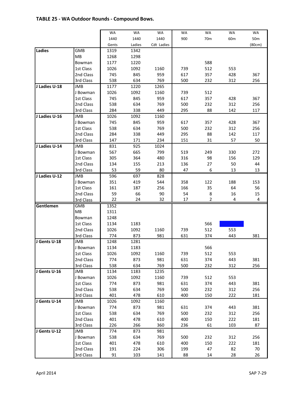# **TABLE 25 - WA Outdoor Rounds - Compound Bows.**

| 1440<br>1440<br>900<br>1440<br>70m<br>60m<br>50m<br>Gents<br>Ladies<br>Cdt Ladies<br>(80cm)<br>Ladies<br>GMB<br>1319<br>1342<br>MB<br>1298<br>1268<br>1220<br>588<br>Bowman<br>1177<br>739<br>512<br>1st Class<br>1026<br>1092<br>1160<br>553<br>959<br>2nd Class<br>745<br>845<br>617<br>357<br>428<br>367<br>3rd Class<br>538<br>634<br>769<br>500<br>232<br>256<br>312<br>J Ladies U-18<br>JMB<br>1177<br>1220<br>1265<br>1092<br>J Bowman<br>1026<br>1160<br>739<br>512<br>1st Class<br>745<br>845<br>959<br>357<br>428<br>367<br>617<br>2nd Class<br>538<br>634<br>769<br>500<br>232<br>312<br>256<br>3rd Class<br>284<br>338<br>449<br>295<br>88<br>142<br>117<br>J Ladies U-16<br>JMB<br>1026<br>1092<br>1160<br>428<br>745<br>845<br>959<br>617<br>357<br>367<br>J Bowman<br>538<br>1st Class<br>634<br>769<br>500<br>232<br>312<br>256<br>284<br>338<br>449<br>295<br>117<br>2nd Class<br>88<br>142<br>234<br>3rd Class<br>147<br>171<br>151<br>31<br>57<br>50<br>J Ladies U-14<br><b>JMB</b><br>831<br>925<br>1024<br>799<br>249<br>567<br>665<br>519<br>330<br>272<br>J Bowman<br>1st Class<br>305<br>364<br>480<br>316<br>98<br>156<br>129<br>2nd Class<br>134<br>155<br>213<br>136<br>27<br>50<br>44<br>53<br>59<br>6<br>13<br>13<br>3rd Class<br>80<br>47<br>J Ladies U-12<br><b>JMB</b><br>596<br>697<br>828<br>351<br>122<br>188<br>153<br>J Bowman<br>419<br>544<br>358<br>1st Class<br>161<br>187<br>256<br>166<br>35<br>64<br>56<br>59<br>90<br>54<br>15<br>2nd Class<br>66<br>8<br>16<br>22<br>24<br>32<br>17<br>2<br>$\overline{4}$<br>4<br>3rd Class<br>Gentlemen<br><b>GMB</b><br>1352<br>MB<br>1311<br>1248<br>Bowman<br>1st Class<br>1134<br>1183<br>566<br>553<br>2nd Class<br>1026<br>1092<br>1160<br>739<br>512<br>774<br>873<br>981<br>631<br>374<br>443<br>381<br>3rd Class<br>J Gents U-18<br>1281<br>JMB<br>1248<br>566<br>J Bowman<br>1134<br>1183<br>1026<br>1092<br>1st Class<br>1160<br>739<br>512<br>553<br>981<br>381<br>2nd Class<br>774<br>873<br>631<br>374<br>443<br>538<br>256<br>3rd Class<br>634<br>769<br>500<br>232<br>312<br>J Gents U-16<br><b>JMB</b><br>1134<br>1183<br>1235<br>1026<br>1092<br>1160<br>739<br>512<br>553<br>J Bowman<br>774<br>443<br>1st Class<br>873<br>981<br>631<br>374<br>381<br>2nd Class<br>538<br>634<br>769<br>500<br>232<br>312<br>256<br>3rd Class<br>401<br>478<br>610<br>400<br>150<br>222<br>181<br>J Gents U-14<br>1026<br>1092<br>1160<br>JMB<br>774<br>374<br>443<br>381<br>J Bowman<br>873<br>981<br>631<br>1st Class<br>538<br>634<br>769<br>500<br>232<br>312<br>256<br>401<br>478<br>610<br>400<br>150<br>222<br>181<br>2nd Class<br>226<br>87<br>3rd Class<br>266<br>360<br>236<br>61<br>103<br>J Gents U-12<br>JMB<br>774<br>873<br>981<br>538<br>634<br>769<br>500<br>232<br>312<br>256<br>J Bowman<br>1st Class<br>401<br>478<br>610<br>400<br>150<br>222<br>181<br>191<br>224<br>306<br>199<br>47<br>70<br>2nd Class<br>82 |  | WA | WA | <b>WA</b> | WA | WA | WA | WA |
|--------------------------------------------------------------------------------------------------------------------------------------------------------------------------------------------------------------------------------------------------------------------------------------------------------------------------------------------------------------------------------------------------------------------------------------------------------------------------------------------------------------------------------------------------------------------------------------------------------------------------------------------------------------------------------------------------------------------------------------------------------------------------------------------------------------------------------------------------------------------------------------------------------------------------------------------------------------------------------------------------------------------------------------------------------------------------------------------------------------------------------------------------------------------------------------------------------------------------------------------------------------------------------------------------------------------------------------------------------------------------------------------------------------------------------------------------------------------------------------------------------------------------------------------------------------------------------------------------------------------------------------------------------------------------------------------------------------------------------------------------------------------------------------------------------------------------------------------------------------------------------------------------------------------------------------------------------------------------------------------------------------------------------------------------------------------------------------------------------------------------------------------------------------------------------------------------------------------------------------------------------------------------------------------------------------------------------------------------------------------------------------------------------------------------------------------------------------------------------------------------------------------------------------------------------------------------------------------------------------------------------------------------------------------------------------------------------------------------------------------------------------------------------------------------------------------------------------------------------------------------------------------------------------------------|--|----|----|-----------|----|----|----|----|
|                                                                                                                                                                                                                                                                                                                                                                                                                                                                                                                                                                                                                                                                                                                                                                                                                                                                                                                                                                                                                                                                                                                                                                                                                                                                                                                                                                                                                                                                                                                                                                                                                                                                                                                                                                                                                                                                                                                                                                                                                                                                                                                                                                                                                                                                                                                                                                                                                                                                                                                                                                                                                                                                                                                                                                                                                                                                                                                          |  |    |    |           |    |    |    |    |
|                                                                                                                                                                                                                                                                                                                                                                                                                                                                                                                                                                                                                                                                                                                                                                                                                                                                                                                                                                                                                                                                                                                                                                                                                                                                                                                                                                                                                                                                                                                                                                                                                                                                                                                                                                                                                                                                                                                                                                                                                                                                                                                                                                                                                                                                                                                                                                                                                                                                                                                                                                                                                                                                                                                                                                                                                                                                                                                          |  |    |    |           |    |    |    |    |
|                                                                                                                                                                                                                                                                                                                                                                                                                                                                                                                                                                                                                                                                                                                                                                                                                                                                                                                                                                                                                                                                                                                                                                                                                                                                                                                                                                                                                                                                                                                                                                                                                                                                                                                                                                                                                                                                                                                                                                                                                                                                                                                                                                                                                                                                                                                                                                                                                                                                                                                                                                                                                                                                                                                                                                                                                                                                                                                          |  |    |    |           |    |    |    |    |
|                                                                                                                                                                                                                                                                                                                                                                                                                                                                                                                                                                                                                                                                                                                                                                                                                                                                                                                                                                                                                                                                                                                                                                                                                                                                                                                                                                                                                                                                                                                                                                                                                                                                                                                                                                                                                                                                                                                                                                                                                                                                                                                                                                                                                                                                                                                                                                                                                                                                                                                                                                                                                                                                                                                                                                                                                                                                                                                          |  |    |    |           |    |    |    |    |
|                                                                                                                                                                                                                                                                                                                                                                                                                                                                                                                                                                                                                                                                                                                                                                                                                                                                                                                                                                                                                                                                                                                                                                                                                                                                                                                                                                                                                                                                                                                                                                                                                                                                                                                                                                                                                                                                                                                                                                                                                                                                                                                                                                                                                                                                                                                                                                                                                                                                                                                                                                                                                                                                                                                                                                                                                                                                                                                          |  |    |    |           |    |    |    |    |
|                                                                                                                                                                                                                                                                                                                                                                                                                                                                                                                                                                                                                                                                                                                                                                                                                                                                                                                                                                                                                                                                                                                                                                                                                                                                                                                                                                                                                                                                                                                                                                                                                                                                                                                                                                                                                                                                                                                                                                                                                                                                                                                                                                                                                                                                                                                                                                                                                                                                                                                                                                                                                                                                                                                                                                                                                                                                                                                          |  |    |    |           |    |    |    |    |
|                                                                                                                                                                                                                                                                                                                                                                                                                                                                                                                                                                                                                                                                                                                                                                                                                                                                                                                                                                                                                                                                                                                                                                                                                                                                                                                                                                                                                                                                                                                                                                                                                                                                                                                                                                                                                                                                                                                                                                                                                                                                                                                                                                                                                                                                                                                                                                                                                                                                                                                                                                                                                                                                                                                                                                                                                                                                                                                          |  |    |    |           |    |    |    |    |
|                                                                                                                                                                                                                                                                                                                                                                                                                                                                                                                                                                                                                                                                                                                                                                                                                                                                                                                                                                                                                                                                                                                                                                                                                                                                                                                                                                                                                                                                                                                                                                                                                                                                                                                                                                                                                                                                                                                                                                                                                                                                                                                                                                                                                                                                                                                                                                                                                                                                                                                                                                                                                                                                                                                                                                                                                                                                                                                          |  |    |    |           |    |    |    |    |
|                                                                                                                                                                                                                                                                                                                                                                                                                                                                                                                                                                                                                                                                                                                                                                                                                                                                                                                                                                                                                                                                                                                                                                                                                                                                                                                                                                                                                                                                                                                                                                                                                                                                                                                                                                                                                                                                                                                                                                                                                                                                                                                                                                                                                                                                                                                                                                                                                                                                                                                                                                                                                                                                                                                                                                                                                                                                                                                          |  |    |    |           |    |    |    |    |
|                                                                                                                                                                                                                                                                                                                                                                                                                                                                                                                                                                                                                                                                                                                                                                                                                                                                                                                                                                                                                                                                                                                                                                                                                                                                                                                                                                                                                                                                                                                                                                                                                                                                                                                                                                                                                                                                                                                                                                                                                                                                                                                                                                                                                                                                                                                                                                                                                                                                                                                                                                                                                                                                                                                                                                                                                                                                                                                          |  |    |    |           |    |    |    |    |
|                                                                                                                                                                                                                                                                                                                                                                                                                                                                                                                                                                                                                                                                                                                                                                                                                                                                                                                                                                                                                                                                                                                                                                                                                                                                                                                                                                                                                                                                                                                                                                                                                                                                                                                                                                                                                                                                                                                                                                                                                                                                                                                                                                                                                                                                                                                                                                                                                                                                                                                                                                                                                                                                                                                                                                                                                                                                                                                          |  |    |    |           |    |    |    |    |
|                                                                                                                                                                                                                                                                                                                                                                                                                                                                                                                                                                                                                                                                                                                                                                                                                                                                                                                                                                                                                                                                                                                                                                                                                                                                                                                                                                                                                                                                                                                                                                                                                                                                                                                                                                                                                                                                                                                                                                                                                                                                                                                                                                                                                                                                                                                                                                                                                                                                                                                                                                                                                                                                                                                                                                                                                                                                                                                          |  |    |    |           |    |    |    |    |
|                                                                                                                                                                                                                                                                                                                                                                                                                                                                                                                                                                                                                                                                                                                                                                                                                                                                                                                                                                                                                                                                                                                                                                                                                                                                                                                                                                                                                                                                                                                                                                                                                                                                                                                                                                                                                                                                                                                                                                                                                                                                                                                                                                                                                                                                                                                                                                                                                                                                                                                                                                                                                                                                                                                                                                                                                                                                                                                          |  |    |    |           |    |    |    |    |
|                                                                                                                                                                                                                                                                                                                                                                                                                                                                                                                                                                                                                                                                                                                                                                                                                                                                                                                                                                                                                                                                                                                                                                                                                                                                                                                                                                                                                                                                                                                                                                                                                                                                                                                                                                                                                                                                                                                                                                                                                                                                                                                                                                                                                                                                                                                                                                                                                                                                                                                                                                                                                                                                                                                                                                                                                                                                                                                          |  |    |    |           |    |    |    |    |
|                                                                                                                                                                                                                                                                                                                                                                                                                                                                                                                                                                                                                                                                                                                                                                                                                                                                                                                                                                                                                                                                                                                                                                                                                                                                                                                                                                                                                                                                                                                                                                                                                                                                                                                                                                                                                                                                                                                                                                                                                                                                                                                                                                                                                                                                                                                                                                                                                                                                                                                                                                                                                                                                                                                                                                                                                                                                                                                          |  |    |    |           |    |    |    |    |
|                                                                                                                                                                                                                                                                                                                                                                                                                                                                                                                                                                                                                                                                                                                                                                                                                                                                                                                                                                                                                                                                                                                                                                                                                                                                                                                                                                                                                                                                                                                                                                                                                                                                                                                                                                                                                                                                                                                                                                                                                                                                                                                                                                                                                                                                                                                                                                                                                                                                                                                                                                                                                                                                                                                                                                                                                                                                                                                          |  |    |    |           |    |    |    |    |
|                                                                                                                                                                                                                                                                                                                                                                                                                                                                                                                                                                                                                                                                                                                                                                                                                                                                                                                                                                                                                                                                                                                                                                                                                                                                                                                                                                                                                                                                                                                                                                                                                                                                                                                                                                                                                                                                                                                                                                                                                                                                                                                                                                                                                                                                                                                                                                                                                                                                                                                                                                                                                                                                                                                                                                                                                                                                                                                          |  |    |    |           |    |    |    |    |
|                                                                                                                                                                                                                                                                                                                                                                                                                                                                                                                                                                                                                                                                                                                                                                                                                                                                                                                                                                                                                                                                                                                                                                                                                                                                                                                                                                                                                                                                                                                                                                                                                                                                                                                                                                                                                                                                                                                                                                                                                                                                                                                                                                                                                                                                                                                                                                                                                                                                                                                                                                                                                                                                                                                                                                                                                                                                                                                          |  |    |    |           |    |    |    |    |
|                                                                                                                                                                                                                                                                                                                                                                                                                                                                                                                                                                                                                                                                                                                                                                                                                                                                                                                                                                                                                                                                                                                                                                                                                                                                                                                                                                                                                                                                                                                                                                                                                                                                                                                                                                                                                                                                                                                                                                                                                                                                                                                                                                                                                                                                                                                                                                                                                                                                                                                                                                                                                                                                                                                                                                                                                                                                                                                          |  |    |    |           |    |    |    |    |
|                                                                                                                                                                                                                                                                                                                                                                                                                                                                                                                                                                                                                                                                                                                                                                                                                                                                                                                                                                                                                                                                                                                                                                                                                                                                                                                                                                                                                                                                                                                                                                                                                                                                                                                                                                                                                                                                                                                                                                                                                                                                                                                                                                                                                                                                                                                                                                                                                                                                                                                                                                                                                                                                                                                                                                                                                                                                                                                          |  |    |    |           |    |    |    |    |
|                                                                                                                                                                                                                                                                                                                                                                                                                                                                                                                                                                                                                                                                                                                                                                                                                                                                                                                                                                                                                                                                                                                                                                                                                                                                                                                                                                                                                                                                                                                                                                                                                                                                                                                                                                                                                                                                                                                                                                                                                                                                                                                                                                                                                                                                                                                                                                                                                                                                                                                                                                                                                                                                                                                                                                                                                                                                                                                          |  |    |    |           |    |    |    |    |
|                                                                                                                                                                                                                                                                                                                                                                                                                                                                                                                                                                                                                                                                                                                                                                                                                                                                                                                                                                                                                                                                                                                                                                                                                                                                                                                                                                                                                                                                                                                                                                                                                                                                                                                                                                                                                                                                                                                                                                                                                                                                                                                                                                                                                                                                                                                                                                                                                                                                                                                                                                                                                                                                                                                                                                                                                                                                                                                          |  |    |    |           |    |    |    |    |
|                                                                                                                                                                                                                                                                                                                                                                                                                                                                                                                                                                                                                                                                                                                                                                                                                                                                                                                                                                                                                                                                                                                                                                                                                                                                                                                                                                                                                                                                                                                                                                                                                                                                                                                                                                                                                                                                                                                                                                                                                                                                                                                                                                                                                                                                                                                                                                                                                                                                                                                                                                                                                                                                                                                                                                                                                                                                                                                          |  |    |    |           |    |    |    |    |
|                                                                                                                                                                                                                                                                                                                                                                                                                                                                                                                                                                                                                                                                                                                                                                                                                                                                                                                                                                                                                                                                                                                                                                                                                                                                                                                                                                                                                                                                                                                                                                                                                                                                                                                                                                                                                                                                                                                                                                                                                                                                                                                                                                                                                                                                                                                                                                                                                                                                                                                                                                                                                                                                                                                                                                                                                                                                                                                          |  |    |    |           |    |    |    |    |
|                                                                                                                                                                                                                                                                                                                                                                                                                                                                                                                                                                                                                                                                                                                                                                                                                                                                                                                                                                                                                                                                                                                                                                                                                                                                                                                                                                                                                                                                                                                                                                                                                                                                                                                                                                                                                                                                                                                                                                                                                                                                                                                                                                                                                                                                                                                                                                                                                                                                                                                                                                                                                                                                                                                                                                                                                                                                                                                          |  |    |    |           |    |    |    |    |
|                                                                                                                                                                                                                                                                                                                                                                                                                                                                                                                                                                                                                                                                                                                                                                                                                                                                                                                                                                                                                                                                                                                                                                                                                                                                                                                                                                                                                                                                                                                                                                                                                                                                                                                                                                                                                                                                                                                                                                                                                                                                                                                                                                                                                                                                                                                                                                                                                                                                                                                                                                                                                                                                                                                                                                                                                                                                                                                          |  |    |    |           |    |    |    |    |
|                                                                                                                                                                                                                                                                                                                                                                                                                                                                                                                                                                                                                                                                                                                                                                                                                                                                                                                                                                                                                                                                                                                                                                                                                                                                                                                                                                                                                                                                                                                                                                                                                                                                                                                                                                                                                                                                                                                                                                                                                                                                                                                                                                                                                                                                                                                                                                                                                                                                                                                                                                                                                                                                                                                                                                                                                                                                                                                          |  |    |    |           |    |    |    |    |
|                                                                                                                                                                                                                                                                                                                                                                                                                                                                                                                                                                                                                                                                                                                                                                                                                                                                                                                                                                                                                                                                                                                                                                                                                                                                                                                                                                                                                                                                                                                                                                                                                                                                                                                                                                                                                                                                                                                                                                                                                                                                                                                                                                                                                                                                                                                                                                                                                                                                                                                                                                                                                                                                                                                                                                                                                                                                                                                          |  |    |    |           |    |    |    |    |
|                                                                                                                                                                                                                                                                                                                                                                                                                                                                                                                                                                                                                                                                                                                                                                                                                                                                                                                                                                                                                                                                                                                                                                                                                                                                                                                                                                                                                                                                                                                                                                                                                                                                                                                                                                                                                                                                                                                                                                                                                                                                                                                                                                                                                                                                                                                                                                                                                                                                                                                                                                                                                                                                                                                                                                                                                                                                                                                          |  |    |    |           |    |    |    |    |
|                                                                                                                                                                                                                                                                                                                                                                                                                                                                                                                                                                                                                                                                                                                                                                                                                                                                                                                                                                                                                                                                                                                                                                                                                                                                                                                                                                                                                                                                                                                                                                                                                                                                                                                                                                                                                                                                                                                                                                                                                                                                                                                                                                                                                                                                                                                                                                                                                                                                                                                                                                                                                                                                                                                                                                                                                                                                                                                          |  |    |    |           |    |    |    |    |
|                                                                                                                                                                                                                                                                                                                                                                                                                                                                                                                                                                                                                                                                                                                                                                                                                                                                                                                                                                                                                                                                                                                                                                                                                                                                                                                                                                                                                                                                                                                                                                                                                                                                                                                                                                                                                                                                                                                                                                                                                                                                                                                                                                                                                                                                                                                                                                                                                                                                                                                                                                                                                                                                                                                                                                                                                                                                                                                          |  |    |    |           |    |    |    |    |
|                                                                                                                                                                                                                                                                                                                                                                                                                                                                                                                                                                                                                                                                                                                                                                                                                                                                                                                                                                                                                                                                                                                                                                                                                                                                                                                                                                                                                                                                                                                                                                                                                                                                                                                                                                                                                                                                                                                                                                                                                                                                                                                                                                                                                                                                                                                                                                                                                                                                                                                                                                                                                                                                                                                                                                                                                                                                                                                          |  |    |    |           |    |    |    |    |
|                                                                                                                                                                                                                                                                                                                                                                                                                                                                                                                                                                                                                                                                                                                                                                                                                                                                                                                                                                                                                                                                                                                                                                                                                                                                                                                                                                                                                                                                                                                                                                                                                                                                                                                                                                                                                                                                                                                                                                                                                                                                                                                                                                                                                                                                                                                                                                                                                                                                                                                                                                                                                                                                                                                                                                                                                                                                                                                          |  |    |    |           |    |    |    |    |
|                                                                                                                                                                                                                                                                                                                                                                                                                                                                                                                                                                                                                                                                                                                                                                                                                                                                                                                                                                                                                                                                                                                                                                                                                                                                                                                                                                                                                                                                                                                                                                                                                                                                                                                                                                                                                                                                                                                                                                                                                                                                                                                                                                                                                                                                                                                                                                                                                                                                                                                                                                                                                                                                                                                                                                                                                                                                                                                          |  |    |    |           |    |    |    |    |
|                                                                                                                                                                                                                                                                                                                                                                                                                                                                                                                                                                                                                                                                                                                                                                                                                                                                                                                                                                                                                                                                                                                                                                                                                                                                                                                                                                                                                                                                                                                                                                                                                                                                                                                                                                                                                                                                                                                                                                                                                                                                                                                                                                                                                                                                                                                                                                                                                                                                                                                                                                                                                                                                                                                                                                                                                                                                                                                          |  |    |    |           |    |    |    |    |
|                                                                                                                                                                                                                                                                                                                                                                                                                                                                                                                                                                                                                                                                                                                                                                                                                                                                                                                                                                                                                                                                                                                                                                                                                                                                                                                                                                                                                                                                                                                                                                                                                                                                                                                                                                                                                                                                                                                                                                                                                                                                                                                                                                                                                                                                                                                                                                                                                                                                                                                                                                                                                                                                                                                                                                                                                                                                                                                          |  |    |    |           |    |    |    |    |
|                                                                                                                                                                                                                                                                                                                                                                                                                                                                                                                                                                                                                                                                                                                                                                                                                                                                                                                                                                                                                                                                                                                                                                                                                                                                                                                                                                                                                                                                                                                                                                                                                                                                                                                                                                                                                                                                                                                                                                                                                                                                                                                                                                                                                                                                                                                                                                                                                                                                                                                                                                                                                                                                                                                                                                                                                                                                                                                          |  |    |    |           |    |    |    |    |
|                                                                                                                                                                                                                                                                                                                                                                                                                                                                                                                                                                                                                                                                                                                                                                                                                                                                                                                                                                                                                                                                                                                                                                                                                                                                                                                                                                                                                                                                                                                                                                                                                                                                                                                                                                                                                                                                                                                                                                                                                                                                                                                                                                                                                                                                                                                                                                                                                                                                                                                                                                                                                                                                                                                                                                                                                                                                                                                          |  |    |    |           |    |    |    |    |
|                                                                                                                                                                                                                                                                                                                                                                                                                                                                                                                                                                                                                                                                                                                                                                                                                                                                                                                                                                                                                                                                                                                                                                                                                                                                                                                                                                                                                                                                                                                                                                                                                                                                                                                                                                                                                                                                                                                                                                                                                                                                                                                                                                                                                                                                                                                                                                                                                                                                                                                                                                                                                                                                                                                                                                                                                                                                                                                          |  |    |    |           |    |    |    |    |
|                                                                                                                                                                                                                                                                                                                                                                                                                                                                                                                                                                                                                                                                                                                                                                                                                                                                                                                                                                                                                                                                                                                                                                                                                                                                                                                                                                                                                                                                                                                                                                                                                                                                                                                                                                                                                                                                                                                                                                                                                                                                                                                                                                                                                                                                                                                                                                                                                                                                                                                                                                                                                                                                                                                                                                                                                                                                                                                          |  |    |    |           |    |    |    |    |
|                                                                                                                                                                                                                                                                                                                                                                                                                                                                                                                                                                                                                                                                                                                                                                                                                                                                                                                                                                                                                                                                                                                                                                                                                                                                                                                                                                                                                                                                                                                                                                                                                                                                                                                                                                                                                                                                                                                                                                                                                                                                                                                                                                                                                                                                                                                                                                                                                                                                                                                                                                                                                                                                                                                                                                                                                                                                                                                          |  |    |    |           |    |    |    |    |
|                                                                                                                                                                                                                                                                                                                                                                                                                                                                                                                                                                                                                                                                                                                                                                                                                                                                                                                                                                                                                                                                                                                                                                                                                                                                                                                                                                                                                                                                                                                                                                                                                                                                                                                                                                                                                                                                                                                                                                                                                                                                                                                                                                                                                                                                                                                                                                                                                                                                                                                                                                                                                                                                                                                                                                                                                                                                                                                          |  |    |    |           |    |    |    |    |
|                                                                                                                                                                                                                                                                                                                                                                                                                                                                                                                                                                                                                                                                                                                                                                                                                                                                                                                                                                                                                                                                                                                                                                                                                                                                                                                                                                                                                                                                                                                                                                                                                                                                                                                                                                                                                                                                                                                                                                                                                                                                                                                                                                                                                                                                                                                                                                                                                                                                                                                                                                                                                                                                                                                                                                                                                                                                                                                          |  |    |    |           |    |    |    |    |
|                                                                                                                                                                                                                                                                                                                                                                                                                                                                                                                                                                                                                                                                                                                                                                                                                                                                                                                                                                                                                                                                                                                                                                                                                                                                                                                                                                                                                                                                                                                                                                                                                                                                                                                                                                                                                                                                                                                                                                                                                                                                                                                                                                                                                                                                                                                                                                                                                                                                                                                                                                                                                                                                                                                                                                                                                                                                                                                          |  |    |    |           |    |    |    |    |
|                                                                                                                                                                                                                                                                                                                                                                                                                                                                                                                                                                                                                                                                                                                                                                                                                                                                                                                                                                                                                                                                                                                                                                                                                                                                                                                                                                                                                                                                                                                                                                                                                                                                                                                                                                                                                                                                                                                                                                                                                                                                                                                                                                                                                                                                                                                                                                                                                                                                                                                                                                                                                                                                                                                                                                                                                                                                                                                          |  |    |    |           |    |    |    |    |
|                                                                                                                                                                                                                                                                                                                                                                                                                                                                                                                                                                                                                                                                                                                                                                                                                                                                                                                                                                                                                                                                                                                                                                                                                                                                                                                                                                                                                                                                                                                                                                                                                                                                                                                                                                                                                                                                                                                                                                                                                                                                                                                                                                                                                                                                                                                                                                                                                                                                                                                                                                                                                                                                                                                                                                                                                                                                                                                          |  |    |    |           |    |    |    |    |
|                                                                                                                                                                                                                                                                                                                                                                                                                                                                                                                                                                                                                                                                                                                                                                                                                                                                                                                                                                                                                                                                                                                                                                                                                                                                                                                                                                                                                                                                                                                                                                                                                                                                                                                                                                                                                                                                                                                                                                                                                                                                                                                                                                                                                                                                                                                                                                                                                                                                                                                                                                                                                                                                                                                                                                                                                                                                                                                          |  |    |    |           |    |    |    |    |
|                                                                                                                                                                                                                                                                                                                                                                                                                                                                                                                                                                                                                                                                                                                                                                                                                                                                                                                                                                                                                                                                                                                                                                                                                                                                                                                                                                                                                                                                                                                                                                                                                                                                                                                                                                                                                                                                                                                                                                                                                                                                                                                                                                                                                                                                                                                                                                                                                                                                                                                                                                                                                                                                                                                                                                                                                                                                                                                          |  |    |    |           |    |    |    |    |
|                                                                                                                                                                                                                                                                                                                                                                                                                                                                                                                                                                                                                                                                                                                                                                                                                                                                                                                                                                                                                                                                                                                                                                                                                                                                                                                                                                                                                                                                                                                                                                                                                                                                                                                                                                                                                                                                                                                                                                                                                                                                                                                                                                                                                                                                                                                                                                                                                                                                                                                                                                                                                                                                                                                                                                                                                                                                                                                          |  |    |    |           |    |    |    |    |
|                                                                                                                                                                                                                                                                                                                                                                                                                                                                                                                                                                                                                                                                                                                                                                                                                                                                                                                                                                                                                                                                                                                                                                                                                                                                                                                                                                                                                                                                                                                                                                                                                                                                                                                                                                                                                                                                                                                                                                                                                                                                                                                                                                                                                                                                                                                                                                                                                                                                                                                                                                                                                                                                                                                                                                                                                                                                                                                          |  |    |    |           |    |    |    |    |
|                                                                                                                                                                                                                                                                                                                                                                                                                                                                                                                                                                                                                                                                                                                                                                                                                                                                                                                                                                                                                                                                                                                                                                                                                                                                                                                                                                                                                                                                                                                                                                                                                                                                                                                                                                                                                                                                                                                                                                                                                                                                                                                                                                                                                                                                                                                                                                                                                                                                                                                                                                                                                                                                                                                                                                                                                                                                                                                          |  |    |    |           |    |    |    |    |
|                                                                                                                                                                                                                                                                                                                                                                                                                                                                                                                                                                                                                                                                                                                                                                                                                                                                                                                                                                                                                                                                                                                                                                                                                                                                                                                                                                                                                                                                                                                                                                                                                                                                                                                                                                                                                                                                                                                                                                                                                                                                                                                                                                                                                                                                                                                                                                                                                                                                                                                                                                                                                                                                                                                                                                                                                                                                                                                          |  |    |    |           |    |    |    |    |
|                                                                                                                                                                                                                                                                                                                                                                                                                                                                                                                                                                                                                                                                                                                                                                                                                                                                                                                                                                                                                                                                                                                                                                                                                                                                                                                                                                                                                                                                                                                                                                                                                                                                                                                                                                                                                                                                                                                                                                                                                                                                                                                                                                                                                                                                                                                                                                                                                                                                                                                                                                                                                                                                                                                                                                                                                                                                                                                          |  |    |    |           |    |    |    |    |
|                                                                                                                                                                                                                                                                                                                                                                                                                                                                                                                                                                                                                                                                                                                                                                                                                                                                                                                                                                                                                                                                                                                                                                                                                                                                                                                                                                                                                                                                                                                                                                                                                                                                                                                                                                                                                                                                                                                                                                                                                                                                                                                                                                                                                                                                                                                                                                                                                                                                                                                                                                                                                                                                                                                                                                                                                                                                                                                          |  |    |    |           |    |    |    |    |
|                                                                                                                                                                                                                                                                                                                                                                                                                                                                                                                                                                                                                                                                                                                                                                                                                                                                                                                                                                                                                                                                                                                                                                                                                                                                                                                                                                                                                                                                                                                                                                                                                                                                                                                                                                                                                                                                                                                                                                                                                                                                                                                                                                                                                                                                                                                                                                                                                                                                                                                                                                                                                                                                                                                                                                                                                                                                                                                          |  |    |    |           |    |    |    |    |
| 91<br>26<br>3rd Class<br>103<br>141<br>88<br>14<br>28                                                                                                                                                                                                                                                                                                                                                                                                                                                                                                                                                                                                                                                                                                                                                                                                                                                                                                                                                                                                                                                                                                                                                                                                                                                                                                                                                                                                                                                                                                                                                                                                                                                                                                                                                                                                                                                                                                                                                                                                                                                                                                                                                                                                                                                                                                                                                                                                                                                                                                                                                                                                                                                                                                                                                                                                                                                                    |  |    |    |           |    |    |    |    |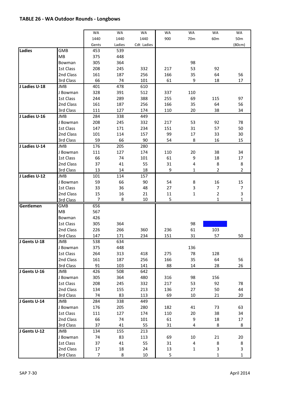# **TABLE 26 - WA Outdoor Rounds - Longbows**

|               |            | WA             | WA     | <b>WA</b>  | WA  | WA           | WA             | WA              |
|---------------|------------|----------------|--------|------------|-----|--------------|----------------|-----------------|
|               |            | 1440           | 1440   | 1440       | 900 | 70m          | 60m            | 50 <sub>m</sub> |
|               |            | Gents          | Ladies | Cdt Ladies |     |              |                | (80cm)          |
| Ladies        | GMB        | 453            | 539    |            |     |              |                |                 |
|               | <b>MB</b>  | 375            | 448    |            |     |              |                |                 |
|               | Bowman     | 305            | 364    |            |     | 98           |                |                 |
|               | 1st Class  | 208            | 245    | 332        | 217 | 53           | 92             |                 |
|               | 2nd Class  | 161            | 187    | 256        | 166 | 35           | 64             | 56              |
|               | 3rd Class  | 66             | 74     | 101        | 61  | 9            | 18             | 17              |
| J Ladies U-18 | <b>JMB</b> | 401            | 478    | 610        |     |              |                |                 |
|               | J Bowman   | 328            | 391    | 512        | 337 | 110          |                |                 |
|               | 1st Class  | 244            | 289    | 388        | 255 | 69           | 115            | 97              |
|               | 2nd Class  | 161            | 187    | 256        | 166 | 35           | 64             | 56              |
|               |            |                |        | 174        |     |              | 38             | 34              |
|               | 3rd Class  | 111            | 127    |            | 110 | 20           |                |                 |
| J Ladies U-16 | JMB        | 284            | 338    | 449        |     |              |                |                 |
|               | J Bowman   | 208            | 245    | 332        | 217 | 53           | 92             | 78              |
|               | 1st Class  | 147            | 171    | 234        | 151 | 31           | 57             | 50              |
|               | 2nd Class  | 101            | 114    | 157        | 99  | 17           | 33             | 30              |
|               | 3rd Class  | 59             | 66     | 90         | 54  | 8            | 16             | 15              |
| J Ladies U-14 | JMB        | 176            | 205    | 280        |     |              |                |                 |
|               | J Bowman   | 111            | 127    | 174        | 110 | 20           | 38             | 34              |
|               | 1st Class  | 66             | 74     | 101        | 61  | 9            | 18             | 17              |
|               | 2nd Class  | 37             | 41     | 55         | 31  | 4            | 8              | 8               |
|               | 3rd Class  | 13             | 14     | 18         | 9   | 1            | $\overline{2}$ | 2               |
| J Ladies U-12 | JMB        | 101            | 114    | 157        |     |              |                |                 |
|               | J Bowman   | 59             | 66     | 90         | 54  | 8            | 16             | 15              |
|               | 1st Class  | 33             | 36     | 48         | 27  | 3            | $\overline{7}$ | 7               |
|               | 2nd Class  | 15             | 16     | 21         | 11  | $\mathbf{1}$ | $\overline{2}$ | 3               |
|               | 3rd Class  | $\overline{7}$ | 8      | 10         | 5   |              | 1              | 1               |
| Gentlemen     | GMB        | 656            |        |            |     |              |                |                 |
|               | <b>MB</b>  | 567            |        |            |     |              |                |                 |
|               | Bowman     | 426            |        |            |     |              |                |                 |
|               | 1st Class  | 305            | 364    |            |     | 98           |                |                 |
|               | 2nd Class  | 226            | 266    | 360        | 236 | 61           | 103            |                 |
|               |            | 147            |        |            |     |              | 57             | 50              |
|               | 3rd Class  |                | 171    | 234        | 151 | 31           |                |                 |
| J Gents U-18  | <b>JMB</b> | 538            | 634    |            |     |              |                |                 |
|               | J Bowman   | 375            | 448    |            |     | 136          |                |                 |
|               | 1st Class  | 264            | 313    | 418        | 275 | 78           | 128            |                 |
|               | 2nd Class  | 161            | 187    | 256        | 166 | 35           | 64             | 56              |
|               | 3rd Class  | 91             | 103    | 141        | 88  | 14           | 28             | 26              |
| J Gents U-16  | <b>JMB</b> | 426            | 508    | 642        |     |              |                |                 |
|               | J Bowman   | 305            | 364    | 480        | 316 | 98           | 156            |                 |
|               | 1st Class  | 208            | 245    | 332        | 217 | 53           | 92             | 78              |
|               | 2nd Class  | 134            | 155    | 213        | 136 | 27           | 50             | 44              |
|               | 3rd Class  | 74             | 83     | 113        | 69  | 10           | 21             | 20              |
| J Gents U-14  | JMB        | 284            | 338    | 449        |     |              |                |                 |
|               | J Bowman   | 176            | 205    | 280        | 182 | 41           | 73             | 63              |
|               | 1st Class  | 111            | 127    | 174        | 110 | 20           | 38             | 34              |
|               | 2nd Class  | 66             | 74     | 101        | 61  | 9            | 18             | 17              |
|               | 3rd Class  | 37             | 41     | 55         | 31  | 4            | 8              | 8               |
| J Gents U-12  | JMB        | 134            | 155    | 213        |     |              |                |                 |
|               | J Bowman   | 74             | 83     | 113        | 69  | 10           | 21             | 20              |
|               | 1st Class  | 37             | 41     | 55         | 31  | 4            | 8              | 8               |
|               | 2nd Class  | 17             | 18     | 24         | 13  | 1            | 3              | 3               |
|               |            |                |        |            |     |              |                |                 |
|               | 3rd Class  | 7              | 8      | 10         | 5   |              | $\mathbf 1$    | $\mathbf 1$     |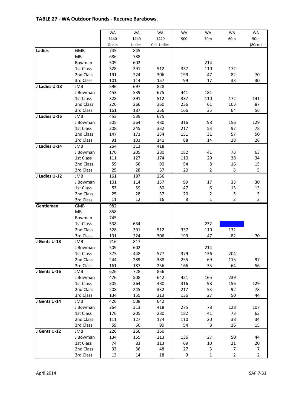# **TABLE 27 - WA Outdoor Rounds - Recurve Barebows.**

|               |                         | WA         | WA         | WA         | WA         | WA              | WA              | WA                  |
|---------------|-------------------------|------------|------------|------------|------------|-----------------|-----------------|---------------------|
|               |                         | 1440       | 1440       | 1440       | 900        | 70 <sub>m</sub> | 60 <sub>m</sub> | 50m                 |
|               |                         | Gents      | Ladies     | Cdt Ladies |            |                 |                 | (80cm)              |
| Ladies        | GMB                     | 745        | 845        |            |            |                 |                 |                     |
|               | MB                      | 686        | 788        |            |            |                 |                 |                     |
|               | Bowman                  | 509        | 602        |            |            | 214             |                 |                     |
|               | 1st Class               | 328        | 391        | 512        | 337        | 110             | 172             |                     |
|               | 2nd Class               | 191        | 224        | 306        | 199        | 47              | 82              | 70                  |
|               | 3rd Class               | 101        | 114        | 157        | 99         | 17              | 33              | 30                  |
| J Ladies U-18 | JMB                     | 596        | 697        | 828        |            |                 |                 |                     |
|               | J Bowman                | 453        | 539        | 675        | 441        | 181             |                 |                     |
|               | 1st Class               | 328        | 391        | 512        | 337        | 110             | 172             | 141                 |
|               | 2nd Class               | 226        | 266        | 360        | 236        | 61              | 103             | 87                  |
|               | 3rd Class               | 161        | 187        | 256        | 166        | 35              | 64              | 56                  |
| J Ladies U-16 | JMB                     | 453        | 539        | 675        |            |                 |                 |                     |
|               | J Bowman                | 305        | 364        | 480        | 316        | 98              | 156             | 129                 |
|               | 1st Class               | 208        | 245        | 332        | 217        | 53              | 92              | 78                  |
|               | 2nd Class               | 147        | 171        | 234        | 151        | 31              | 57              | 50                  |
|               | 3rd Class               | 91         | 103        | 141        |            | 14              | 28              | 26                  |
| J Ladies U-14 | JMB                     | 264        |            | 418        | 88         |                 |                 |                     |
|               | J Bowman                | 176        | 313<br>205 | 280        | 182        | 41              | 73              | 63                  |
|               |                         |            |            |            |            | 20              | 38              | 34                  |
|               | 1st Class               | 111        | 127        | 174        | 110        |                 |                 |                     |
|               | 2nd Class               | 59<br>25   | 66<br>28   | 90         | 54         | 8<br>2          | 16<br>5         | 15<br>5             |
| J Ladies U-12 | 3rd Class<br><b>JMB</b> |            | 187        | 37<br>256  | 20         |                 |                 |                     |
|               |                         | 161        |            |            |            | 17              | 33              | 30                  |
|               | J Bowman                | 101        | 114        | 157        | 99         |                 |                 |                     |
|               | 1st Class               | 53         | 59         | 80         | 47         | 6               | 13              | 13                  |
|               | 2nd Class               | 25<br>11   | 28<br>12   | 37<br>16   | 20<br>8    | 2<br>1          | 5<br>2          | 5<br>$\overline{2}$ |
| Gentlemen     | 3rd Class               | 982        |            |            |            |                 |                 |                     |
|               | <b>GMB</b><br>MB        |            |            |            |            |                 |                 |                     |
|               | Bowman                  | 858<br>745 |            |            |            |                 |                 |                     |
|               | 1st Class               | 538        | 634        |            |            | 232             |                 |                     |
|               | 2nd Class               | 328        | 391        | 512        | 337        | 110             | 172             |                     |
|               | 3rd Class               | 191        | 224        | 306        | 199        | 47              | 82              | 70                  |
| J Gents U-18  | JMB                     | 716        | 817        |            |            |                 |                 |                     |
|               | J Bowman                | 509        | 602        |            |            | 214             |                 |                     |
|               | 1st Class               | 375        | 448        | 577        | 379        | 136             | 204             |                     |
|               | 2nd Class               |            |            |            |            |                 |                 | 97                  |
|               |                         | 244        | 289        | 388        | 255        | 69<br>35        | 115             |                     |
| J Gents U-16  | 3rd Class<br>JMB        | 161<br>626 | 187<br>728 | 256<br>856 | 166        |                 | 64              | 56                  |
|               |                         | 426        | 508        | 642        | 421        | 165             | 239             |                     |
|               | J Bowman<br>1st Class   | 305        | 364        | 480        | 316        | 98              | 156             | 129                 |
|               | 2nd Class               | 208        | 245        | 332        | 217        | 53              | 92              | 78                  |
|               | 3rd Class               | 134        | 155        | 213        | 136        | 27              | 50              | 44                  |
| J Gents U-14  | JMB                     | 426        | 508        | 642        |            |                 |                 |                     |
|               |                         | 264        |            |            | 275        | 78              | 128             | 107                 |
|               | J Bowman                |            | 313        | 418        |            |                 |                 |                     |
|               | 1st Class<br>2nd Class  | 176<br>111 | 205<br>127 | 280<br>174 | 182<br>110 | 41<br>20        | 73<br>38        | 63<br>34            |
|               |                         |            |            |            |            |                 |                 |                     |
|               | 3rd Class               | 59         | 66         | 90         | 54         | 8               | 16              | 15                  |
| J Gents U-12  | JMB                     | 226        | 266        | 360        |            |                 |                 |                     |
|               | J Bowman                | 134        | 155        | 213        | 136        | 27              | 50              | 44                  |
|               | 1st Class               | 74         | 83         | 113        | 69         | 10              | 21              | 20                  |
|               | 2nd Class               | 33         | 36         | 48         | 27         | 3               | 7               | 7                   |
|               | 3rd Class               | 13         | 14         | 18         | 9          | $\mathbf{1}$    | 2               | $\overline{2}$      |